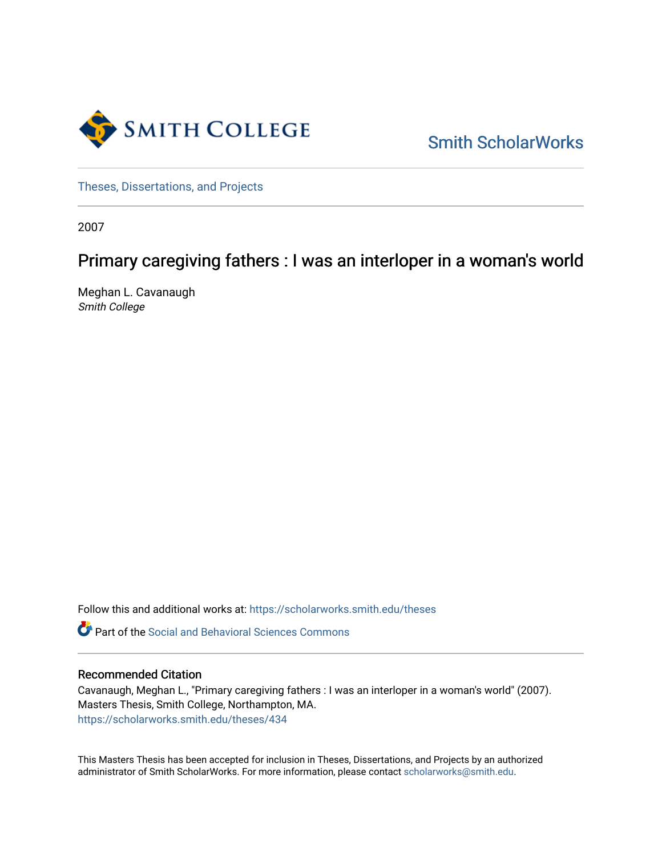

[Smith ScholarWorks](https://scholarworks.smith.edu/) 

[Theses, Dissertations, and Projects](https://scholarworks.smith.edu/theses) 

2007

# Primary caregiving fathers : I was an interloper in a woman's world

Meghan L. Cavanaugh Smith College

Follow this and additional works at: [https://scholarworks.smith.edu/theses](https://scholarworks.smith.edu/theses?utm_source=scholarworks.smith.edu%2Ftheses%2F434&utm_medium=PDF&utm_campaign=PDFCoverPages) 

**C** Part of the Social and Behavioral Sciences Commons

# Recommended Citation

Cavanaugh, Meghan L., "Primary caregiving fathers : I was an interloper in a woman's world" (2007). Masters Thesis, Smith College, Northampton, MA. [https://scholarworks.smith.edu/theses/434](https://scholarworks.smith.edu/theses/434?utm_source=scholarworks.smith.edu%2Ftheses%2F434&utm_medium=PDF&utm_campaign=PDFCoverPages) 

This Masters Thesis has been accepted for inclusion in Theses, Dissertations, and Projects by an authorized administrator of Smith ScholarWorks. For more information, please contact [scholarworks@smith.edu](mailto:scholarworks@smith.edu).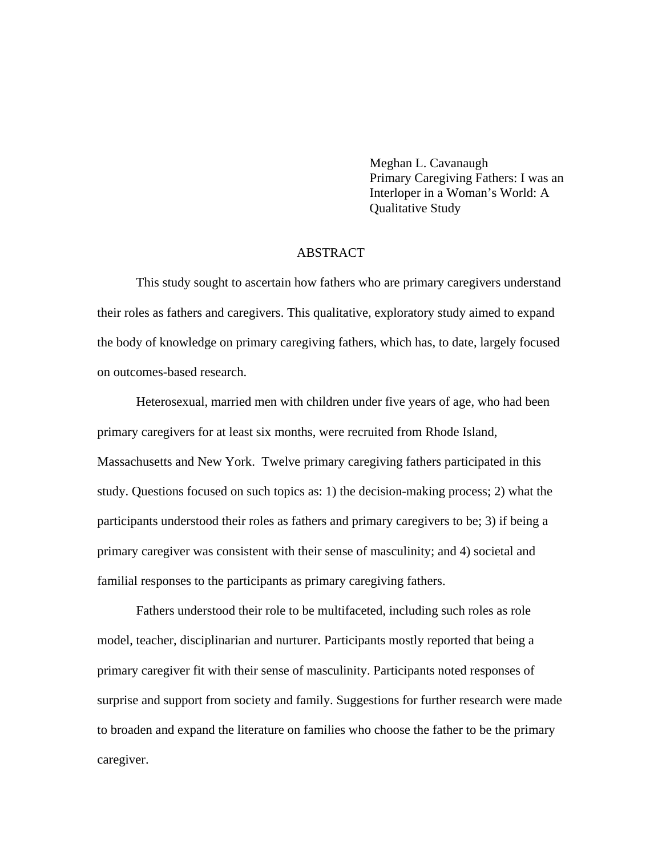Meghan L. Cavanaugh Primary Caregiving Fathers: I was an Interloper in a Woman's World: A Qualitative Study

# ABSTRACT

 This study sought to ascertain how fathers who are primary caregivers understand their roles as fathers and caregivers. This qualitative, exploratory study aimed to expand the body of knowledge on primary caregiving fathers, which has, to date, largely focused on outcomes-based research.

 Heterosexual, married men with children under five years of age, who had been primary caregivers for at least six months, were recruited from Rhode Island, Massachusetts and New York. Twelve primary caregiving fathers participated in this study. Questions focused on such topics as: 1) the decision-making process; 2) what the participants understood their roles as fathers and primary caregivers to be; 3) if being a primary caregiver was consistent with their sense of masculinity; and 4) societal and familial responses to the participants as primary caregiving fathers.

 Fathers understood their role to be multifaceted, including such roles as role model, teacher, disciplinarian and nurturer. Participants mostly reported that being a primary caregiver fit with their sense of masculinity. Participants noted responses of surprise and support from society and family. Suggestions for further research were made to broaden and expand the literature on families who choose the father to be the primary caregiver.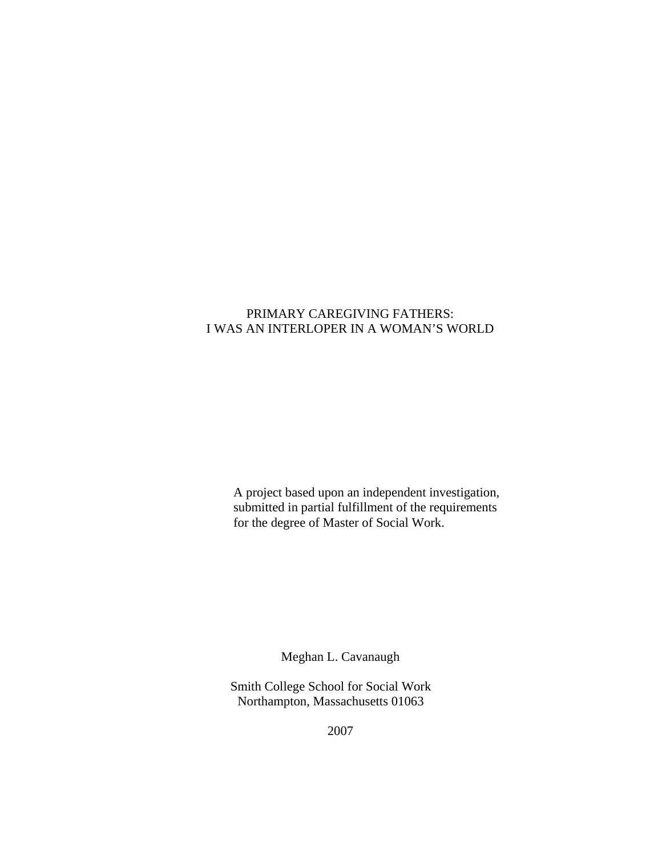# PRIMARY CAREGIVING FATHERS: I WAS AN INTERLOPER IN A WOMAN'S WORLD

 A project based upon an independent investigation, submitted in partial fulfillment of the requirements for the degree of Master of Social Work.

Meghan L. Cavanaugh

Smith College School for Social Work Northampton, Massachusetts 01063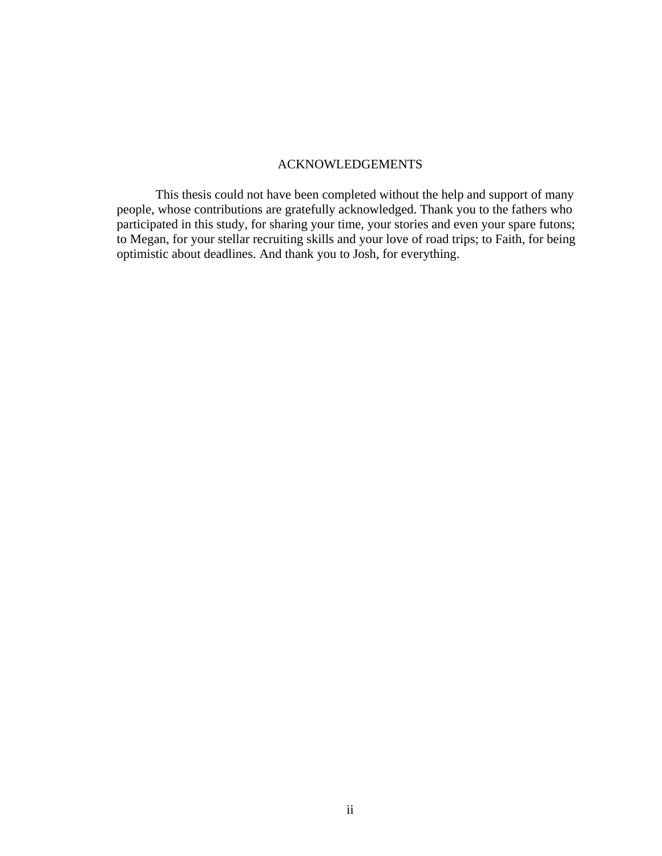# ACKNOWLEDGEMENTS

This thesis could not have been completed without the help and support of many people, whose contributions are gratefully acknowledged. Thank you to the fathers who participated in this study, for sharing your time, your stories and even your spare futons; to Megan, for your stellar recruiting skills and your love of road trips; to Faith, for being optimistic about deadlines. And thank you to Josh, for everything.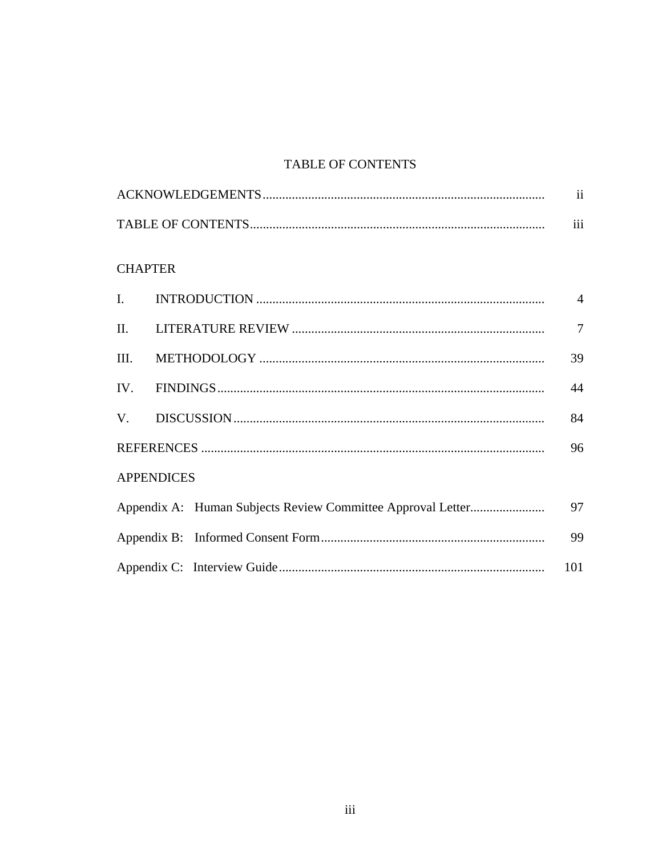# TABLE OF CONTENTS

| <b>ACKNOWLEDGEMENTS</b> |   |  |
|-------------------------|---|--|
|                         |   |  |
| TARI E OE CONTENTS      | . |  |

# **CHAPTER**

| II.               |  |    |     |  |
|-------------------|--|----|-----|--|
| Ш.                |  |    |     |  |
|                   |  |    |     |  |
|                   |  |    |     |  |
|                   |  |    | 96  |  |
| <b>APPENDICES</b> |  |    |     |  |
|                   |  | 97 |     |  |
|                   |  |    | 99  |  |
|                   |  |    | 101 |  |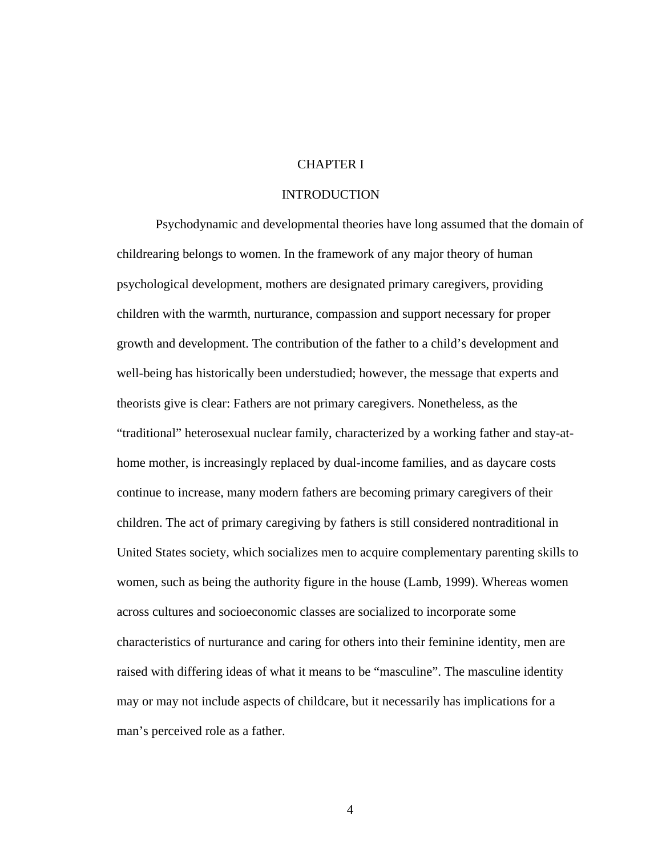#### CHAPTER I

#### **INTRODUCTION**

Psychodynamic and developmental theories have long assumed that the domain of childrearing belongs to women. In the framework of any major theory of human psychological development, mothers are designated primary caregivers, providing children with the warmth, nurturance, compassion and support necessary for proper growth and development. The contribution of the father to a child's development and well-being has historically been understudied; however, the message that experts and theorists give is clear: Fathers are not primary caregivers. Nonetheless, as the "traditional" heterosexual nuclear family, characterized by a working father and stay-athome mother, is increasingly replaced by dual-income families, and as daycare costs continue to increase, many modern fathers are becoming primary caregivers of their children. The act of primary caregiving by fathers is still considered nontraditional in United States society, which socializes men to acquire complementary parenting skills to women, such as being the authority figure in the house (Lamb, 1999). Whereas women across cultures and socioeconomic classes are socialized to incorporate some characteristics of nurturance and caring for others into their feminine identity, men are raised with differing ideas of what it means to be "masculine". The masculine identity may or may not include aspects of childcare, but it necessarily has implications for a man's perceived role as a father.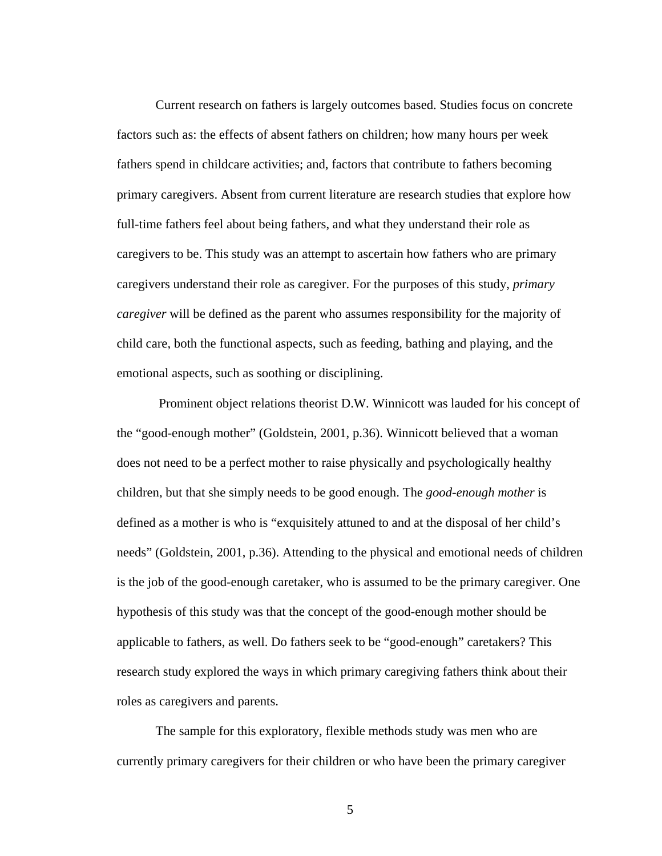Current research on fathers is largely outcomes based. Studies focus on concrete factors such as: the effects of absent fathers on children; how many hours per week fathers spend in childcare activities; and, factors that contribute to fathers becoming primary caregivers. Absent from current literature are research studies that explore how full-time fathers feel about being fathers, and what they understand their role as caregivers to be. This study was an attempt to ascertain how fathers who are primary caregivers understand their role as caregiver. For the purposes of this study, *primary caregiver* will be defined as the parent who assumes responsibility for the majority of child care, both the functional aspects, such as feeding, bathing and playing, and the emotional aspects, such as soothing or disciplining.

 Prominent object relations theorist D.W. Winnicott was lauded for his concept of the "good-enough mother" (Goldstein, 2001, p.36). Winnicott believed that a woman does not need to be a perfect mother to raise physically and psychologically healthy children, but that she simply needs to be good enough. The *good-enough mother* is defined as a mother is who is "exquisitely attuned to and at the disposal of her child's needs" (Goldstein, 2001, p.36). Attending to the physical and emotional needs of children is the job of the good-enough caretaker, who is assumed to be the primary caregiver. One hypothesis of this study was that the concept of the good-enough mother should be applicable to fathers, as well. Do fathers seek to be "good-enough" caretakers? This research study explored the ways in which primary caregiving fathers think about their roles as caregivers and parents.

The sample for this exploratory, flexible methods study was men who are currently primary caregivers for their children or who have been the primary caregiver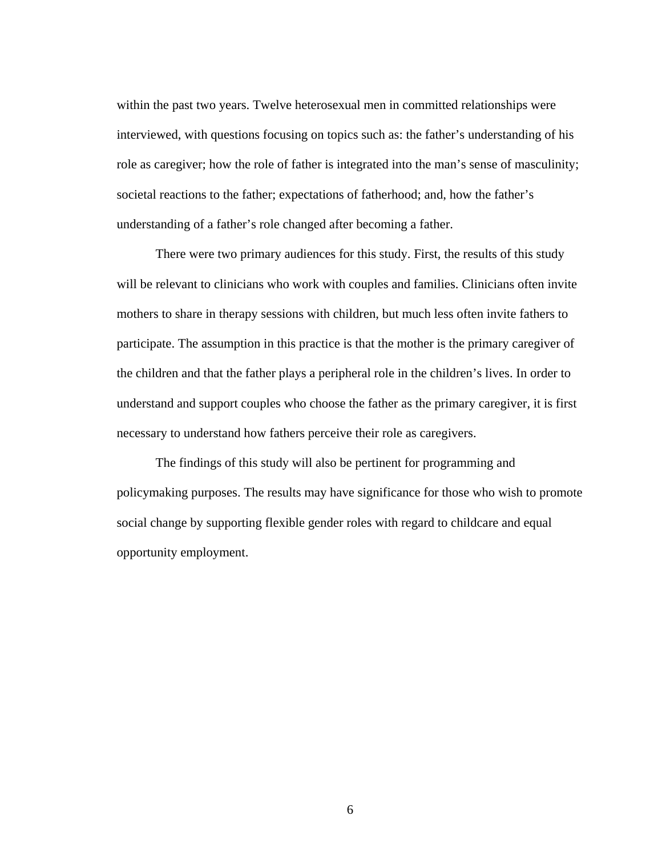within the past two years. Twelve heterosexual men in committed relationships were interviewed, with questions focusing on topics such as: the father's understanding of his role as caregiver; how the role of father is integrated into the man's sense of masculinity; societal reactions to the father; expectations of fatherhood; and, how the father's understanding of a father's role changed after becoming a father.

There were two primary audiences for this study. First, the results of this study will be relevant to clinicians who work with couples and families. Clinicians often invite mothers to share in therapy sessions with children, but much less often invite fathers to participate. The assumption in this practice is that the mother is the primary caregiver of the children and that the father plays a peripheral role in the children's lives. In order to understand and support couples who choose the father as the primary caregiver, it is first necessary to understand how fathers perceive their role as caregivers.

The findings of this study will also be pertinent for programming and policymaking purposes. The results may have significance for those who wish to promote social change by supporting flexible gender roles with regard to childcare and equal opportunity employment.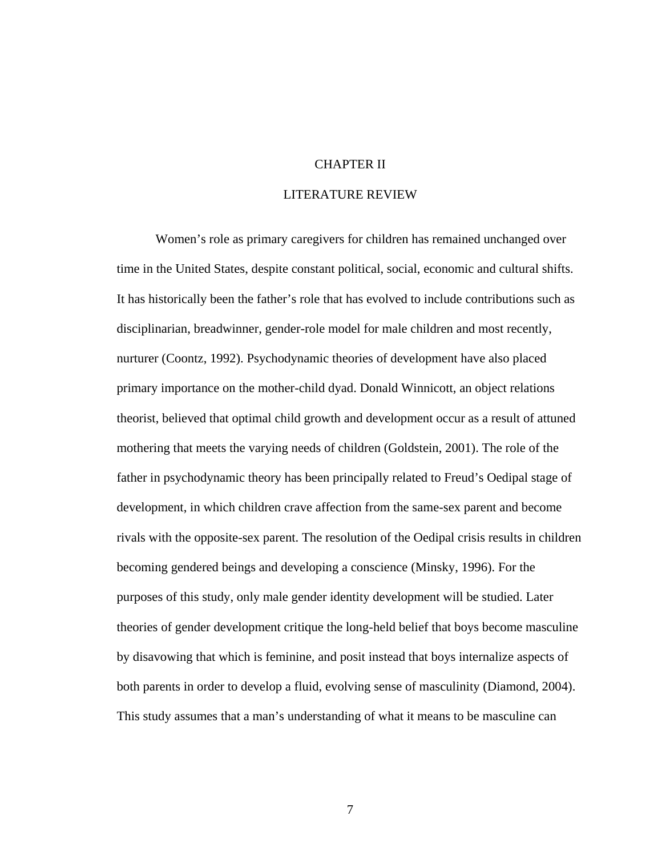#### CHAPTER II

#### LITERATURE REVIEW

 Women's role as primary caregivers for children has remained unchanged over time in the United States, despite constant political, social, economic and cultural shifts. It has historically been the father's role that has evolved to include contributions such as disciplinarian, breadwinner, gender-role model for male children and most recently, nurturer (Coontz, 1992). Psychodynamic theories of development have also placed primary importance on the mother-child dyad. Donald Winnicott, an object relations theorist, believed that optimal child growth and development occur as a result of attuned mothering that meets the varying needs of children (Goldstein, 2001). The role of the father in psychodynamic theory has been principally related to Freud's Oedipal stage of development, in which children crave affection from the same-sex parent and become rivals with the opposite-sex parent. The resolution of the Oedipal crisis results in children becoming gendered beings and developing a conscience (Minsky, 1996). For the purposes of this study, only male gender identity development will be studied. Later theories of gender development critique the long-held belief that boys become masculine by disavowing that which is feminine, and posit instead that boys internalize aspects of both parents in order to develop a fluid, evolving sense of masculinity (Diamond, 2004). This study assumes that a man's understanding of what it means to be masculine can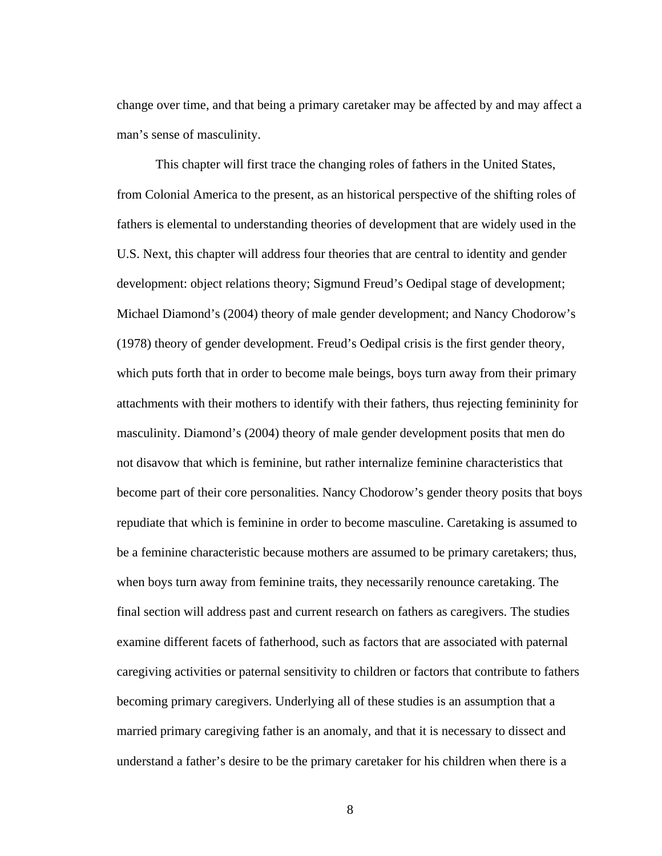change over time, and that being a primary caretaker may be affected by and may affect a man's sense of masculinity.

 This chapter will first trace the changing roles of fathers in the United States, from Colonial America to the present, as an historical perspective of the shifting roles of fathers is elemental to understanding theories of development that are widely used in the U.S. Next, this chapter will address four theories that are central to identity and gender development: object relations theory; Sigmund Freud's Oedipal stage of development; Michael Diamond's (2004) theory of male gender development; and Nancy Chodorow's (1978) theory of gender development. Freud's Oedipal crisis is the first gender theory, which puts forth that in order to become male beings, boys turn away from their primary attachments with their mothers to identify with their fathers, thus rejecting femininity for masculinity. Diamond's (2004) theory of male gender development posits that men do not disavow that which is feminine, but rather internalize feminine characteristics that become part of their core personalities. Nancy Chodorow's gender theory posits that boys repudiate that which is feminine in order to become masculine. Caretaking is assumed to be a feminine characteristic because mothers are assumed to be primary caretakers; thus, when boys turn away from feminine traits, they necessarily renounce caretaking. The final section will address past and current research on fathers as caregivers. The studies examine different facets of fatherhood, such as factors that are associated with paternal caregiving activities or paternal sensitivity to children or factors that contribute to fathers becoming primary caregivers. Underlying all of these studies is an assumption that a married primary caregiving father is an anomaly, and that it is necessary to dissect and understand a father's desire to be the primary caretaker for his children when there is a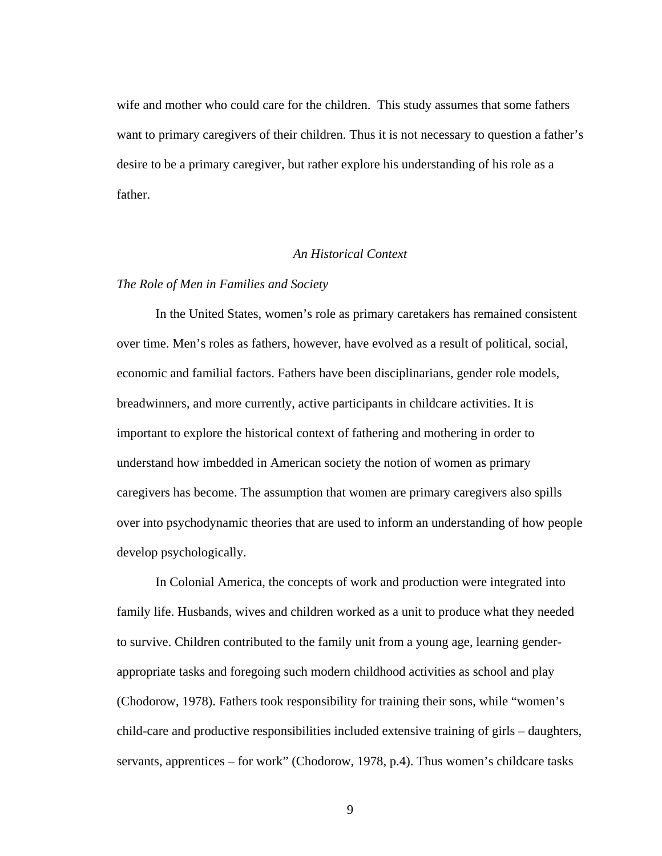wife and mother who could care for the children. This study assumes that some fathers want to primary caregivers of their children. Thus it is not necessary to question a father's desire to be a primary caregiver, but rather explore his understanding of his role as a father.

## *An Historical Context*

#### *The Role of Men in Families and Society*

 In the United States, women's role as primary caretakers has remained consistent over time. Men's roles as fathers, however, have evolved as a result of political, social, economic and familial factors. Fathers have been disciplinarians, gender role models, breadwinners, and more currently, active participants in childcare activities. It is important to explore the historical context of fathering and mothering in order to understand how imbedded in American society the notion of women as primary caregivers has become. The assumption that women are primary caregivers also spills over into psychodynamic theories that are used to inform an understanding of how people develop psychologically.

 In Colonial America, the concepts of work and production were integrated into family life. Husbands, wives and children worked as a unit to produce what they needed to survive. Children contributed to the family unit from a young age, learning genderappropriate tasks and foregoing such modern childhood activities as school and play (Chodorow, 1978). Fathers took responsibility for training their sons, while "women's child-care and productive responsibilities included extensive training of girls – daughters, servants, apprentices – for work" (Chodorow, 1978, p.4). Thus women's childcare tasks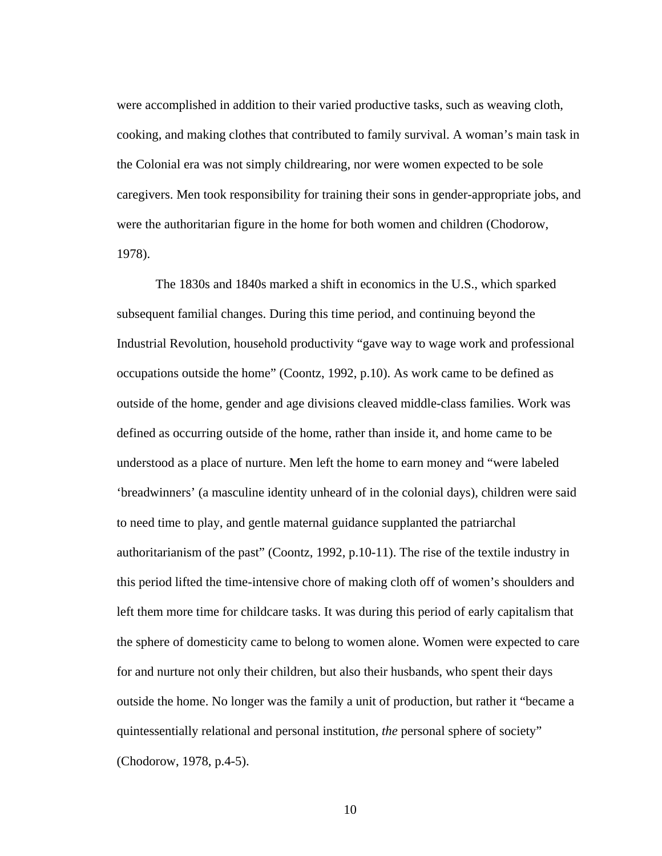were accomplished in addition to their varied productive tasks, such as weaving cloth, cooking, and making clothes that contributed to family survival. A woman's main task in the Colonial era was not simply childrearing, nor were women expected to be sole caregivers. Men took responsibility for training their sons in gender-appropriate jobs, and were the authoritarian figure in the home for both women and children (Chodorow, 1978).

 The 1830s and 1840s marked a shift in economics in the U.S., which sparked subsequent familial changes. During this time period, and continuing beyond the Industrial Revolution, household productivity "gave way to wage work and professional occupations outside the home" (Coontz, 1992, p.10). As work came to be defined as outside of the home, gender and age divisions cleaved middle-class families. Work was defined as occurring outside of the home, rather than inside it, and home came to be understood as a place of nurture. Men left the home to earn money and "were labeled 'breadwinners' (a masculine identity unheard of in the colonial days), children were said to need time to play, and gentle maternal guidance supplanted the patriarchal authoritarianism of the past" (Coontz, 1992, p.10-11). The rise of the textile industry in this period lifted the time-intensive chore of making cloth off of women's shoulders and left them more time for childcare tasks. It was during this period of early capitalism that the sphere of domesticity came to belong to women alone. Women were expected to care for and nurture not only their children, but also their husbands, who spent their days outside the home. No longer was the family a unit of production, but rather it "became a quintessentially relational and personal institution, *the* personal sphere of society" (Chodorow, 1978, p.4-5).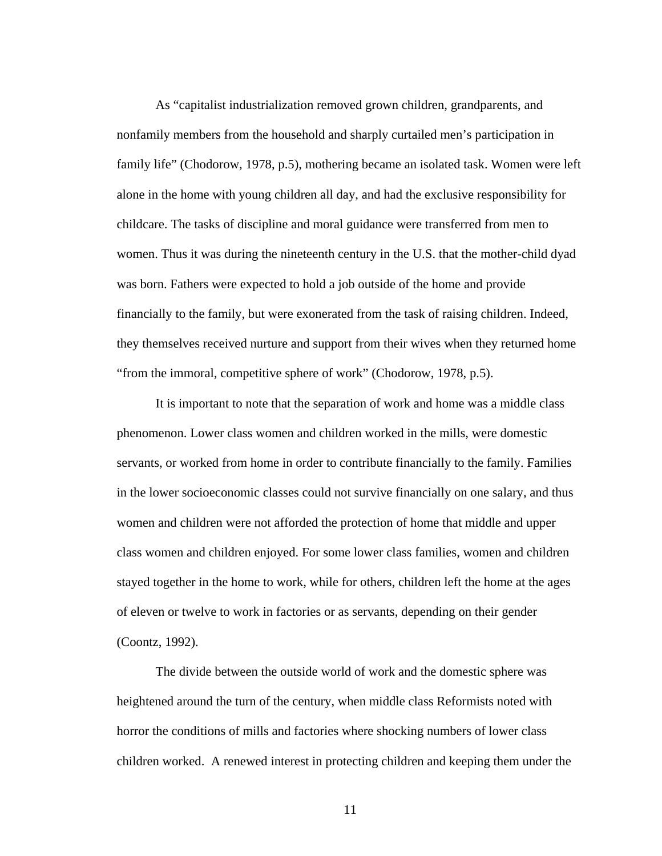As "capitalist industrialization removed grown children, grandparents, and nonfamily members from the household and sharply curtailed men's participation in family life" (Chodorow, 1978, p.5), mothering became an isolated task. Women were left alone in the home with young children all day, and had the exclusive responsibility for childcare. The tasks of discipline and moral guidance were transferred from men to women. Thus it was during the nineteenth century in the U.S. that the mother-child dyad was born. Fathers were expected to hold a job outside of the home and provide financially to the family, but were exonerated from the task of raising children. Indeed, they themselves received nurture and support from their wives when they returned home "from the immoral, competitive sphere of work" (Chodorow, 1978, p.5).

 It is important to note that the separation of work and home was a middle class phenomenon. Lower class women and children worked in the mills, were domestic servants, or worked from home in order to contribute financially to the family. Families in the lower socioeconomic classes could not survive financially on one salary, and thus women and children were not afforded the protection of home that middle and upper class women and children enjoyed. For some lower class families, women and children stayed together in the home to work, while for others, children left the home at the ages of eleven or twelve to work in factories or as servants, depending on their gender (Coontz, 1992).

 The divide between the outside world of work and the domestic sphere was heightened around the turn of the century, when middle class Reformists noted with horror the conditions of mills and factories where shocking numbers of lower class children worked. A renewed interest in protecting children and keeping them under the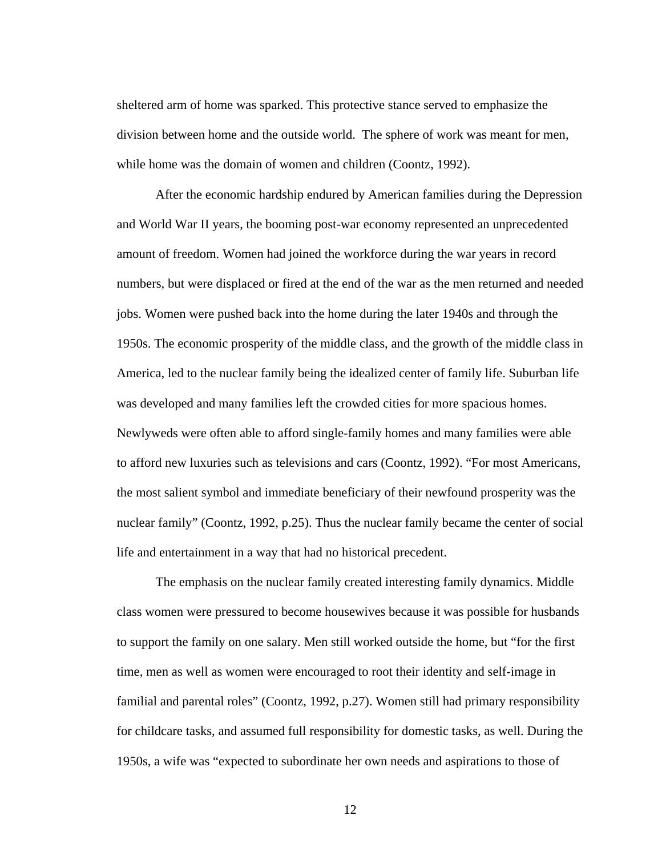sheltered arm of home was sparked. This protective stance served to emphasize the division between home and the outside world. The sphere of work was meant for men, while home was the domain of women and children (Coontz, 1992).

 After the economic hardship endured by American families during the Depression and World War II years, the booming post-war economy represented an unprecedented amount of freedom. Women had joined the workforce during the war years in record numbers, but were displaced or fired at the end of the war as the men returned and needed jobs. Women were pushed back into the home during the later 1940s and through the 1950s. The economic prosperity of the middle class, and the growth of the middle class in America, led to the nuclear family being the idealized center of family life. Suburban life was developed and many families left the crowded cities for more spacious homes. Newlyweds were often able to afford single-family homes and many families were able to afford new luxuries such as televisions and cars (Coontz, 1992). "For most Americans, the most salient symbol and immediate beneficiary of their newfound prosperity was the nuclear family" (Coontz, 1992, p.25). Thus the nuclear family became the center of social life and entertainment in a way that had no historical precedent.

 The emphasis on the nuclear family created interesting family dynamics. Middle class women were pressured to become housewives because it was possible for husbands to support the family on one salary. Men still worked outside the home, but "for the first time, men as well as women were encouraged to root their identity and self-image in familial and parental roles" (Coontz, 1992, p.27). Women still had primary responsibility for childcare tasks, and assumed full responsibility for domestic tasks, as well. During the 1950s, a wife was "expected to subordinate her own needs and aspirations to those of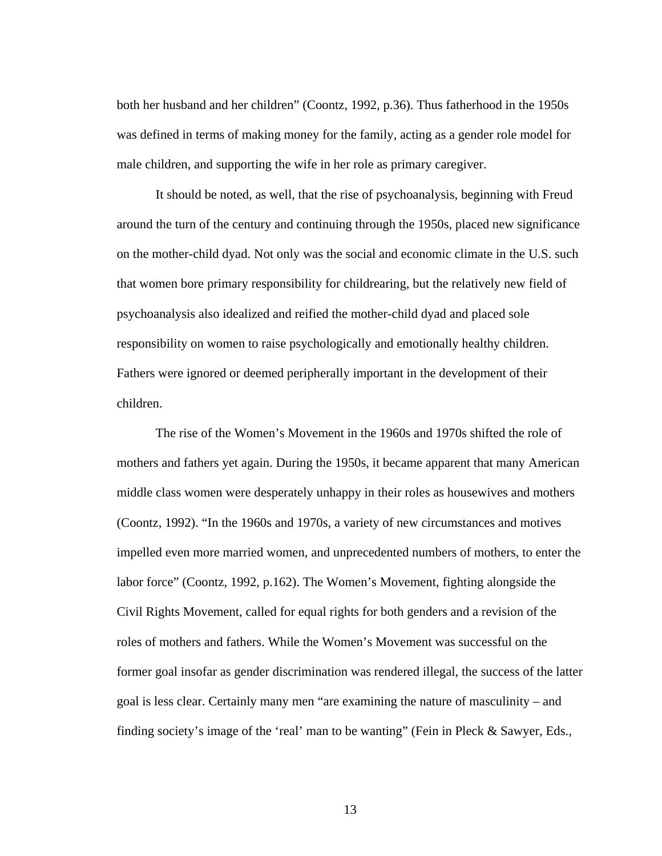both her husband and her children" (Coontz, 1992, p.36). Thus fatherhood in the 1950s was defined in terms of making money for the family, acting as a gender role model for male children, and supporting the wife in her role as primary caregiver.

 It should be noted, as well, that the rise of psychoanalysis, beginning with Freud around the turn of the century and continuing through the 1950s, placed new significance on the mother-child dyad. Not only was the social and economic climate in the U.S. such that women bore primary responsibility for childrearing, but the relatively new field of psychoanalysis also idealized and reified the mother-child dyad and placed sole responsibility on women to raise psychologically and emotionally healthy children. Fathers were ignored or deemed peripherally important in the development of their children.

 The rise of the Women's Movement in the 1960s and 1970s shifted the role of mothers and fathers yet again. During the 1950s, it became apparent that many American middle class women were desperately unhappy in their roles as housewives and mothers (Coontz, 1992). "In the 1960s and 1970s, a variety of new circumstances and motives impelled even more married women, and unprecedented numbers of mothers, to enter the labor force" (Coontz, 1992, p.162). The Women's Movement, fighting alongside the Civil Rights Movement, called for equal rights for both genders and a revision of the roles of mothers and fathers. While the Women's Movement was successful on the former goal insofar as gender discrimination was rendered illegal, the success of the latter goal is less clear. Certainly many men "are examining the nature of masculinity – and finding society's image of the 'real' man to be wanting" (Fein in Pleck & Sawyer, Eds.,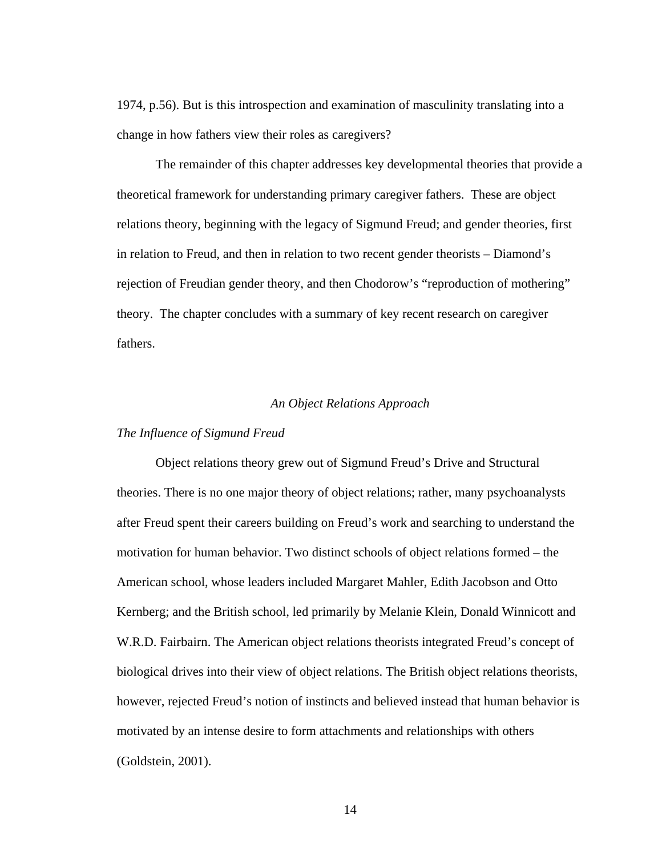1974, p.56). But is this introspection and examination of masculinity translating into a change in how fathers view their roles as caregivers?

 The remainder of this chapter addresses key developmental theories that provide a theoretical framework for understanding primary caregiver fathers. These are object relations theory, beginning with the legacy of Sigmund Freud; and gender theories, first in relation to Freud, and then in relation to two recent gender theorists – Diamond's rejection of Freudian gender theory, and then Chodorow's "reproduction of mothering" theory. The chapter concludes with a summary of key recent research on caregiver fathers.

# *An Object Relations Approach*

## *The Influence of Sigmund Freud*

 Object relations theory grew out of Sigmund Freud's Drive and Structural theories. There is no one major theory of object relations; rather, many psychoanalysts after Freud spent their careers building on Freud's work and searching to understand the motivation for human behavior. Two distinct schools of object relations formed – the American school, whose leaders included Margaret Mahler, Edith Jacobson and Otto Kernberg; and the British school, led primarily by Melanie Klein, Donald Winnicott and W.R.D. Fairbairn. The American object relations theorists integrated Freud's concept of biological drives into their view of object relations. The British object relations theorists, however, rejected Freud's notion of instincts and believed instead that human behavior is motivated by an intense desire to form attachments and relationships with others (Goldstein, 2001).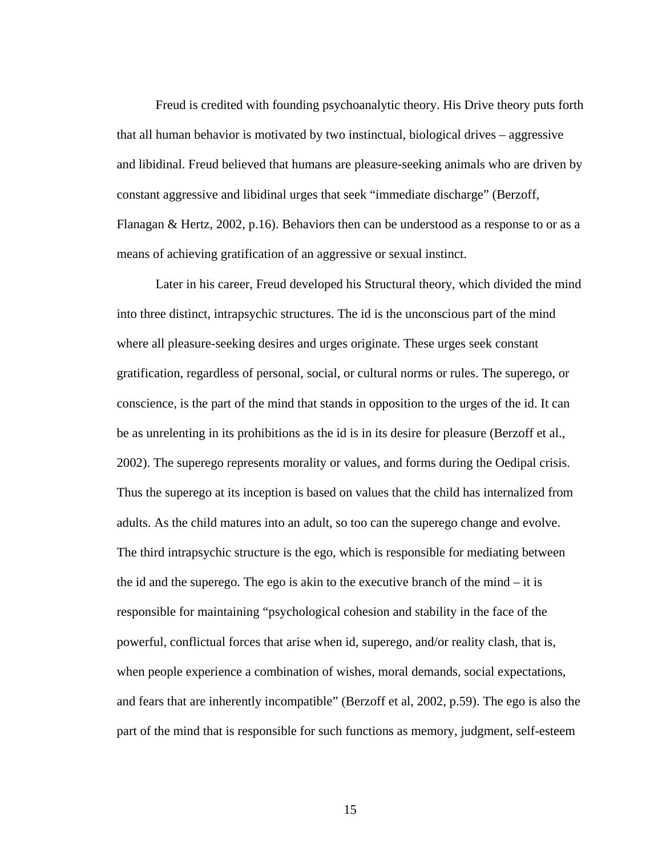Freud is credited with founding psychoanalytic theory. His Drive theory puts forth that all human behavior is motivated by two instinctual, biological drives – aggressive and libidinal. Freud believed that humans are pleasure-seeking animals who are driven by constant aggressive and libidinal urges that seek "immediate discharge" (Berzoff, Flanagan & Hertz, 2002, p.16). Behaviors then can be understood as a response to or as a means of achieving gratification of an aggressive or sexual instinct.

 Later in his career, Freud developed his Structural theory, which divided the mind into three distinct, intrapsychic structures. The id is the unconscious part of the mind where all pleasure-seeking desires and urges originate. These urges seek constant gratification, regardless of personal, social, or cultural norms or rules. The superego, or conscience, is the part of the mind that stands in opposition to the urges of the id. It can be as unrelenting in its prohibitions as the id is in its desire for pleasure (Berzoff et al., 2002). The superego represents morality or values, and forms during the Oedipal crisis. Thus the superego at its inception is based on values that the child has internalized from adults. As the child matures into an adult, so too can the superego change and evolve. The third intrapsychic structure is the ego, which is responsible for mediating between the id and the superego. The ego is akin to the executive branch of the mind – it is responsible for maintaining "psychological cohesion and stability in the face of the powerful, conflictual forces that arise when id, superego, and/or reality clash, that is, when people experience a combination of wishes, moral demands, social expectations, and fears that are inherently incompatible" (Berzoff et al, 2002, p.59). The ego is also the part of the mind that is responsible for such functions as memory, judgment, self-esteem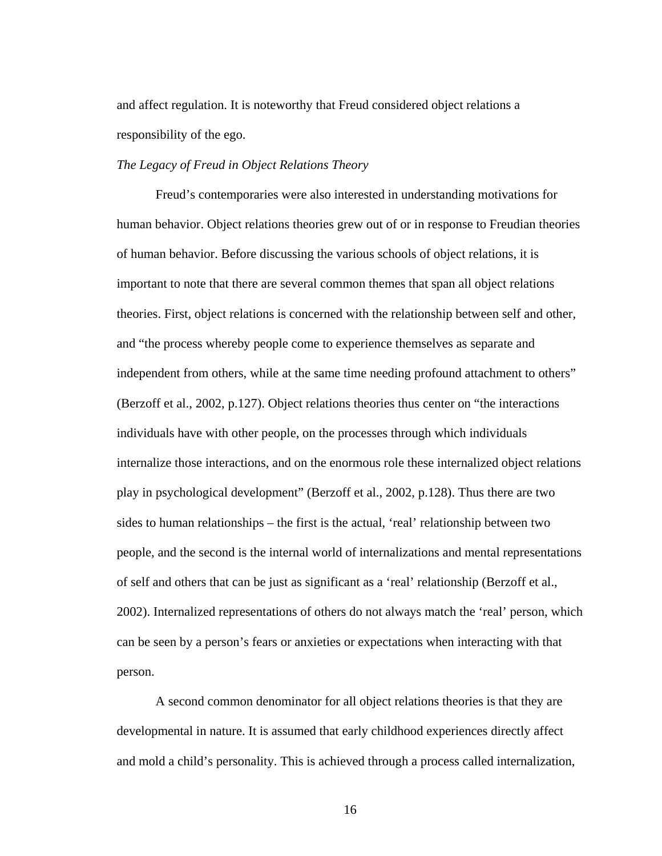and affect regulation. It is noteworthy that Freud considered object relations a responsibility of the ego.

#### *The Legacy of Freud in Object Relations Theory*

 Freud's contemporaries were also interested in understanding motivations for human behavior. Object relations theories grew out of or in response to Freudian theories of human behavior. Before discussing the various schools of object relations, it is important to note that there are several common themes that span all object relations theories. First, object relations is concerned with the relationship between self and other, and "the process whereby people come to experience themselves as separate and independent from others, while at the same time needing profound attachment to others" (Berzoff et al., 2002, p.127). Object relations theories thus center on "the interactions individuals have with other people, on the processes through which individuals internalize those interactions, and on the enormous role these internalized object relations play in psychological development" (Berzoff et al., 2002, p.128). Thus there are two sides to human relationships – the first is the actual, 'real' relationship between two people, and the second is the internal world of internalizations and mental representations of self and others that can be just as significant as a 'real' relationship (Berzoff et al., 2002). Internalized representations of others do not always match the 'real' person, which can be seen by a person's fears or anxieties or expectations when interacting with that person.

 A second common denominator for all object relations theories is that they are developmental in nature. It is assumed that early childhood experiences directly affect and mold a child's personality. This is achieved through a process called internalization,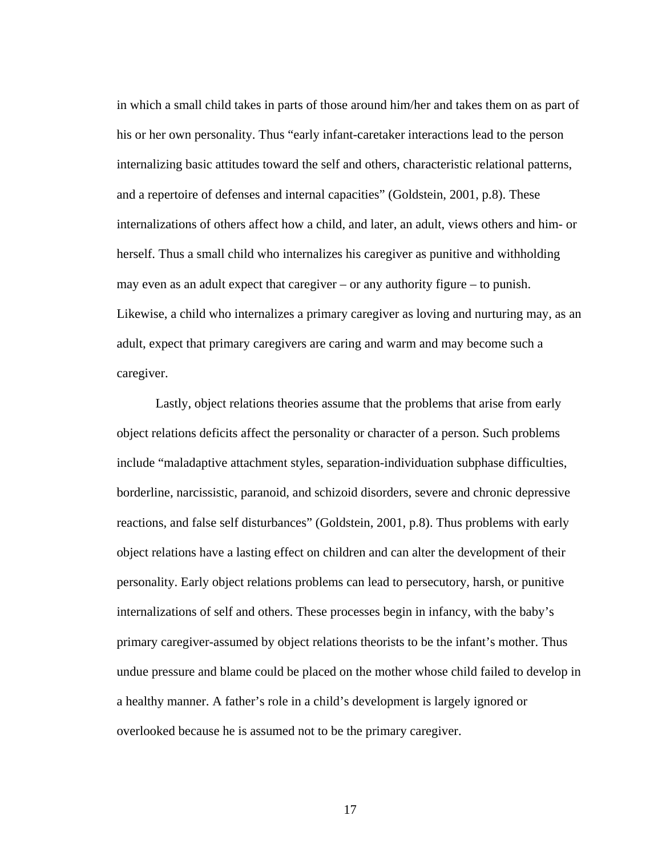in which a small child takes in parts of those around him/her and takes them on as part of his or her own personality. Thus "early infant-caretaker interactions lead to the person internalizing basic attitudes toward the self and others, characteristic relational patterns, and a repertoire of defenses and internal capacities" (Goldstein, 2001, p.8). These internalizations of others affect how a child, and later, an adult, views others and him- or herself. Thus a small child who internalizes his caregiver as punitive and withholding may even as an adult expect that caregiver – or any authority figure – to punish. Likewise, a child who internalizes a primary caregiver as loving and nurturing may, as an adult, expect that primary caregivers are caring and warm and may become such a caregiver.

Lastly, object relations theories assume that the problems that arise from early object relations deficits affect the personality or character of a person. Such problems include "maladaptive attachment styles, separation-individuation subphase difficulties, borderline, narcissistic, paranoid, and schizoid disorders, severe and chronic depressive reactions, and false self disturbances" (Goldstein, 2001, p.8). Thus problems with early object relations have a lasting effect on children and can alter the development of their personality. Early object relations problems can lead to persecutory, harsh, or punitive internalizations of self and others. These processes begin in infancy, with the baby's primary caregiver-assumed by object relations theorists to be the infant's mother. Thus undue pressure and blame could be placed on the mother whose child failed to develop in a healthy manner. A father's role in a child's development is largely ignored or overlooked because he is assumed not to be the primary caregiver.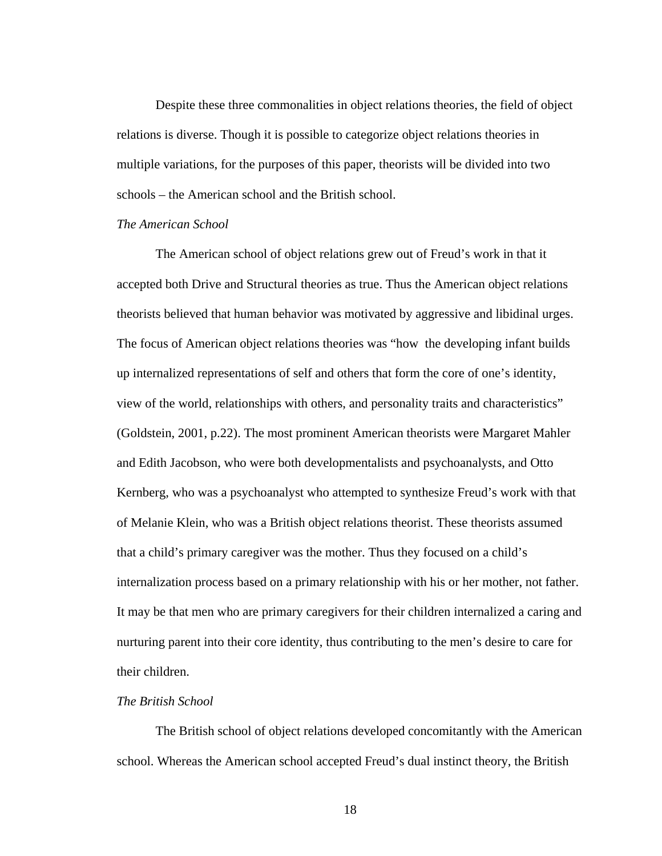Despite these three commonalities in object relations theories, the field of object relations is diverse. Though it is possible to categorize object relations theories in multiple variations, for the purposes of this paper, theorists will be divided into two schools – the American school and the British school.

#### *The American School*

 The American school of object relations grew out of Freud's work in that it accepted both Drive and Structural theories as true. Thus the American object relations theorists believed that human behavior was motivated by aggressive and libidinal urges. The focus of American object relations theories was "how the developing infant builds up internalized representations of self and others that form the core of one's identity, view of the world, relationships with others, and personality traits and characteristics" (Goldstein, 2001, p.22). The most prominent American theorists were Margaret Mahler and Edith Jacobson, who were both developmentalists and psychoanalysts, and Otto Kernberg, who was a psychoanalyst who attempted to synthesize Freud's work with that of Melanie Klein, who was a British object relations theorist. These theorists assumed that a child's primary caregiver was the mother. Thus they focused on a child's internalization process based on a primary relationship with his or her mother, not father. It may be that men who are primary caregivers for their children internalized a caring and nurturing parent into their core identity, thus contributing to the men's desire to care for their children.

## *The British School*

 The British school of object relations developed concomitantly with the American school. Whereas the American school accepted Freud's dual instinct theory, the British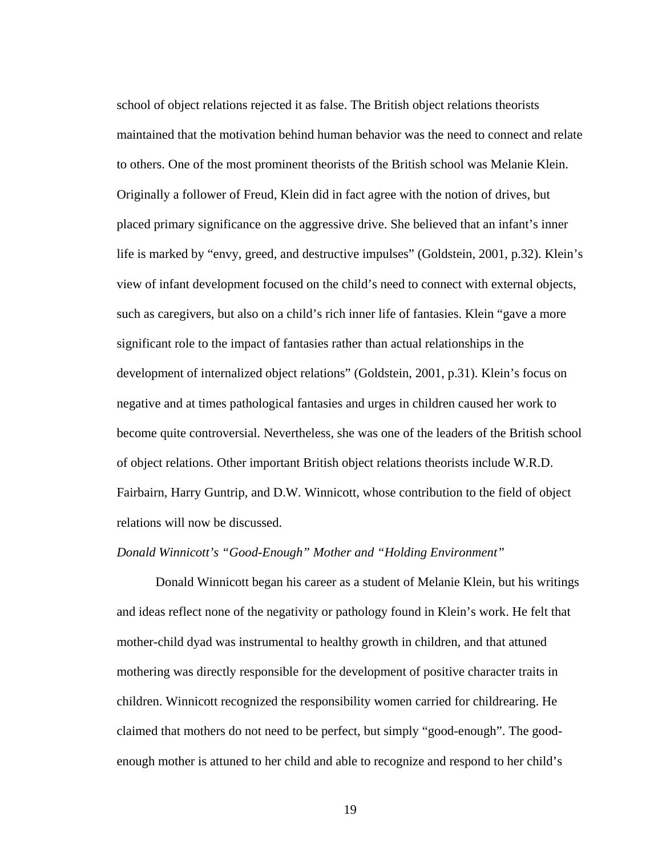school of object relations rejected it as false. The British object relations theorists maintained that the motivation behind human behavior was the need to connect and relate to others. One of the most prominent theorists of the British school was Melanie Klein. Originally a follower of Freud, Klein did in fact agree with the notion of drives, but placed primary significance on the aggressive drive. She believed that an infant's inner life is marked by "envy, greed, and destructive impulses" (Goldstein, 2001, p.32). Klein's view of infant development focused on the child's need to connect with external objects, such as caregivers, but also on a child's rich inner life of fantasies. Klein "gave a more significant role to the impact of fantasies rather than actual relationships in the development of internalized object relations" (Goldstein, 2001, p.31). Klein's focus on negative and at times pathological fantasies and urges in children caused her work to become quite controversial. Nevertheless, she was one of the leaders of the British school of object relations. Other important British object relations theorists include W.R.D. Fairbairn, Harry Guntrip, and D.W. Winnicott, whose contribution to the field of object relations will now be discussed.

# *Donald Winnicott's "Good-Enough" Mother and "Holding Environment"*

Donald Winnicott began his career as a student of Melanie Klein, but his writings and ideas reflect none of the negativity or pathology found in Klein's work. He felt that mother-child dyad was instrumental to healthy growth in children, and that attuned mothering was directly responsible for the development of positive character traits in children. Winnicott recognized the responsibility women carried for childrearing. He claimed that mothers do not need to be perfect, but simply "good-enough". The goodenough mother is attuned to her child and able to recognize and respond to her child's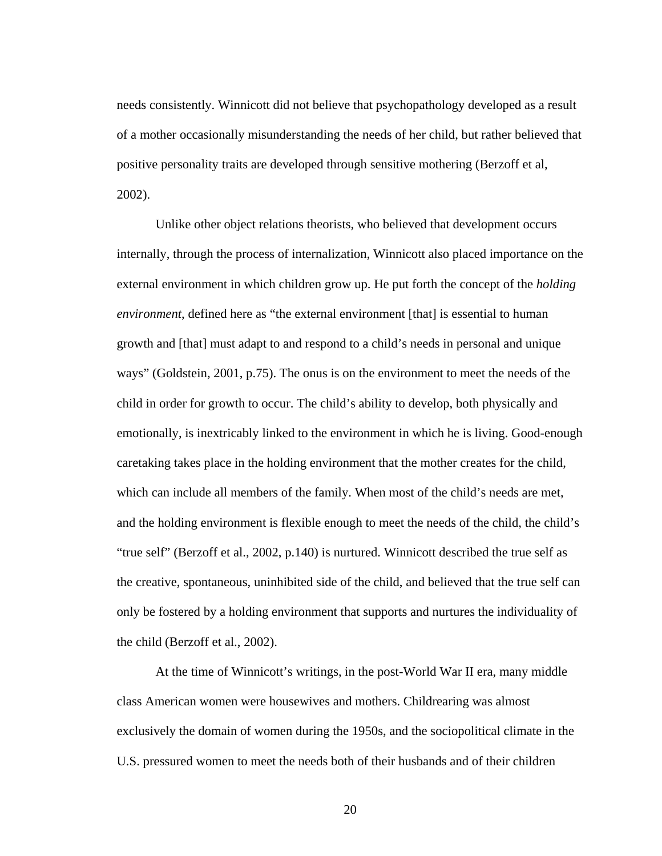needs consistently. Winnicott did not believe that psychopathology developed as a result of a mother occasionally misunderstanding the needs of her child, but rather believed that positive personality traits are developed through sensitive mothering (Berzoff et al, 2002).

Unlike other object relations theorists, who believed that development occurs internally, through the process of internalization, Winnicott also placed importance on the external environment in which children grow up. He put forth the concept of the *holding environment*, defined here as "the external environment [that] is essential to human growth and [that] must adapt to and respond to a child's needs in personal and unique ways" (Goldstein, 2001, p.75). The onus is on the environment to meet the needs of the child in order for growth to occur. The child's ability to develop, both physically and emotionally, is inextricably linked to the environment in which he is living. Good-enough caretaking takes place in the holding environment that the mother creates for the child, which can include all members of the family. When most of the child's needs are met, and the holding environment is flexible enough to meet the needs of the child, the child's "true self" (Berzoff et al., 2002, p.140) is nurtured. Winnicott described the true self as the creative, spontaneous, uninhibited side of the child, and believed that the true self can only be fostered by a holding environment that supports and nurtures the individuality of the child (Berzoff et al., 2002).

At the time of Winnicott's writings, in the post-World War II era, many middle class American women were housewives and mothers. Childrearing was almost exclusively the domain of women during the 1950s, and the sociopolitical climate in the U.S. pressured women to meet the needs both of their husbands and of their children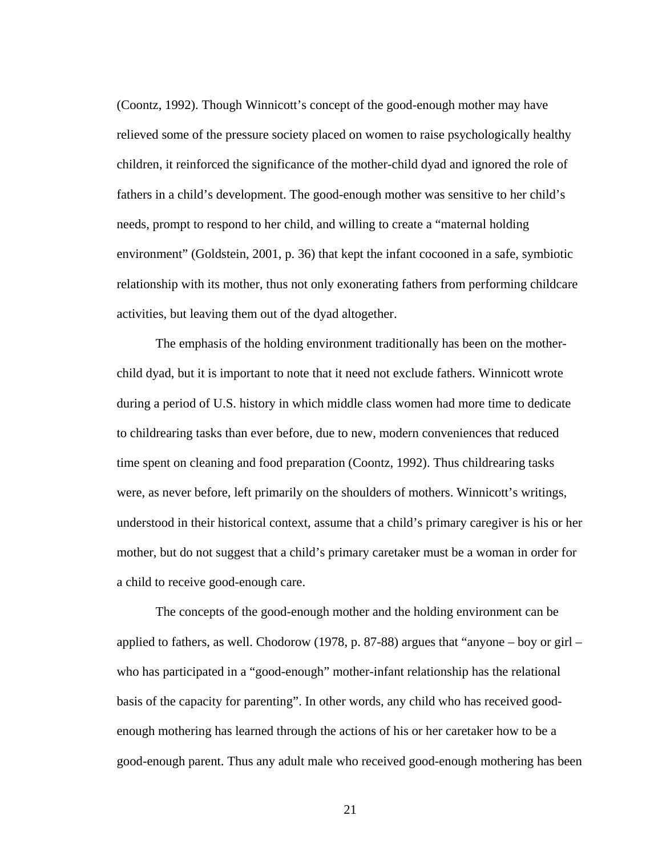(Coontz, 1992). Though Winnicott's concept of the good-enough mother may have relieved some of the pressure society placed on women to raise psychologically healthy children, it reinforced the significance of the mother-child dyad and ignored the role of fathers in a child's development. The good-enough mother was sensitive to her child's needs, prompt to respond to her child, and willing to create a "maternal holding environment" (Goldstein, 2001, p. 36) that kept the infant cocooned in a safe, symbiotic relationship with its mother, thus not only exonerating fathers from performing childcare activities, but leaving them out of the dyad altogether.

The emphasis of the holding environment traditionally has been on the motherchild dyad, but it is important to note that it need not exclude fathers. Winnicott wrote during a period of U.S. history in which middle class women had more time to dedicate to childrearing tasks than ever before, due to new, modern conveniences that reduced time spent on cleaning and food preparation (Coontz, 1992). Thus childrearing tasks were, as never before, left primarily on the shoulders of mothers. Winnicott's writings, understood in their historical context, assume that a child's primary caregiver is his or her mother, but do not suggest that a child's primary caretaker must be a woman in order for a child to receive good-enough care.

The concepts of the good-enough mother and the holding environment can be applied to fathers, as well. Chodorow (1978, p. 87-88) argues that "anyone – boy or girl – who has participated in a "good-enough" mother-infant relationship has the relational basis of the capacity for parenting". In other words, any child who has received goodenough mothering has learned through the actions of his or her caretaker how to be a good-enough parent. Thus any adult male who received good-enough mothering has been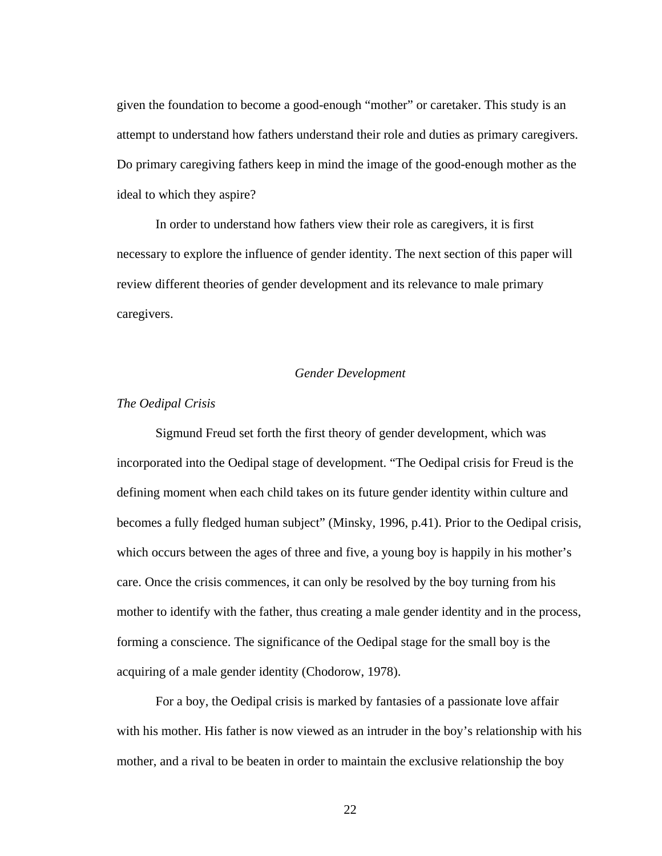given the foundation to become a good-enough "mother" or caretaker. This study is an attempt to understand how fathers understand their role and duties as primary caregivers. Do primary caregiving fathers keep in mind the image of the good-enough mother as the ideal to which they aspire?

 In order to understand how fathers view their role as caregivers, it is first necessary to explore the influence of gender identity. The next section of this paper will review different theories of gender development and its relevance to male primary caregivers.

# *Gender Development*

# *The Oedipal Crisis*

 Sigmund Freud set forth the first theory of gender development, which was incorporated into the Oedipal stage of development. "The Oedipal crisis for Freud is the defining moment when each child takes on its future gender identity within culture and becomes a fully fledged human subject" (Minsky, 1996, p.41). Prior to the Oedipal crisis, which occurs between the ages of three and five, a young boy is happily in his mother's care. Once the crisis commences, it can only be resolved by the boy turning from his mother to identify with the father, thus creating a male gender identity and in the process, forming a conscience. The significance of the Oedipal stage for the small boy is the acquiring of a male gender identity (Chodorow, 1978).

 For a boy, the Oedipal crisis is marked by fantasies of a passionate love affair with his mother. His father is now viewed as an intruder in the boy's relationship with his mother, and a rival to be beaten in order to maintain the exclusive relationship the boy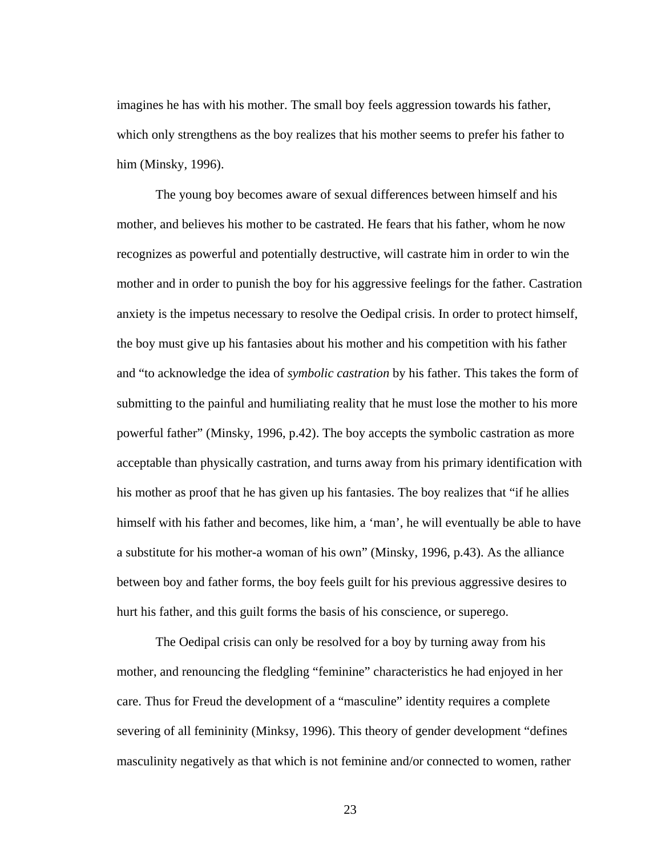imagines he has with his mother. The small boy feels aggression towards his father, which only strengthens as the boy realizes that his mother seems to prefer his father to him (Minsky, 1996).

 The young boy becomes aware of sexual differences between himself and his mother, and believes his mother to be castrated. He fears that his father, whom he now recognizes as powerful and potentially destructive, will castrate him in order to win the mother and in order to punish the boy for his aggressive feelings for the father. Castration anxiety is the impetus necessary to resolve the Oedipal crisis. In order to protect himself, the boy must give up his fantasies about his mother and his competition with his father and "to acknowledge the idea of *symbolic castration* by his father. This takes the form of submitting to the painful and humiliating reality that he must lose the mother to his more powerful father" (Minsky, 1996, p.42). The boy accepts the symbolic castration as more acceptable than physically castration, and turns away from his primary identification with his mother as proof that he has given up his fantasies. The boy realizes that "if he allies himself with his father and becomes, like him, a 'man', he will eventually be able to have a substitute for his mother-a woman of his own" (Minsky, 1996, p.43). As the alliance between boy and father forms, the boy feels guilt for his previous aggressive desires to hurt his father, and this guilt forms the basis of his conscience, or superego.

The Oedipal crisis can only be resolved for a boy by turning away from his mother, and renouncing the fledgling "feminine" characteristics he had enjoyed in her care. Thus for Freud the development of a "masculine" identity requires a complete severing of all femininity (Minksy, 1996). This theory of gender development "defines masculinity negatively as that which is not feminine and/or connected to women, rather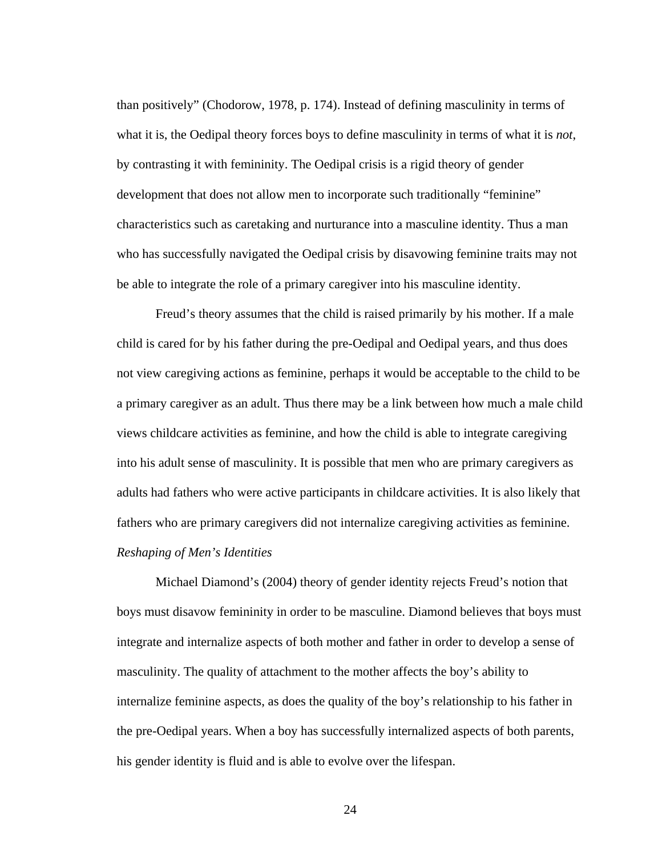than positively" (Chodorow, 1978, p. 174). Instead of defining masculinity in terms of what it is, the Oedipal theory forces boys to define masculinity in terms of what it is *not*, by contrasting it with femininity. The Oedipal crisis is a rigid theory of gender development that does not allow men to incorporate such traditionally "feminine" characteristics such as caretaking and nurturance into a masculine identity. Thus a man who has successfully navigated the Oedipal crisis by disavowing feminine traits may not be able to integrate the role of a primary caregiver into his masculine identity.

Freud's theory assumes that the child is raised primarily by his mother. If a male child is cared for by his father during the pre-Oedipal and Oedipal years, and thus does not view caregiving actions as feminine, perhaps it would be acceptable to the child to be a primary caregiver as an adult. Thus there may be a link between how much a male child views childcare activities as feminine, and how the child is able to integrate caregiving into his adult sense of masculinity. It is possible that men who are primary caregivers as adults had fathers who were active participants in childcare activities. It is also likely that fathers who are primary caregivers did not internalize caregiving activities as feminine. *Reshaping of Men's Identities* 

 Michael Diamond's (2004) theory of gender identity rejects Freud's notion that boys must disavow femininity in order to be masculine. Diamond believes that boys must integrate and internalize aspects of both mother and father in order to develop a sense of masculinity. The quality of attachment to the mother affects the boy's ability to internalize feminine aspects, as does the quality of the boy's relationship to his father in the pre-Oedipal years. When a boy has successfully internalized aspects of both parents, his gender identity is fluid and is able to evolve over the lifespan.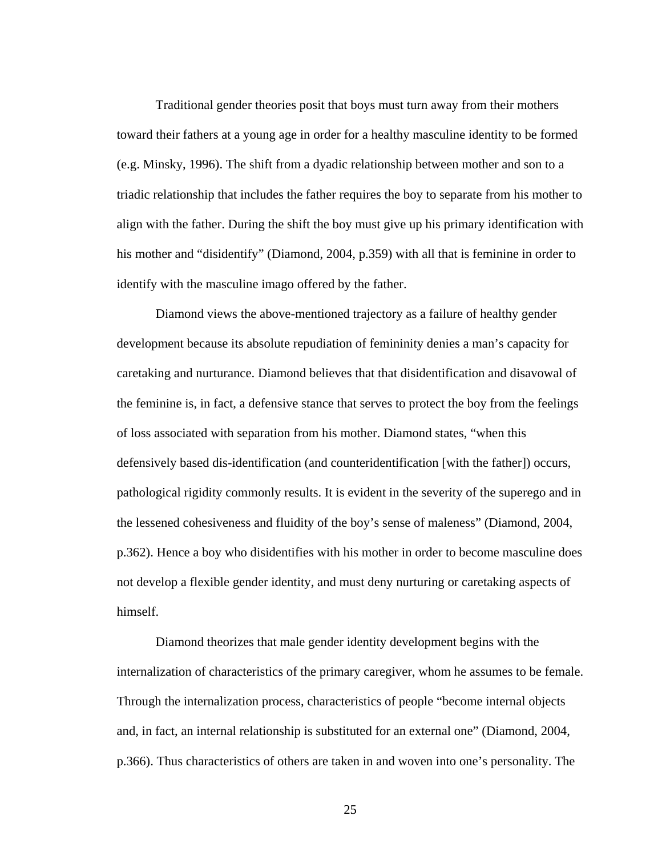Traditional gender theories posit that boys must turn away from their mothers toward their fathers at a young age in order for a healthy masculine identity to be formed (e.g. Minsky, 1996). The shift from a dyadic relationship between mother and son to a triadic relationship that includes the father requires the boy to separate from his mother to align with the father. During the shift the boy must give up his primary identification with his mother and "disidentify" (Diamond, 2004, p.359) with all that is feminine in order to identify with the masculine imago offered by the father.

 Diamond views the above-mentioned trajectory as a failure of healthy gender development because its absolute repudiation of femininity denies a man's capacity for caretaking and nurturance. Diamond believes that that disidentification and disavowal of the feminine is, in fact, a defensive stance that serves to protect the boy from the feelings of loss associated with separation from his mother. Diamond states, "when this defensively based dis-identification (and counteridentification [with the father]) occurs, pathological rigidity commonly results. It is evident in the severity of the superego and in the lessened cohesiveness and fluidity of the boy's sense of maleness" (Diamond, 2004, p.362). Hence a boy who disidentifies with his mother in order to become masculine does not develop a flexible gender identity, and must deny nurturing or caretaking aspects of himself.

 Diamond theorizes that male gender identity development begins with the internalization of characteristics of the primary caregiver, whom he assumes to be female. Through the internalization process, characteristics of people "become internal objects and, in fact, an internal relationship is substituted for an external one" (Diamond, 2004, p.366). Thus characteristics of others are taken in and woven into one's personality. The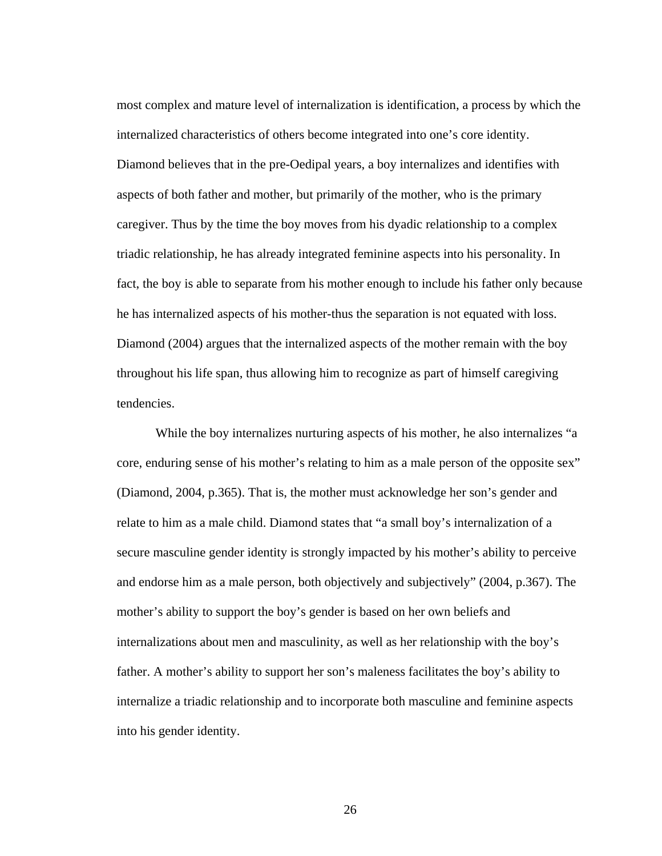most complex and mature level of internalization is identification, a process by which the internalized characteristics of others become integrated into one's core identity. Diamond believes that in the pre-Oedipal years, a boy internalizes and identifies with aspects of both father and mother, but primarily of the mother, who is the primary caregiver. Thus by the time the boy moves from his dyadic relationship to a complex triadic relationship, he has already integrated feminine aspects into his personality. In fact, the boy is able to separate from his mother enough to include his father only because he has internalized aspects of his mother-thus the separation is not equated with loss. Diamond (2004) argues that the internalized aspects of the mother remain with the boy throughout his life span, thus allowing him to recognize as part of himself caregiving tendencies.

 While the boy internalizes nurturing aspects of his mother, he also internalizes "a core, enduring sense of his mother's relating to him as a male person of the opposite sex" (Diamond, 2004, p.365). That is, the mother must acknowledge her son's gender and relate to him as a male child. Diamond states that "a small boy's internalization of a secure masculine gender identity is strongly impacted by his mother's ability to perceive and endorse him as a male person, both objectively and subjectively" (2004, p.367). The mother's ability to support the boy's gender is based on her own beliefs and internalizations about men and masculinity, as well as her relationship with the boy's father. A mother's ability to support her son's maleness facilitates the boy's ability to internalize a triadic relationship and to incorporate both masculine and feminine aspects into his gender identity.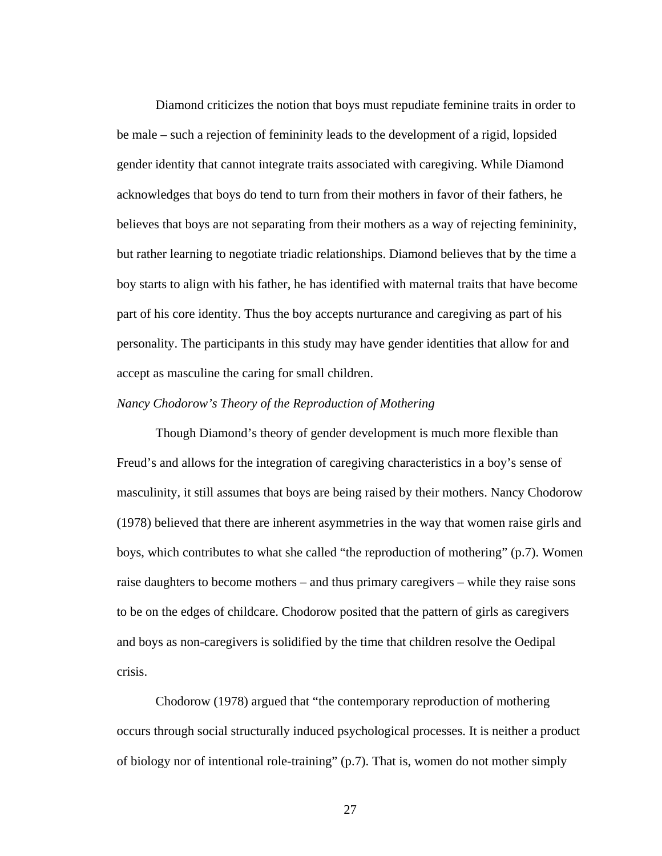Diamond criticizes the notion that boys must repudiate feminine traits in order to be male – such a rejection of femininity leads to the development of a rigid, lopsided gender identity that cannot integrate traits associated with caregiving. While Diamond acknowledges that boys do tend to turn from their mothers in favor of their fathers, he believes that boys are not separating from their mothers as a way of rejecting femininity, but rather learning to negotiate triadic relationships. Diamond believes that by the time a boy starts to align with his father, he has identified with maternal traits that have become part of his core identity. Thus the boy accepts nurturance and caregiving as part of his personality. The participants in this study may have gender identities that allow for and accept as masculine the caring for small children.

# *Nancy Chodorow's Theory of the Reproduction of Mothering*

Though Diamond's theory of gender development is much more flexible than Freud's and allows for the integration of caregiving characteristics in a boy's sense of masculinity, it still assumes that boys are being raised by their mothers. Nancy Chodorow (1978) believed that there are inherent asymmetries in the way that women raise girls and boys, which contributes to what she called "the reproduction of mothering" (p.7). Women raise daughters to become mothers – and thus primary caregivers – while they raise sons to be on the edges of childcare. Chodorow posited that the pattern of girls as caregivers and boys as non-caregivers is solidified by the time that children resolve the Oedipal crisis.

Chodorow (1978) argued that "the contemporary reproduction of mothering occurs through social structurally induced psychological processes. It is neither a product of biology nor of intentional role-training" (p.7). That is, women do not mother simply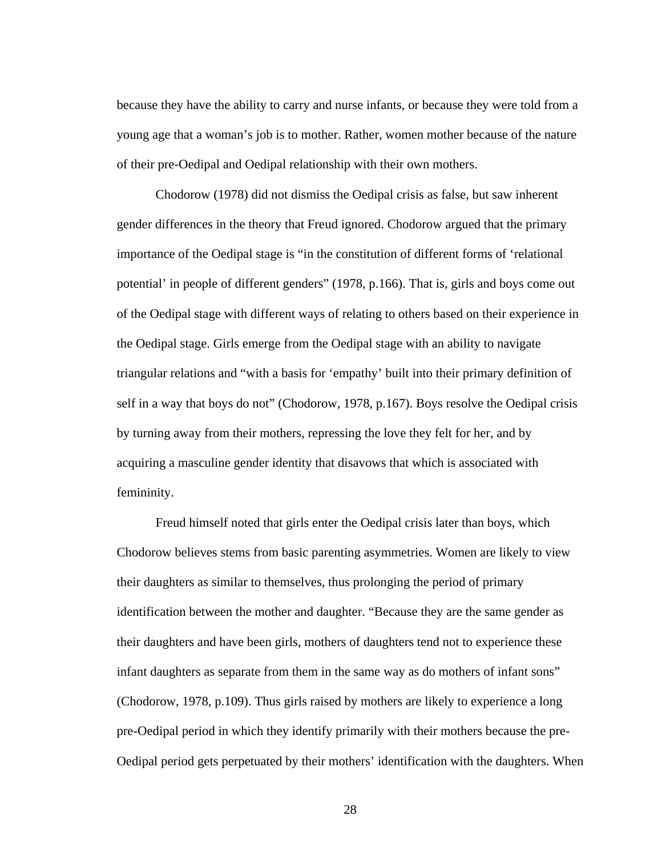because they have the ability to carry and nurse infants, or because they were told from a young age that a woman's job is to mother. Rather, women mother because of the nature of their pre-Oedipal and Oedipal relationship with their own mothers.

Chodorow (1978) did not dismiss the Oedipal crisis as false, but saw inherent gender differences in the theory that Freud ignored. Chodorow argued that the primary importance of the Oedipal stage is "in the constitution of different forms of 'relational potential' in people of different genders" (1978, p.166). That is, girls and boys come out of the Oedipal stage with different ways of relating to others based on their experience in the Oedipal stage. Girls emerge from the Oedipal stage with an ability to navigate triangular relations and "with a basis for 'empathy' built into their primary definition of self in a way that boys do not" (Chodorow, 1978, p.167). Boys resolve the Oedipal crisis by turning away from their mothers, repressing the love they felt for her, and by acquiring a masculine gender identity that disavows that which is associated with femininity.

Freud himself noted that girls enter the Oedipal crisis later than boys, which Chodorow believes stems from basic parenting asymmetries. Women are likely to view their daughters as similar to themselves, thus prolonging the period of primary identification between the mother and daughter. "Because they are the same gender as their daughters and have been girls, mothers of daughters tend not to experience these infant daughters as separate from them in the same way as do mothers of infant sons" (Chodorow, 1978, p.109). Thus girls raised by mothers are likely to experience a long pre-Oedipal period in which they identify primarily with their mothers because the pre-Oedipal period gets perpetuated by their mothers' identification with the daughters. When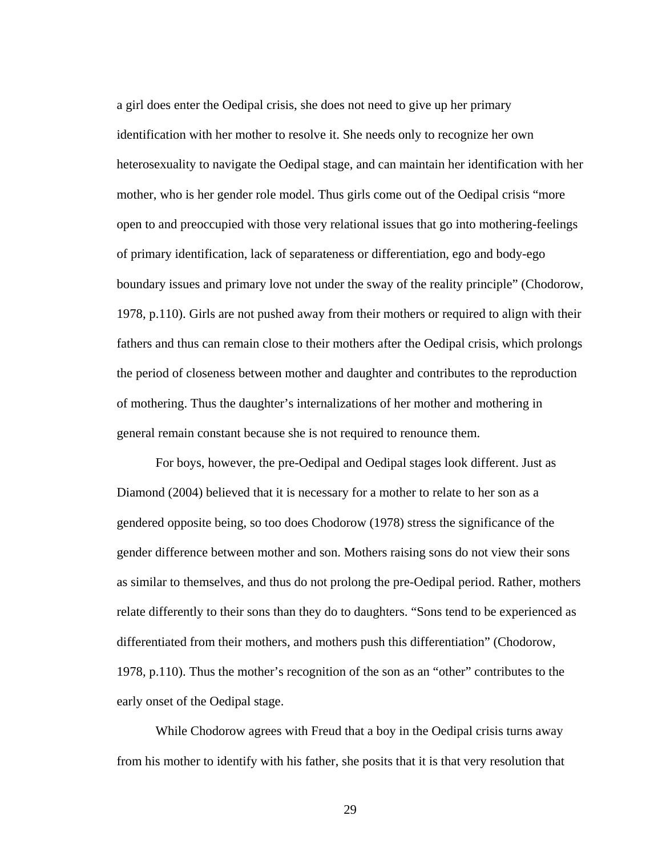a girl does enter the Oedipal crisis, she does not need to give up her primary identification with her mother to resolve it. She needs only to recognize her own heterosexuality to navigate the Oedipal stage, and can maintain her identification with her mother, who is her gender role model. Thus girls come out of the Oedipal crisis "more open to and preoccupied with those very relational issues that go into mothering-feelings of primary identification, lack of separateness or differentiation, ego and body-ego boundary issues and primary love not under the sway of the reality principle" (Chodorow, 1978, p.110). Girls are not pushed away from their mothers or required to align with their fathers and thus can remain close to their mothers after the Oedipal crisis, which prolongs the period of closeness between mother and daughter and contributes to the reproduction of mothering. Thus the daughter's internalizations of her mother and mothering in general remain constant because she is not required to renounce them.

For boys, however, the pre-Oedipal and Oedipal stages look different. Just as Diamond (2004) believed that it is necessary for a mother to relate to her son as a gendered opposite being, so too does Chodorow (1978) stress the significance of the gender difference between mother and son. Mothers raising sons do not view their sons as similar to themselves, and thus do not prolong the pre-Oedipal period. Rather, mothers relate differently to their sons than they do to daughters. "Sons tend to be experienced as differentiated from their mothers, and mothers push this differentiation" (Chodorow, 1978, p.110). Thus the mother's recognition of the son as an "other" contributes to the early onset of the Oedipal stage.

While Chodorow agrees with Freud that a boy in the Oedipal crisis turns away from his mother to identify with his father, she posits that it is that very resolution that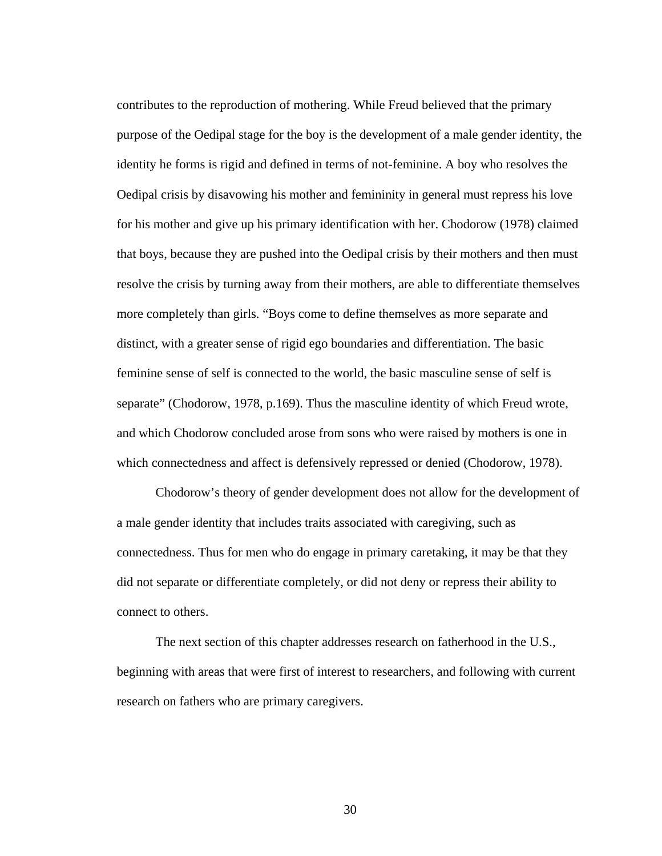contributes to the reproduction of mothering. While Freud believed that the primary purpose of the Oedipal stage for the boy is the development of a male gender identity, the identity he forms is rigid and defined in terms of not-feminine. A boy who resolves the Oedipal crisis by disavowing his mother and femininity in general must repress his love for his mother and give up his primary identification with her. Chodorow (1978) claimed that boys, because they are pushed into the Oedipal crisis by their mothers and then must resolve the crisis by turning away from their mothers, are able to differentiate themselves more completely than girls. "Boys come to define themselves as more separate and distinct, with a greater sense of rigid ego boundaries and differentiation. The basic feminine sense of self is connected to the world, the basic masculine sense of self is separate" (Chodorow, 1978, p.169). Thus the masculine identity of which Freud wrote, and which Chodorow concluded arose from sons who were raised by mothers is one in which connectedness and affect is defensively repressed or denied (Chodorow, 1978).

Chodorow's theory of gender development does not allow for the development of a male gender identity that includes traits associated with caregiving, such as connectedness. Thus for men who do engage in primary caretaking, it may be that they did not separate or differentiate completely, or did not deny or repress their ability to connect to others.

The next section of this chapter addresses research on fatherhood in the U.S., beginning with areas that were first of interest to researchers, and following with current research on fathers who are primary caregivers.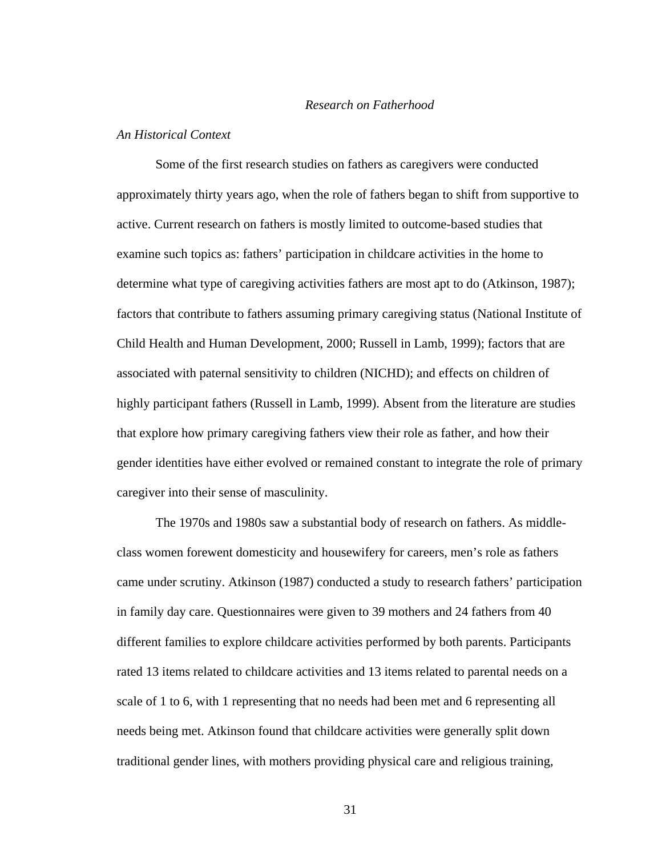#### *Research on Fatherhood*

#### *An Historical Context*

Some of the first research studies on fathers as caregivers were conducted approximately thirty years ago, when the role of fathers began to shift from supportive to active. Current research on fathers is mostly limited to outcome-based studies that examine such topics as: fathers' participation in childcare activities in the home to determine what type of caregiving activities fathers are most apt to do (Atkinson, 1987); factors that contribute to fathers assuming primary caregiving status (National Institute of Child Health and Human Development, 2000; Russell in Lamb, 1999); factors that are associated with paternal sensitivity to children (NICHD); and effects on children of highly participant fathers (Russell in Lamb, 1999). Absent from the literature are studies that explore how primary caregiving fathers view their role as father, and how their gender identities have either evolved or remained constant to integrate the role of primary caregiver into their sense of masculinity.

 The 1970s and 1980s saw a substantial body of research on fathers. As middleclass women forewent domesticity and housewifery for careers, men's role as fathers came under scrutiny. Atkinson (1987) conducted a study to research fathers' participation in family day care. Questionnaires were given to 39 mothers and 24 fathers from 40 different families to explore childcare activities performed by both parents. Participants rated 13 items related to childcare activities and 13 items related to parental needs on a scale of 1 to 6, with 1 representing that no needs had been met and 6 representing all needs being met. Atkinson found that childcare activities were generally split down traditional gender lines, with mothers providing physical care and religious training,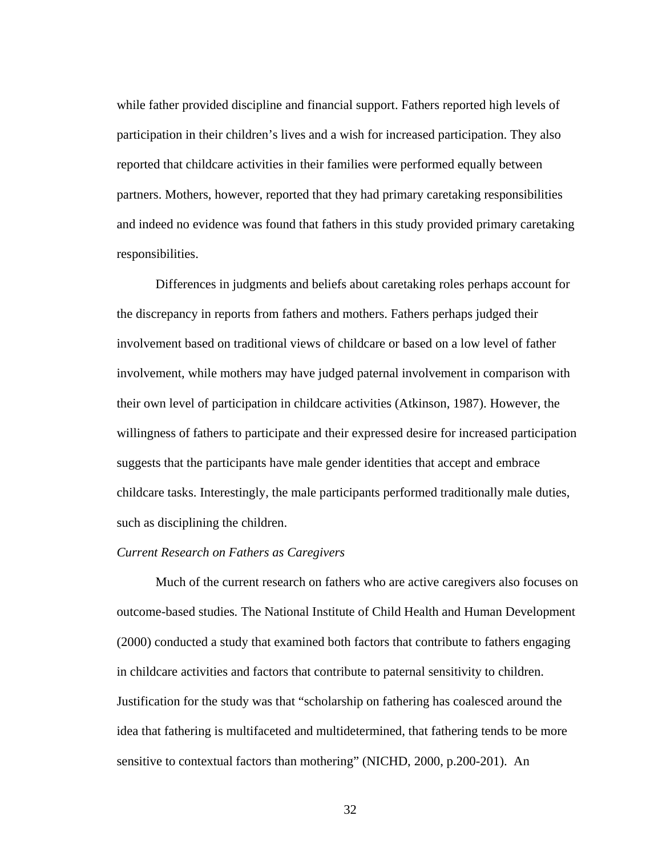while father provided discipline and financial support. Fathers reported high levels of participation in their children's lives and a wish for increased participation. They also reported that childcare activities in their families were performed equally between partners. Mothers, however, reported that they had primary caretaking responsibilities and indeed no evidence was found that fathers in this study provided primary caretaking responsibilities.

Differences in judgments and beliefs about caretaking roles perhaps account for the discrepancy in reports from fathers and mothers. Fathers perhaps judged their involvement based on traditional views of childcare or based on a low level of father involvement, while mothers may have judged paternal involvement in comparison with their own level of participation in childcare activities (Atkinson, 1987). However, the willingness of fathers to participate and their expressed desire for increased participation suggests that the participants have male gender identities that accept and embrace childcare tasks. Interestingly, the male participants performed traditionally male duties, such as disciplining the children.

#### *Current Research on Fathers as Caregivers*

 Much of the current research on fathers who are active caregivers also focuses on outcome-based studies*.* The National Institute of Child Health and Human Development (2000) conducted a study that examined both factors that contribute to fathers engaging in childcare activities and factors that contribute to paternal sensitivity to children. Justification for the study was that "scholarship on fathering has coalesced around the idea that fathering is multifaceted and multidetermined, that fathering tends to be more sensitive to contextual factors than mothering" (NICHD, 2000, p.200-201). An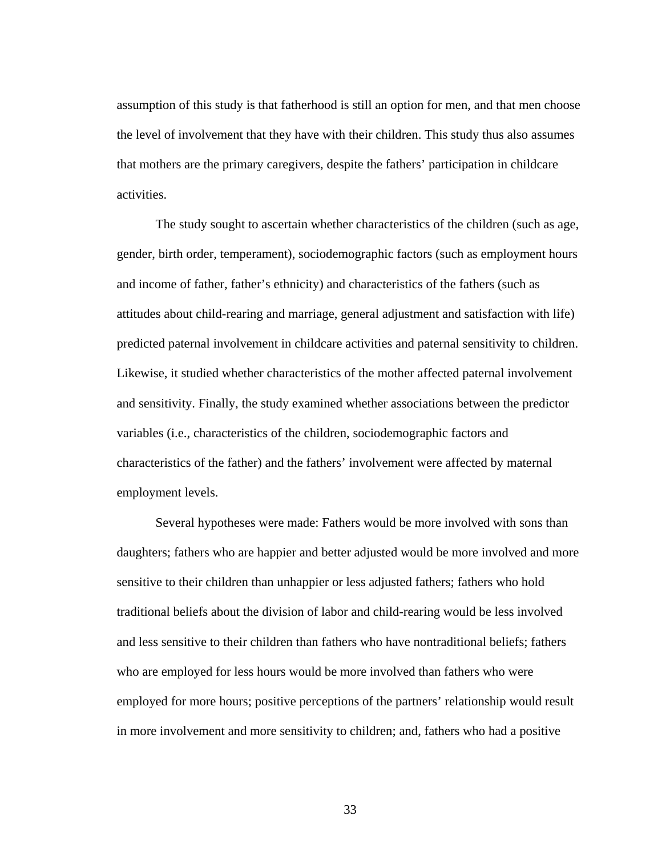assumption of this study is that fatherhood is still an option for men, and that men choose the level of involvement that they have with their children. This study thus also assumes that mothers are the primary caregivers, despite the fathers' participation in childcare activities.

 The study sought to ascertain whether characteristics of the children (such as age, gender, birth order, temperament), sociodemographic factors (such as employment hours and income of father, father's ethnicity) and characteristics of the fathers (such as attitudes about child-rearing and marriage, general adjustment and satisfaction with life) predicted paternal involvement in childcare activities and paternal sensitivity to children. Likewise, it studied whether characteristics of the mother affected paternal involvement and sensitivity. Finally, the study examined whether associations between the predictor variables (i.e., characteristics of the children, sociodemographic factors and characteristics of the father) and the fathers' involvement were affected by maternal employment levels.

 Several hypotheses were made: Fathers would be more involved with sons than daughters; fathers who are happier and better adjusted would be more involved and more sensitive to their children than unhappier or less adjusted fathers; fathers who hold traditional beliefs about the division of labor and child-rearing would be less involved and less sensitive to their children than fathers who have nontraditional beliefs; fathers who are employed for less hours would be more involved than fathers who were employed for more hours; positive perceptions of the partners' relationship would result in more involvement and more sensitivity to children; and, fathers who had a positive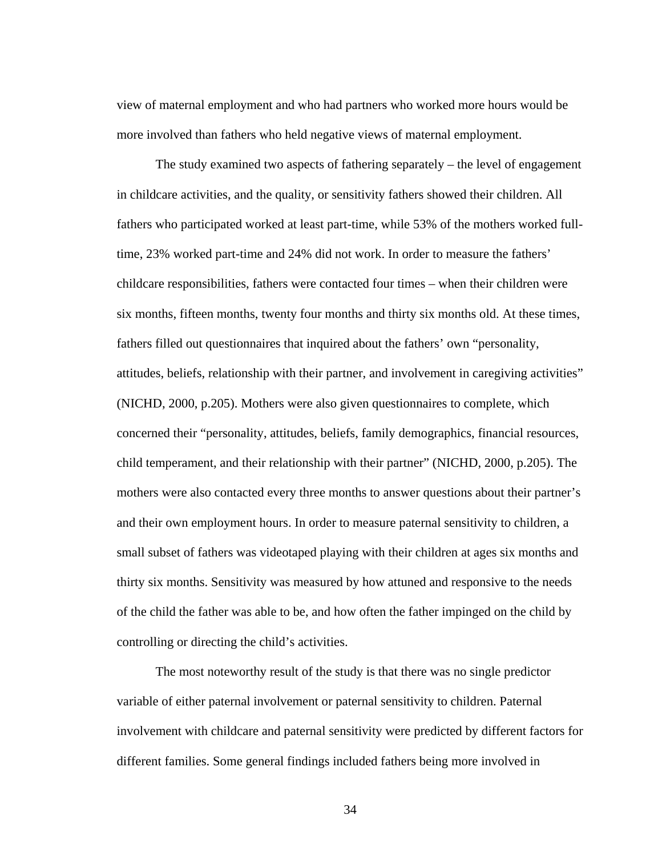view of maternal employment and who had partners who worked more hours would be more involved than fathers who held negative views of maternal employment.

The study examined two aspects of fathering separately – the level of engagement in childcare activities, and the quality, or sensitivity fathers showed their children. All fathers who participated worked at least part-time, while 53% of the mothers worked fulltime, 23% worked part-time and 24% did not work. In order to measure the fathers' childcare responsibilities, fathers were contacted four times – when their children were six months, fifteen months, twenty four months and thirty six months old. At these times, fathers filled out questionnaires that inquired about the fathers' own "personality, attitudes, beliefs, relationship with their partner, and involvement in caregiving activities" (NICHD, 2000, p.205). Mothers were also given questionnaires to complete, which concerned their "personality, attitudes, beliefs, family demographics, financial resources, child temperament, and their relationship with their partner" (NICHD, 2000, p.205). The mothers were also contacted every three months to answer questions about their partner's and their own employment hours. In order to measure paternal sensitivity to children, a small subset of fathers was videotaped playing with their children at ages six months and thirty six months. Sensitivity was measured by how attuned and responsive to the needs of the child the father was able to be, and how often the father impinged on the child by controlling or directing the child's activities.

 The most noteworthy result of the study is that there was no single predictor variable of either paternal involvement or paternal sensitivity to children. Paternal involvement with childcare and paternal sensitivity were predicted by different factors for different families. Some general findings included fathers being more involved in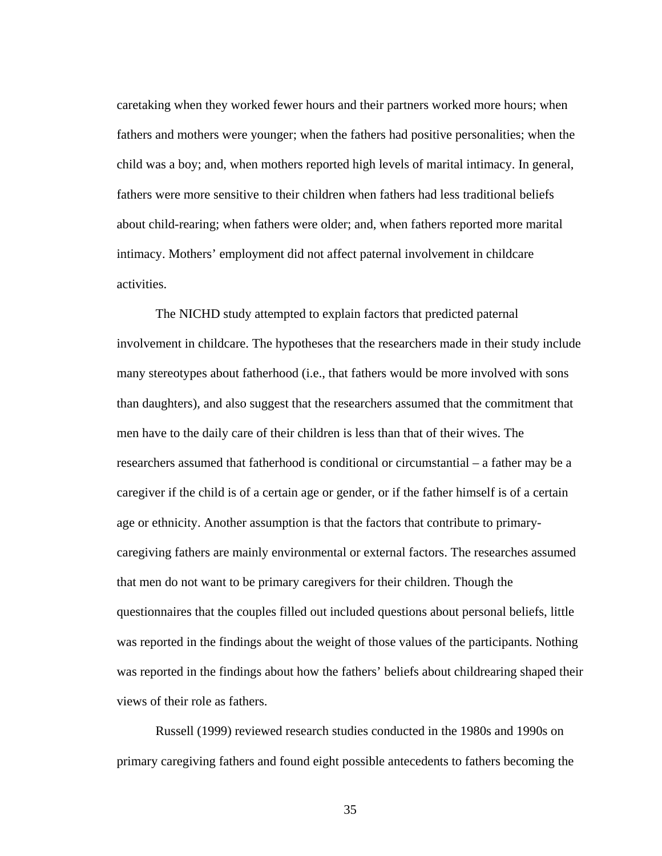caretaking when they worked fewer hours and their partners worked more hours; when fathers and mothers were younger; when the fathers had positive personalities; when the child was a boy; and, when mothers reported high levels of marital intimacy. In general, fathers were more sensitive to their children when fathers had less traditional beliefs about child-rearing; when fathers were older; and, when fathers reported more marital intimacy. Mothers' employment did not affect paternal involvement in childcare activities.

 The NICHD study attempted to explain factors that predicted paternal involvement in childcare. The hypotheses that the researchers made in their study include many stereotypes about fatherhood (i.e., that fathers would be more involved with sons than daughters), and also suggest that the researchers assumed that the commitment that men have to the daily care of their children is less than that of their wives. The researchers assumed that fatherhood is conditional or circumstantial – a father may be a caregiver if the child is of a certain age or gender, or if the father himself is of a certain age or ethnicity. Another assumption is that the factors that contribute to primarycaregiving fathers are mainly environmental or external factors. The researches assumed that men do not want to be primary caregivers for their children. Though the questionnaires that the couples filled out included questions about personal beliefs, little was reported in the findings about the weight of those values of the participants. Nothing was reported in the findings about how the fathers' beliefs about childrearing shaped their views of their role as fathers.

 Russell (1999) reviewed research studies conducted in the 1980s and 1990s on primary caregiving fathers and found eight possible antecedents to fathers becoming the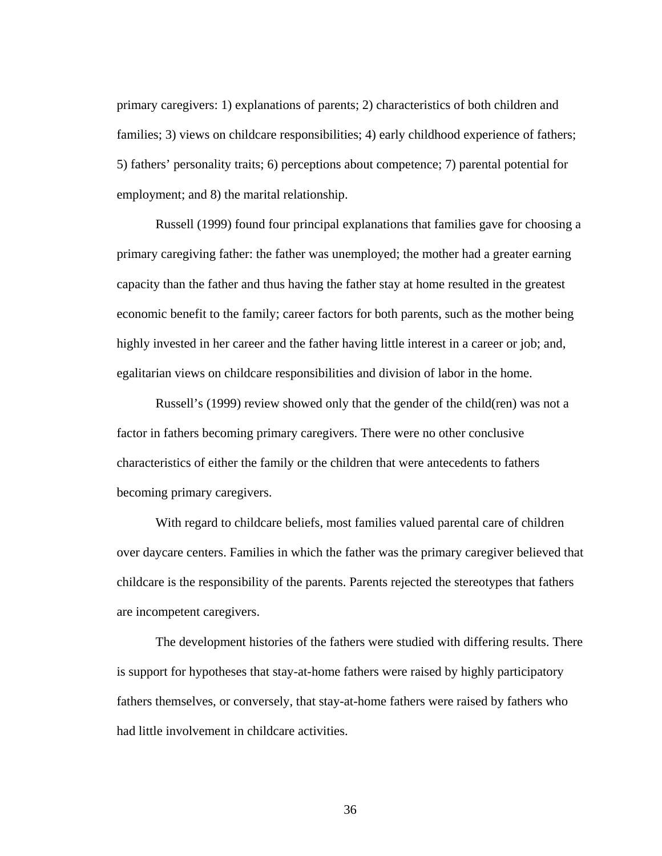primary caregivers: 1) explanations of parents; 2) characteristics of both children and families; 3) views on childcare responsibilities; 4) early childhood experience of fathers; 5) fathers' personality traits; 6) perceptions about competence; 7) parental potential for employment; and 8) the marital relationship.

 Russell (1999) found four principal explanations that families gave for choosing a primary caregiving father: the father was unemployed; the mother had a greater earning capacity than the father and thus having the father stay at home resulted in the greatest economic benefit to the family; career factors for both parents, such as the mother being highly invested in her career and the father having little interest in a career or job; and, egalitarian views on childcare responsibilities and division of labor in the home.

 Russell's (1999) review showed only that the gender of the child(ren) was not a factor in fathers becoming primary caregivers. There were no other conclusive characteristics of either the family or the children that were antecedents to fathers becoming primary caregivers.

 With regard to childcare beliefs, most families valued parental care of children over daycare centers. Families in which the father was the primary caregiver believed that childcare is the responsibility of the parents. Parents rejected the stereotypes that fathers are incompetent caregivers.

 The development histories of the fathers were studied with differing results. There is support for hypotheses that stay-at-home fathers were raised by highly participatory fathers themselves, or conversely, that stay-at-home fathers were raised by fathers who had little involvement in childcare activities.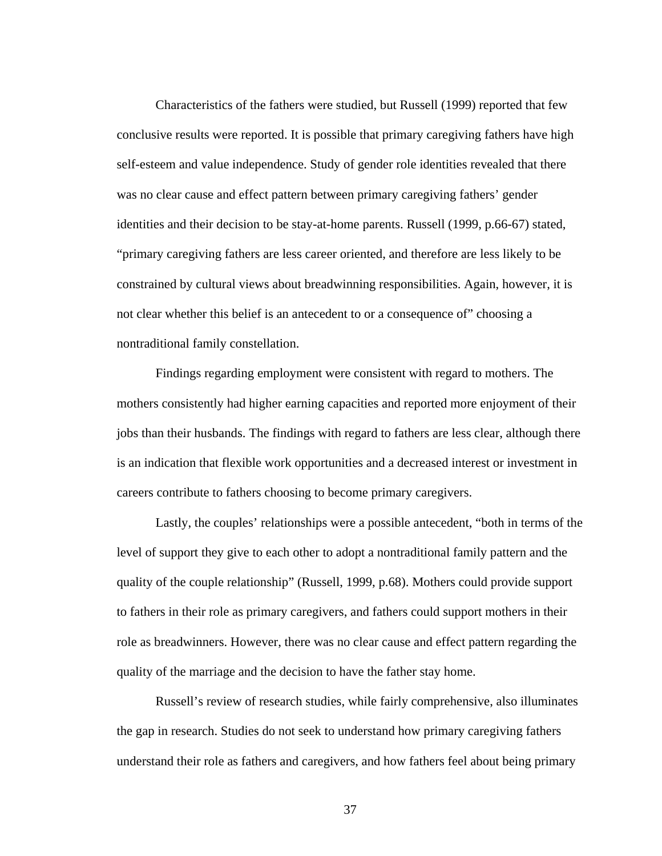Characteristics of the fathers were studied, but Russell (1999) reported that few conclusive results were reported. It is possible that primary caregiving fathers have high self-esteem and value independence. Study of gender role identities revealed that there was no clear cause and effect pattern between primary caregiving fathers' gender identities and their decision to be stay-at-home parents. Russell (1999, p.66-67) stated, "primary caregiving fathers are less career oriented, and therefore are less likely to be constrained by cultural views about breadwinning responsibilities. Again, however, it is not clear whether this belief is an antecedent to or a consequence of" choosing a nontraditional family constellation.

 Findings regarding employment were consistent with regard to mothers. The mothers consistently had higher earning capacities and reported more enjoyment of their jobs than their husbands. The findings with regard to fathers are less clear, although there is an indication that flexible work opportunities and a decreased interest or investment in careers contribute to fathers choosing to become primary caregivers.

 Lastly, the couples' relationships were a possible antecedent, "both in terms of the level of support they give to each other to adopt a nontraditional family pattern and the quality of the couple relationship" (Russell, 1999, p.68). Mothers could provide support to fathers in their role as primary caregivers, and fathers could support mothers in their role as breadwinners. However, there was no clear cause and effect pattern regarding the quality of the marriage and the decision to have the father stay home.

 Russell's review of research studies, while fairly comprehensive, also illuminates the gap in research. Studies do not seek to understand how primary caregiving fathers understand their role as fathers and caregivers, and how fathers feel about being primary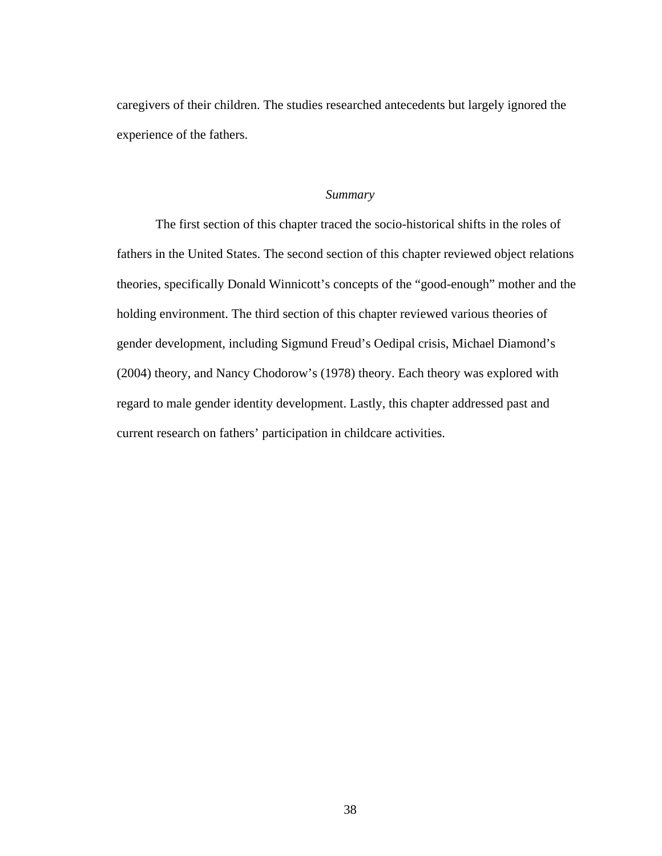caregivers of their children. The studies researched antecedents but largely ignored the experience of the fathers.

#### *Summary*

The first section of this chapter traced the socio-historical shifts in the roles of fathers in the United States. The second section of this chapter reviewed object relations theories, specifically Donald Winnicott's concepts of the "good-enough" mother and the holding environment. The third section of this chapter reviewed various theories of gender development, including Sigmund Freud's Oedipal crisis, Michael Diamond's (2004) theory, and Nancy Chodorow's (1978) theory. Each theory was explored with regard to male gender identity development. Lastly, this chapter addressed past and current research on fathers' participation in childcare activities.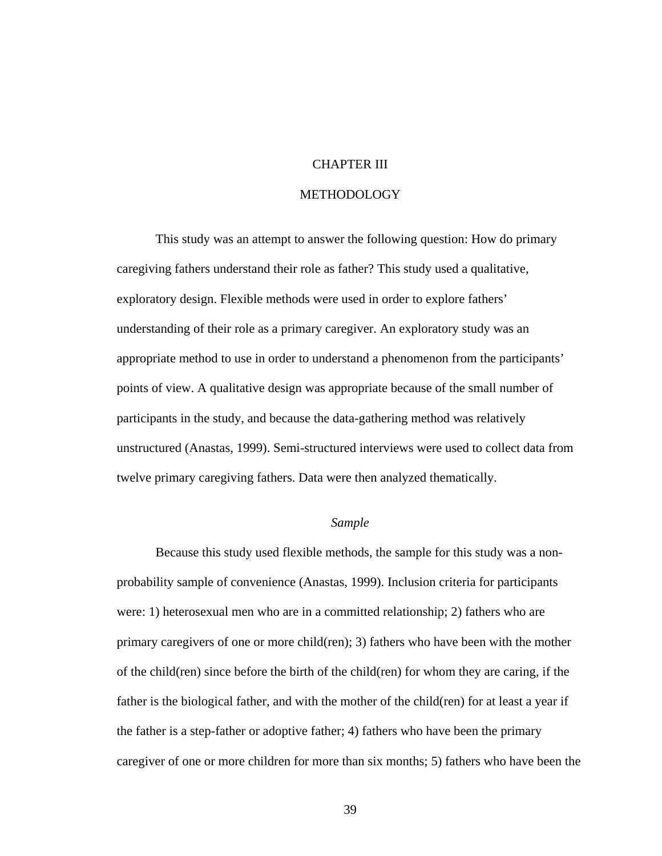### CHAPTER III

#### METHODOLOGY

 This study was an attempt to answer the following question: How do primary caregiving fathers understand their role as father? This study used a qualitative, exploratory design. Flexible methods were used in order to explore fathers' understanding of their role as a primary caregiver. An exploratory study was an appropriate method to use in order to understand a phenomenon from the participants' points of view. A qualitative design was appropriate because of the small number of participants in the study, and because the data-gathering method was relatively unstructured (Anastas, 1999). Semi-structured interviews were used to collect data from twelve primary caregiving fathers. Data were then analyzed thematically.

### *Sample*

Because this study used flexible methods, the sample for this study was a nonprobability sample of convenience (Anastas, 1999). Inclusion criteria for participants were: 1) heterosexual men who are in a committed relationship; 2) fathers who are primary caregivers of one or more child(ren); 3) fathers who have been with the mother of the child(ren) since before the birth of the child(ren) for whom they are caring, if the father is the biological father, and with the mother of the child(ren) for at least a year if the father is a step-father or adoptive father; 4) fathers who have been the primary caregiver of one or more children for more than six months; 5) fathers who have been the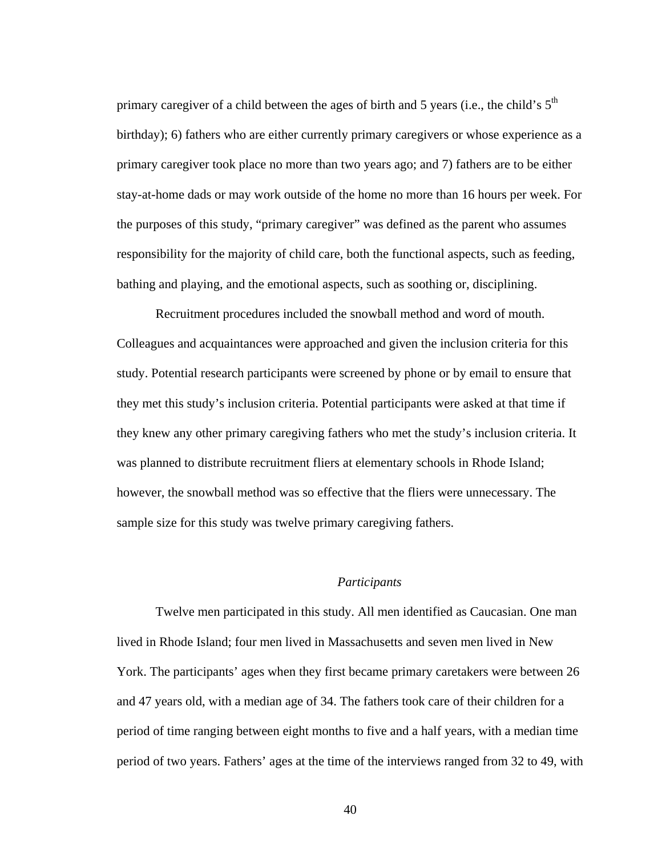primary caregiver of a child between the ages of birth and 5 years (i.e., the child's  $5<sup>th</sup>$ birthday); 6) fathers who are either currently primary caregivers or whose experience as a primary caregiver took place no more than two years ago; and 7) fathers are to be either stay-at-home dads or may work outside of the home no more than 16 hours per week. For the purposes of this study, "primary caregiver" was defined as the parent who assumes responsibility for the majority of child care, both the functional aspects, such as feeding, bathing and playing, and the emotional aspects, such as soothing or, disciplining.

Recruitment procedures included the snowball method and word of mouth. Colleagues and acquaintances were approached and given the inclusion criteria for this study. Potential research participants were screened by phone or by email to ensure that they met this study's inclusion criteria. Potential participants were asked at that time if they knew any other primary caregiving fathers who met the study's inclusion criteria. It was planned to distribute recruitment fliers at elementary schools in Rhode Island; however, the snowball method was so effective that the fliers were unnecessary. The sample size for this study was twelve primary caregiving fathers.

### *Participants*

Twelve men participated in this study. All men identified as Caucasian. One man lived in Rhode Island; four men lived in Massachusetts and seven men lived in New York. The participants' ages when they first became primary caretakers were between 26 and 47 years old, with a median age of 34. The fathers took care of their children for a period of time ranging between eight months to five and a half years, with a median time period of two years. Fathers' ages at the time of the interviews ranged from 32 to 49, with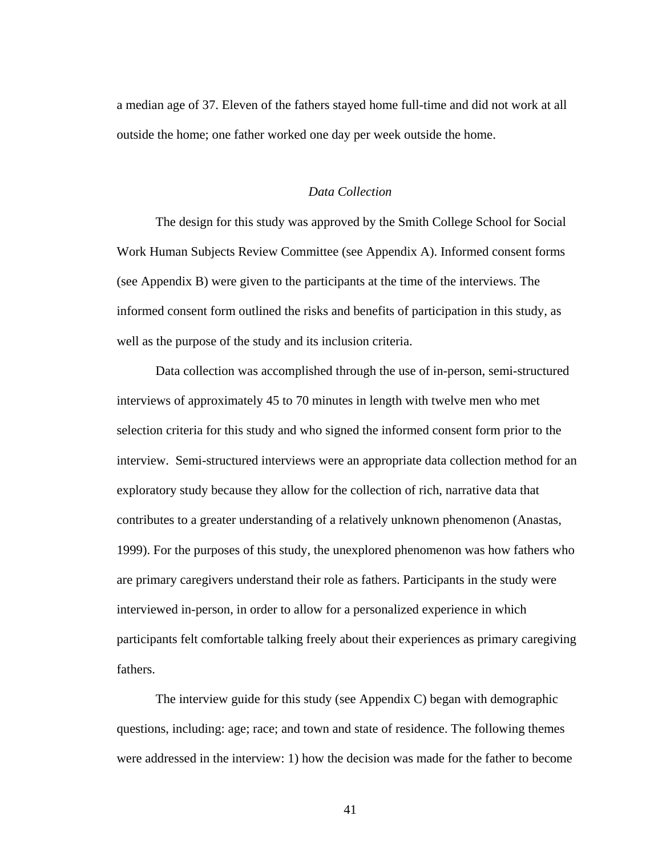a median age of 37. Eleven of the fathers stayed home full-time and did not work at all outside the home; one father worked one day per week outside the home.

### *Data Collection*

The design for this study was approved by the Smith College School for Social Work Human Subjects Review Committee (see Appendix A). Informed consent forms (see Appendix B) were given to the participants at the time of the interviews. The informed consent form outlined the risks and benefits of participation in this study, as well as the purpose of the study and its inclusion criteria.

Data collection was accomplished through the use of in-person, semi-structured interviews of approximately 45 to 70 minutes in length with twelve men who met selection criteria for this study and who signed the informed consent form prior to the interview. Semi-structured interviews were an appropriate data collection method for an exploratory study because they allow for the collection of rich, narrative data that contributes to a greater understanding of a relatively unknown phenomenon (Anastas, 1999). For the purposes of this study, the unexplored phenomenon was how fathers who are primary caregivers understand their role as fathers. Participants in the study were interviewed in-person, in order to allow for a personalized experience in which participants felt comfortable talking freely about their experiences as primary caregiving fathers.

 The interview guide for this study (see Appendix C) began with demographic questions, including: age; race; and town and state of residence. The following themes were addressed in the interview: 1) how the decision was made for the father to become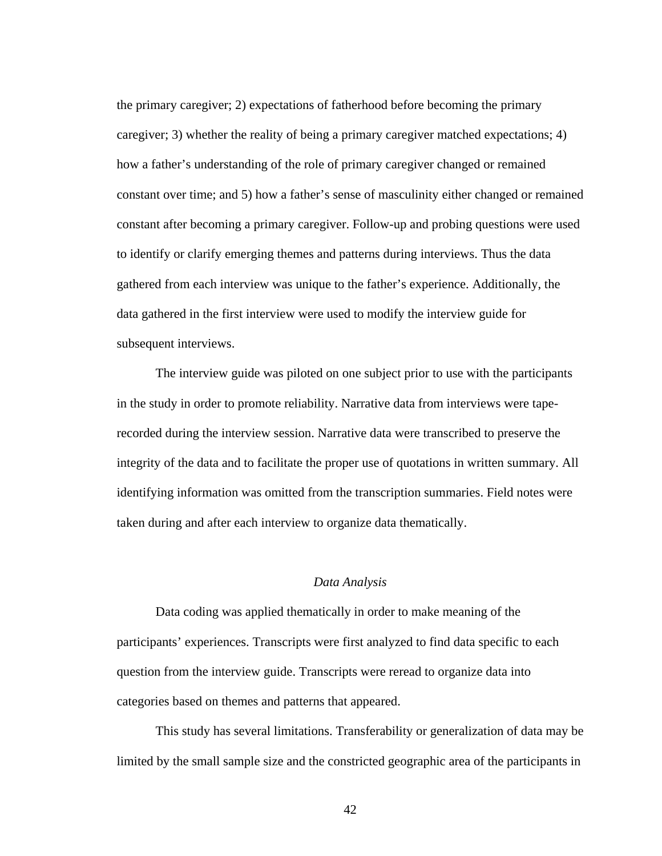the primary caregiver; 2) expectations of fatherhood before becoming the primary caregiver; 3) whether the reality of being a primary caregiver matched expectations; 4) how a father's understanding of the role of primary caregiver changed or remained constant over time; and 5) how a father's sense of masculinity either changed or remained constant after becoming a primary caregiver. Follow-up and probing questions were used to identify or clarify emerging themes and patterns during interviews. Thus the data gathered from each interview was unique to the father's experience. Additionally, the data gathered in the first interview were used to modify the interview guide for subsequent interviews.

 The interview guide was piloted on one subject prior to use with the participants in the study in order to promote reliability. Narrative data from interviews were taperecorded during the interview session. Narrative data were transcribed to preserve the integrity of the data and to facilitate the proper use of quotations in written summary. All identifying information was omitted from the transcription summaries. Field notes were taken during and after each interview to organize data thematically.

#### *Data Analysis*

 Data coding was applied thematically in order to make meaning of the participants' experiences. Transcripts were first analyzed to find data specific to each question from the interview guide. Transcripts were reread to organize data into categories based on themes and patterns that appeared.

This study has several limitations. Transferability or generalization of data may be limited by the small sample size and the constricted geographic area of the participants in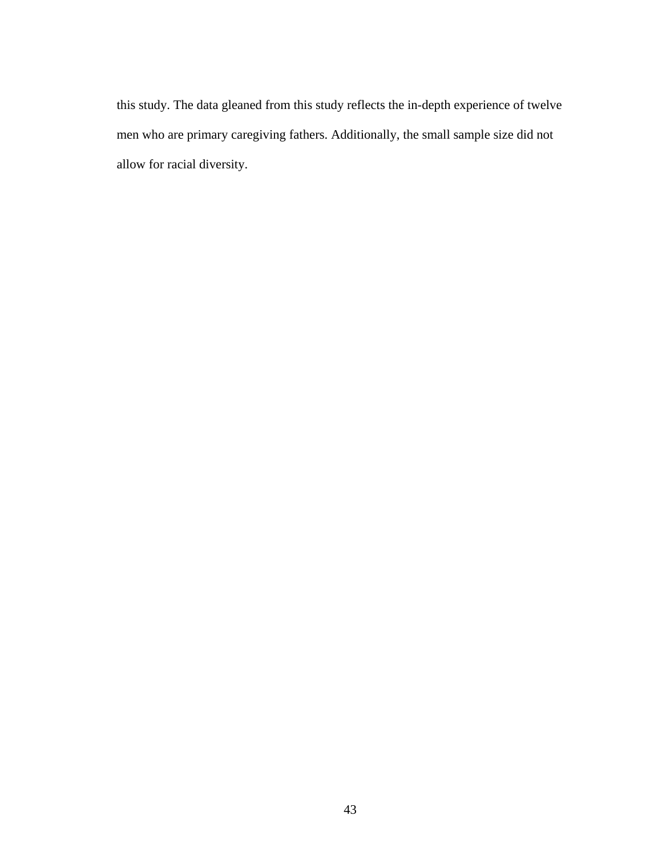this study. The data gleaned from this study reflects the in-depth experience of twelve men who are primary caregiving fathers. Additionally, the small sample size did not allow for racial diversity.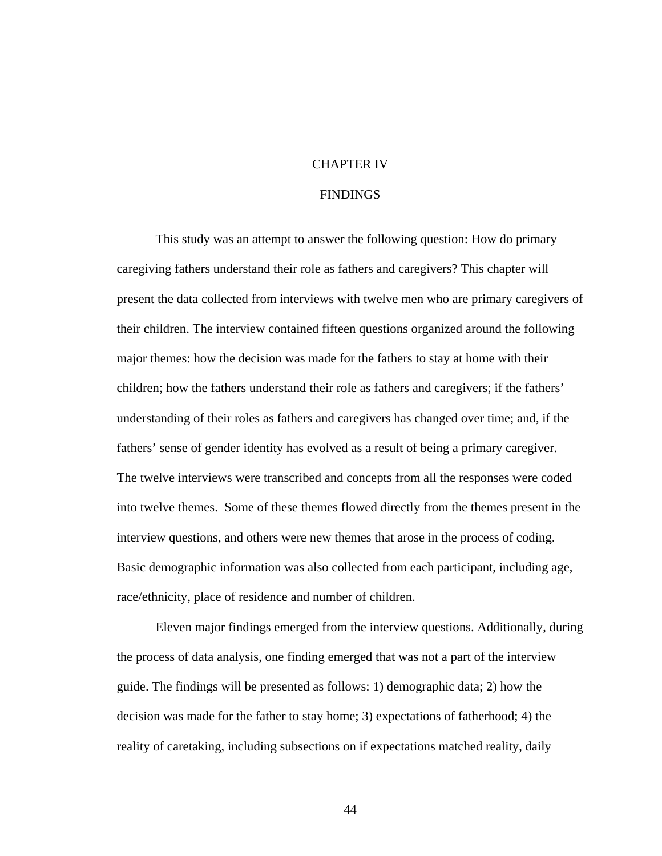#### CHAPTER IV

#### **FINDINGS**

 This study was an attempt to answer the following question: How do primary caregiving fathers understand their role as fathers and caregivers? This chapter will present the data collected from interviews with twelve men who are primary caregivers of their children. The interview contained fifteen questions organized around the following major themes: how the decision was made for the fathers to stay at home with their children; how the fathers understand their role as fathers and caregivers; if the fathers' understanding of their roles as fathers and caregivers has changed over time; and, if the fathers' sense of gender identity has evolved as a result of being a primary caregiver. The twelve interviews were transcribed and concepts from all the responses were coded into twelve themes. Some of these themes flowed directly from the themes present in the interview questions, and others were new themes that arose in the process of coding. Basic demographic information was also collected from each participant, including age, race/ethnicity, place of residence and number of children.

Eleven major findings emerged from the interview questions. Additionally, during the process of data analysis, one finding emerged that was not a part of the interview guide. The findings will be presented as follows: 1) demographic data; 2) how the decision was made for the father to stay home; 3) expectations of fatherhood; 4) the reality of caretaking, including subsections on if expectations matched reality, daily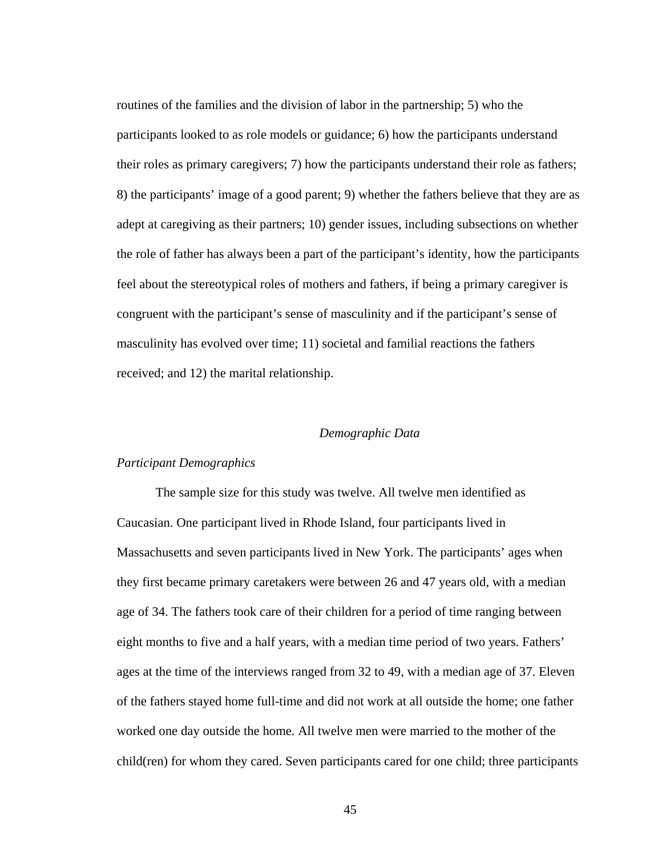routines of the families and the division of labor in the partnership; 5) who the participants looked to as role models or guidance; 6) how the participants understand their roles as primary caregivers; 7) how the participants understand their role as fathers; 8) the participants' image of a good parent; 9) whether the fathers believe that they are as adept at caregiving as their partners; 10) gender issues, including subsections on whether the role of father has always been a part of the participant's identity, how the participants feel about the stereotypical roles of mothers and fathers, if being a primary caregiver is congruent with the participant's sense of masculinity and if the participant's sense of masculinity has evolved over time; 11) societal and familial reactions the fathers received; and 12) the marital relationship.

### *Demographic Data*

### *Participant Demographics*

The sample size for this study was twelve. All twelve men identified as Caucasian. One participant lived in Rhode Island, four participants lived in Massachusetts and seven participants lived in New York. The participants' ages when they first became primary caretakers were between 26 and 47 years old, with a median age of 34. The fathers took care of their children for a period of time ranging between eight months to five and a half years, with a median time period of two years. Fathers' ages at the time of the interviews ranged from 32 to 49, with a median age of 37. Eleven of the fathers stayed home full-time and did not work at all outside the home; one father worked one day outside the home. All twelve men were married to the mother of the child(ren) for whom they cared. Seven participants cared for one child; three participants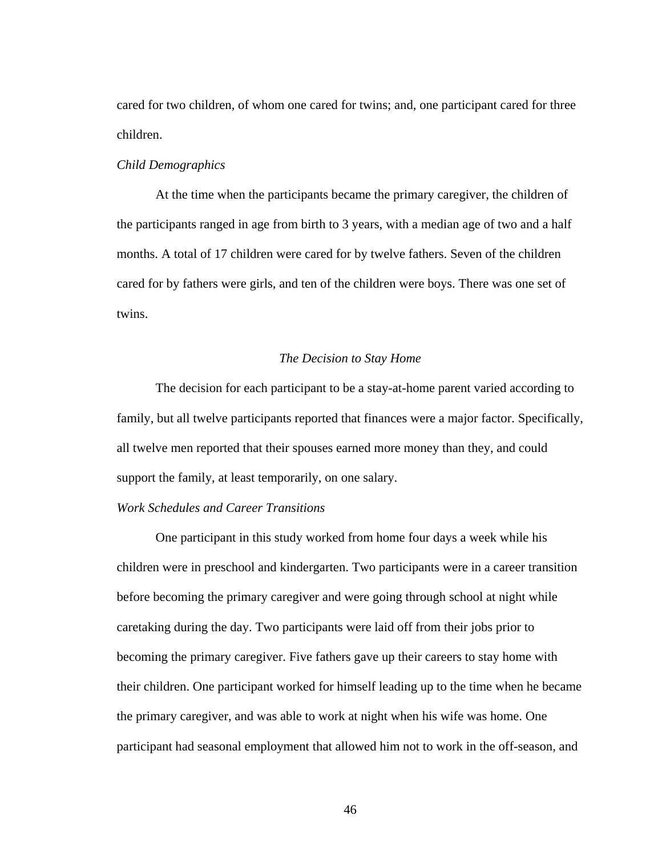cared for two children, of whom one cared for twins; and, one participant cared for three children.

#### *Child Demographics*

 At the time when the participants became the primary caregiver, the children of the participants ranged in age from birth to 3 years, with a median age of two and a half months. A total of 17 children were cared for by twelve fathers. Seven of the children cared for by fathers were girls, and ten of the children were boys. There was one set of twins.

### *The Decision to Stay Home*

 The decision for each participant to be a stay-at-home parent varied according to family, but all twelve participants reported that finances were a major factor. Specifically, all twelve men reported that their spouses earned more money than they, and could support the family, at least temporarily, on one salary.

# *Work Schedules and Career Transitions*

 One participant in this study worked from home four days a week while his children were in preschool and kindergarten. Two participants were in a career transition before becoming the primary caregiver and were going through school at night while caretaking during the day. Two participants were laid off from their jobs prior to becoming the primary caregiver. Five fathers gave up their careers to stay home with their children. One participant worked for himself leading up to the time when he became the primary caregiver, and was able to work at night when his wife was home. One participant had seasonal employment that allowed him not to work in the off-season, and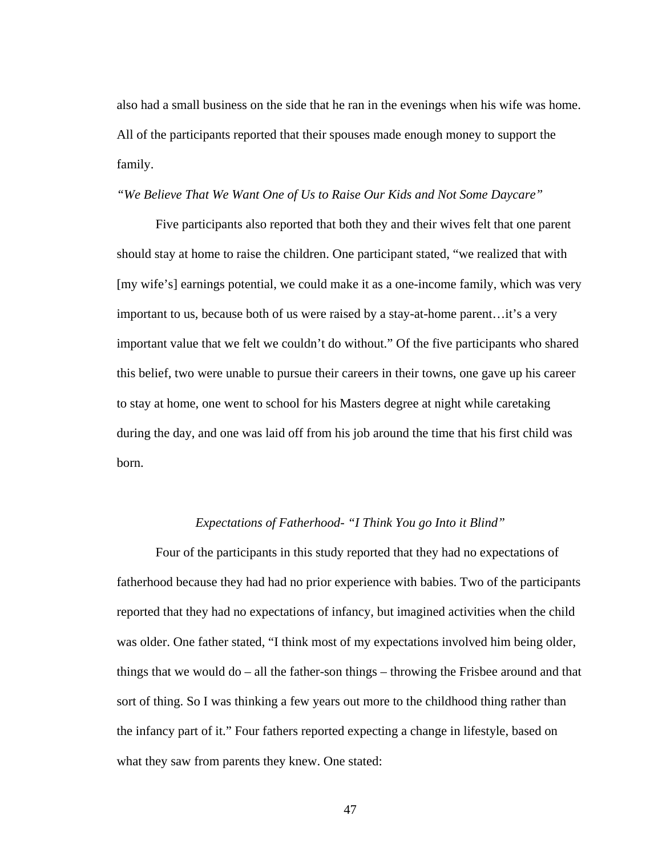also had a small business on the side that he ran in the evenings when his wife was home. All of the participants reported that their spouses made enough money to support the family.

#### *"We Believe That We Want One of Us to Raise Our Kids and Not Some Daycare"*

 Five participants also reported that both they and their wives felt that one parent should stay at home to raise the children. One participant stated, "we realized that with [my wife's] earnings potential, we could make it as a one-income family, which was very important to us, because both of us were raised by a stay-at-home parent…it's a very important value that we felt we couldn't do without." Of the five participants who shared this belief, two were unable to pursue their careers in their towns, one gave up his career to stay at home, one went to school for his Masters degree at night while caretaking during the day, and one was laid off from his job around the time that his first child was born.

## *Expectations of Fatherhood- "I Think You go Into it Blind"*

 Four of the participants in this study reported that they had no expectations of fatherhood because they had had no prior experience with babies. Two of the participants reported that they had no expectations of infancy, but imagined activities when the child was older. One father stated, "I think most of my expectations involved him being older, things that we would do – all the father-son things – throwing the Frisbee around and that sort of thing. So I was thinking a few years out more to the childhood thing rather than the infancy part of it." Four fathers reported expecting a change in lifestyle, based on what they saw from parents they knew. One stated: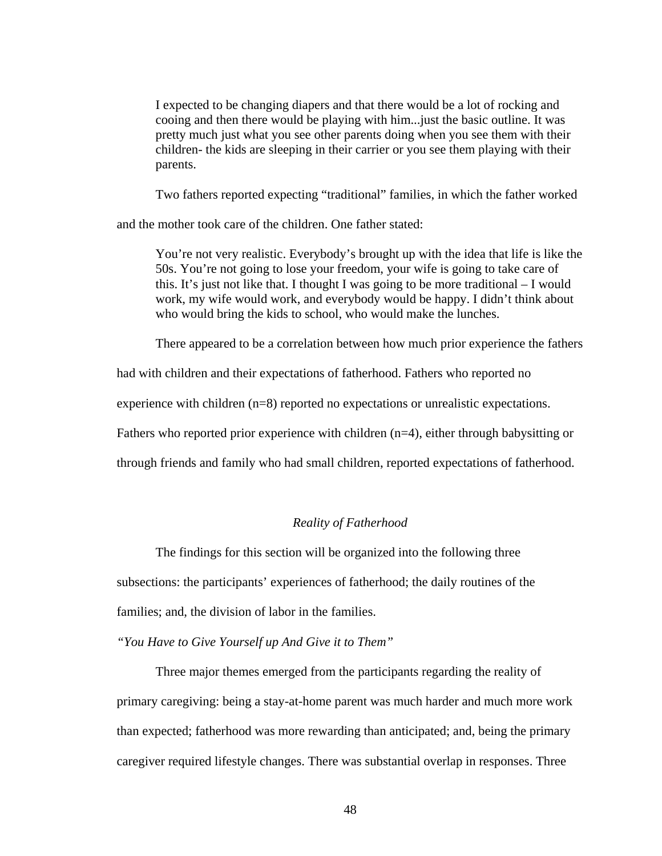I expected to be changing diapers and that there would be a lot of rocking and cooing and then there would be playing with him...just the basic outline. It was pretty much just what you see other parents doing when you see them with their children- the kids are sleeping in their carrier or you see them playing with their parents.

Two fathers reported expecting "traditional" families, in which the father worked

and the mother took care of the children. One father stated:

You're not very realistic. Everybody's brought up with the idea that life is like the 50s. You're not going to lose your freedom, your wife is going to take care of this. It's just not like that. I thought I was going to be more traditional – I would work, my wife would work, and everybody would be happy. I didn't think about who would bring the kids to school, who would make the lunches.

There appeared to be a correlation between how much prior experience the fathers

had with children and their expectations of fatherhood. Fathers who reported no

experience with children (n=8) reported no expectations or unrealistic expectations.

Fathers who reported prior experience with children (n=4), either through babysitting or

through friends and family who had small children, reported expectations of fatherhood.

# *Reality of Fatherhood*

 The findings for this section will be organized into the following three subsections: the participants' experiences of fatherhood; the daily routines of the families; and, the division of labor in the families.

*"You Have to Give Yourself up And Give it to Them"* 

 Three major themes emerged from the participants regarding the reality of primary caregiving: being a stay-at-home parent was much harder and much more work than expected; fatherhood was more rewarding than anticipated; and, being the primary caregiver required lifestyle changes. There was substantial overlap in responses. Three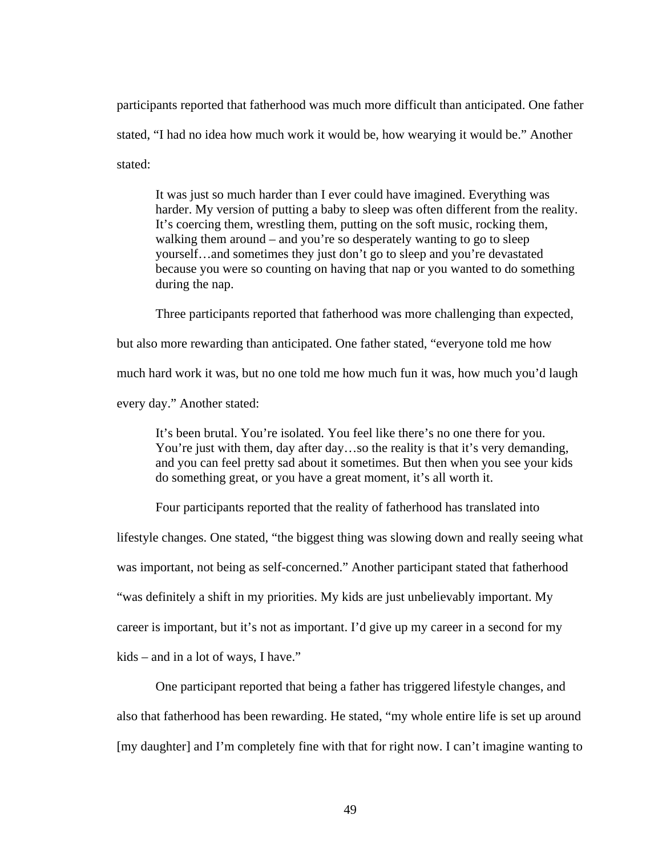participants reported that fatherhood was much more difficult than anticipated. One father stated, "I had no idea how much work it would be, how wearying it would be." Another stated:

It was just so much harder than I ever could have imagined. Everything was harder. My version of putting a baby to sleep was often different from the reality. It's coercing them, wrestling them, putting on the soft music, rocking them, walking them around – and you're so desperately wanting to go to sleep yourself…and sometimes they just don't go to sleep and you're devastated because you were so counting on having that nap or you wanted to do something during the nap.

 Three participants reported that fatherhood was more challenging than expected, but also more rewarding than anticipated. One father stated, "everyone told me how much hard work it was, but no one told me how much fun it was, how much you'd laugh

every day." Another stated:

It's been brutal. You're isolated. You feel like there's no one there for you. You're just with them, day after day...so the reality is that it's very demanding, and you can feel pretty sad about it sometimes. But then when you see your kids do something great, or you have a great moment, it's all worth it.

Four participants reported that the reality of fatherhood has translated into

lifestyle changes. One stated, "the biggest thing was slowing down and really seeing what was important, not being as self-concerned." Another participant stated that fatherhood "was definitely a shift in my priorities. My kids are just unbelievably important. My career is important, but it's not as important. I'd give up my career in a second for my kids – and in a lot of ways, I have."

 One participant reported that being a father has triggered lifestyle changes, and also that fatherhood has been rewarding. He stated, "my whole entire life is set up around [my daughter] and I'm completely fine with that for right now. I can't imagine wanting to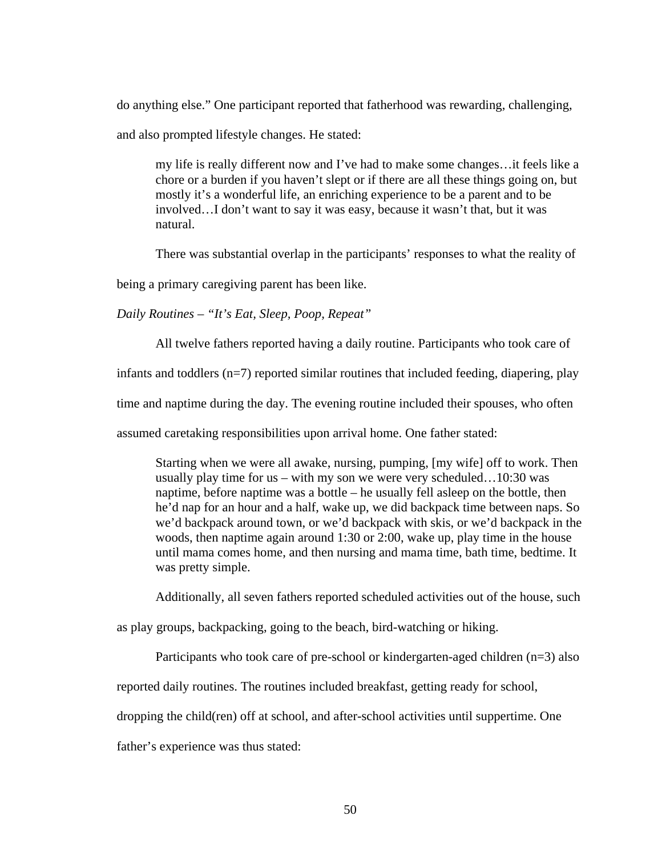do anything else." One participant reported that fatherhood was rewarding, challenging,

and also prompted lifestyle changes. He stated:

my life is really different now and I've had to make some changes…it feels like a chore or a burden if you haven't slept or if there are all these things going on, but mostly it's a wonderful life, an enriching experience to be a parent and to be involved…I don't want to say it was easy, because it wasn't that, but it was natural.

There was substantial overlap in the participants' responses to what the reality of

being a primary caregiving parent has been like.

*Daily Routines – "It's Eat, Sleep, Poop, Repeat"* 

All twelve fathers reported having a daily routine. Participants who took care of

infants and toddlers (n=7) reported similar routines that included feeding, diapering, play

time and naptime during the day. The evening routine included their spouses, who often

assumed caretaking responsibilities upon arrival home. One father stated:

Starting when we were all awake, nursing, pumping, [my wife] off to work. Then usually play time for us – with my son we were very scheduled... $10:30$  was naptime, before naptime was a bottle – he usually fell asleep on the bottle, then he'd nap for an hour and a half, wake up, we did backpack time between naps. So we'd backpack around town, or we'd backpack with skis, or we'd backpack in the woods, then naptime again around 1:30 or 2:00, wake up, play time in the house until mama comes home, and then nursing and mama time, bath time, bedtime. It was pretty simple.

Additionally, all seven fathers reported scheduled activities out of the house, such

as play groups, backpacking, going to the beach, bird-watching or hiking.

Participants who took care of pre-school or kindergarten-aged children (n=3) also

reported daily routines. The routines included breakfast, getting ready for school,

dropping the child(ren) off at school, and after-school activities until suppertime. One

father's experience was thus stated: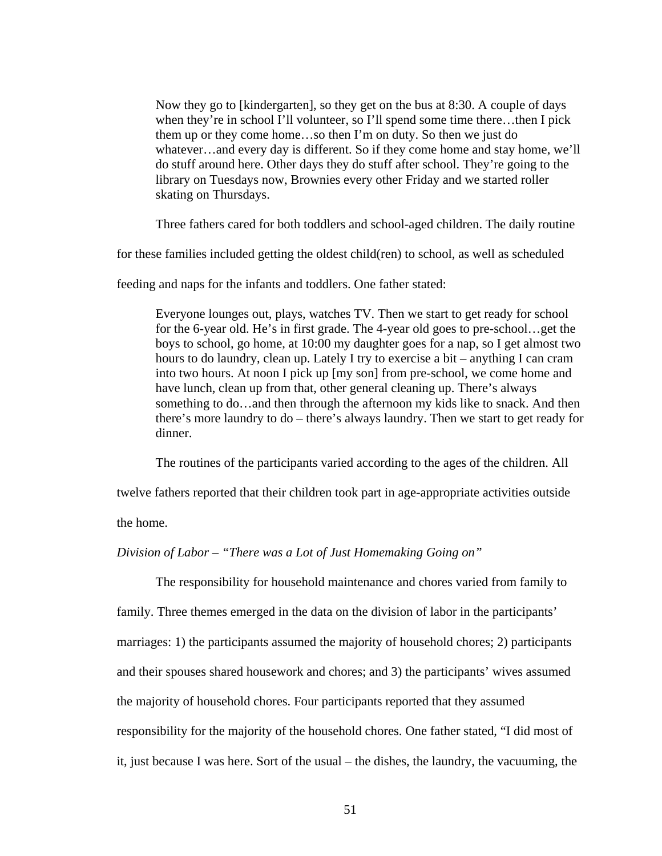Now they go to [kindergarten], so they get on the bus at 8:30. A couple of days when they're in school I'll volunteer, so I'll spend some time there...then I pick them up or they come home…so then I'm on duty. So then we just do whatever…and every day is different. So if they come home and stay home, we'll do stuff around here. Other days they do stuff after school. They're going to the library on Tuesdays now, Brownies every other Friday and we started roller skating on Thursdays.

Three fathers cared for both toddlers and school-aged children. The daily routine

for these families included getting the oldest child(ren) to school, as well as scheduled

feeding and naps for the infants and toddlers. One father stated:

Everyone lounges out, plays, watches TV. Then we start to get ready for school for the 6-year old. He's in first grade. The 4-year old goes to pre-school…get the boys to school, go home, at 10:00 my daughter goes for a nap, so I get almost two hours to do laundry, clean up. Lately I try to exercise a bit – anything I can cram into two hours. At noon I pick up [my son] from pre-school, we come home and have lunch, clean up from that, other general cleaning up. There's always something to do…and then through the afternoon my kids like to snack. And then there's more laundry to do – there's always laundry. Then we start to get ready for dinner.

The routines of the participants varied according to the ages of the children. All

twelve fathers reported that their children took part in age-appropriate activities outside

the home.

## *Division of Labor – "There was a Lot of Just Homemaking Going on"*

 The responsibility for household maintenance and chores varied from family to family. Three themes emerged in the data on the division of labor in the participants' marriages: 1) the participants assumed the majority of household chores; 2) participants and their spouses shared housework and chores; and 3) the participants' wives assumed the majority of household chores. Four participants reported that they assumed responsibility for the majority of the household chores. One father stated, "I did most of it, just because I was here. Sort of the usual – the dishes, the laundry, the vacuuming, the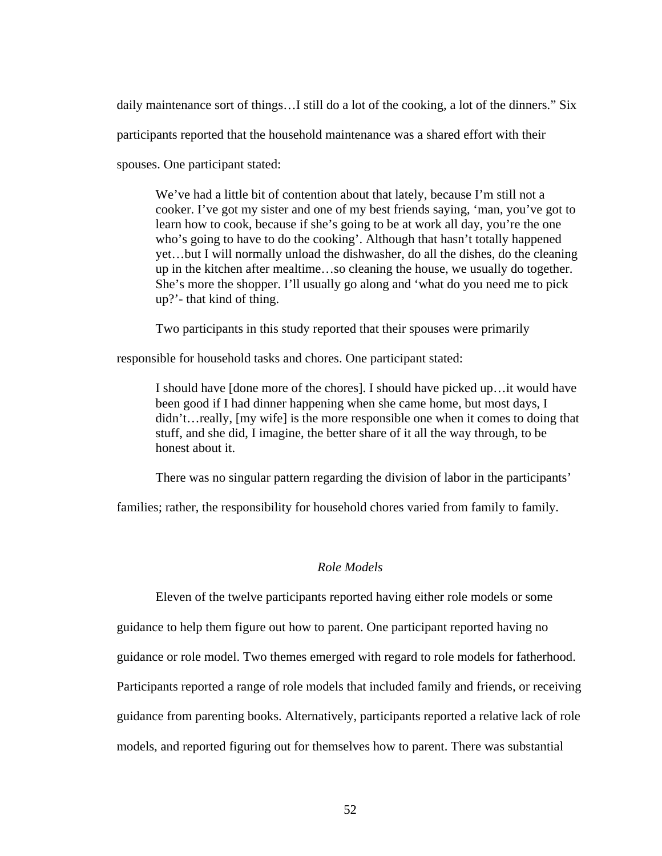daily maintenance sort of things…I still do a lot of the cooking, a lot of the dinners." Six

participants reported that the household maintenance was a shared effort with their

spouses. One participant stated:

We've had a little bit of contention about that lately, because I'm still not a cooker. I've got my sister and one of my best friends saying, 'man, you've got to learn how to cook, because if she's going to be at work all day, you're the one who's going to have to do the cooking'. Although that hasn't totally happened yet…but I will normally unload the dishwasher, do all the dishes, do the cleaning up in the kitchen after mealtime…so cleaning the house, we usually do together. She's more the shopper. I'll usually go along and 'what do you need me to pick up?'- that kind of thing.

Two participants in this study reported that their spouses were primarily

responsible for household tasks and chores. One participant stated:

I should have [done more of the chores]. I should have picked up…it would have been good if I had dinner happening when she came home, but most days, I didn't…really, [my wife] is the more responsible one when it comes to doing that stuff, and she did, I imagine, the better share of it all the way through, to be honest about it.

There was no singular pattern regarding the division of labor in the participants'

families; rather, the responsibility for household chores varied from family to family.

# *Role Models*

 Eleven of the twelve participants reported having either role models or some guidance to help them figure out how to parent. One participant reported having no guidance or role model. Two themes emerged with regard to role models for fatherhood. Participants reported a range of role models that included family and friends, or receiving guidance from parenting books. Alternatively, participants reported a relative lack of role models, and reported figuring out for themselves how to parent. There was substantial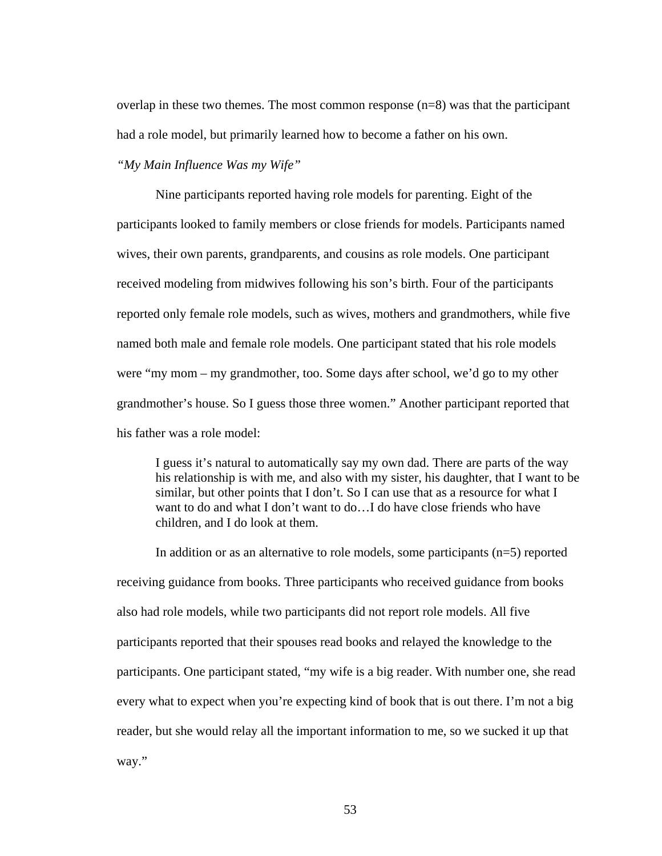overlap in these two themes. The most common response (n=8) was that the participant had a role model, but primarily learned how to become a father on his own.

# *"My Main Influence Was my Wife"*

 Nine participants reported having role models for parenting. Eight of the participants looked to family members or close friends for models. Participants named wives, their own parents, grandparents, and cousins as role models. One participant received modeling from midwives following his son's birth. Four of the participants reported only female role models, such as wives, mothers and grandmothers, while five named both male and female role models. One participant stated that his role models were "my mom – my grandmother, too. Some days after school, we'd go to my other grandmother's house. So I guess those three women." Another participant reported that his father was a role model:

I guess it's natural to automatically say my own dad. There are parts of the way his relationship is with me, and also with my sister, his daughter, that I want to be similar, but other points that I don't. So I can use that as a resource for what I want to do and what I don't want to do…I do have close friends who have children, and I do look at them.

In addition or as an alternative to role models, some participants  $(n=5)$  reported receiving guidance from books. Three participants who received guidance from books also had role models, while two participants did not report role models. All five participants reported that their spouses read books and relayed the knowledge to the participants. One participant stated, "my wife is a big reader. With number one, she read every what to expect when you're expecting kind of book that is out there. I'm not a big reader, but she would relay all the important information to me, so we sucked it up that way."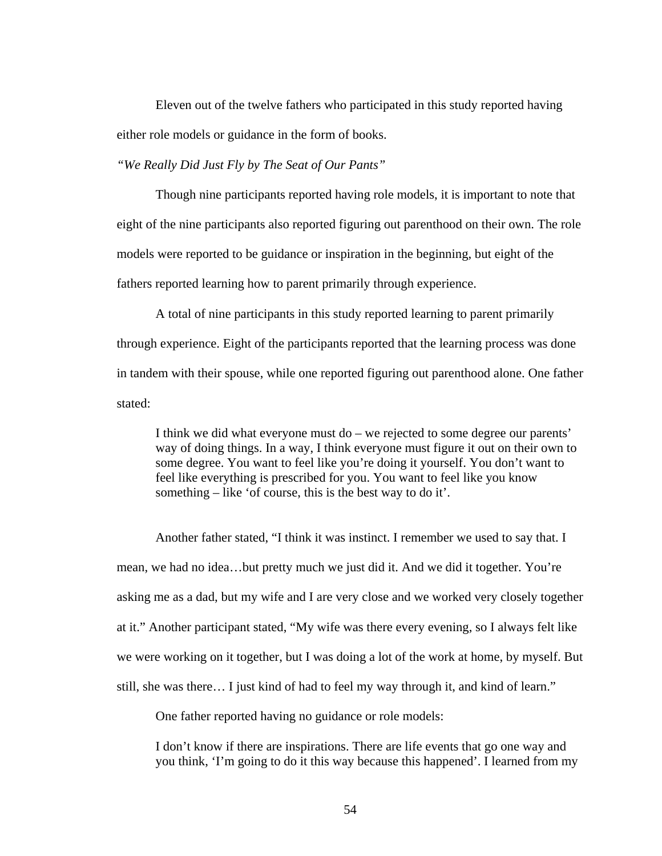Eleven out of the twelve fathers who participated in this study reported having either role models or guidance in the form of books.

*"We Really Did Just Fly by The Seat of Our Pants"* 

Though nine participants reported having role models, it is important to note that eight of the nine participants also reported figuring out parenthood on their own. The role models were reported to be guidance or inspiration in the beginning, but eight of the fathers reported learning how to parent primarily through experience.

A total of nine participants in this study reported learning to parent primarily through experience. Eight of the participants reported that the learning process was done in tandem with their spouse, while one reported figuring out parenthood alone. One father stated:

I think we did what everyone must do – we rejected to some degree our parents' way of doing things. In a way, I think everyone must figure it out on their own to some degree. You want to feel like you're doing it yourself. You don't want to feel like everything is prescribed for you. You want to feel like you know something – like 'of course, this is the best way to do it'.

Another father stated, "I think it was instinct. I remember we used to say that. I mean, we had no idea…but pretty much we just did it. And we did it together. You're asking me as a dad, but my wife and I are very close and we worked very closely together at it." Another participant stated, "My wife was there every evening, so I always felt like we were working on it together, but I was doing a lot of the work at home, by myself. But still, she was there… I just kind of had to feel my way through it, and kind of learn."

One father reported having no guidance or role models:

I don't know if there are inspirations. There are life events that go one way and you think, 'I'm going to do it this way because this happened'. I learned from my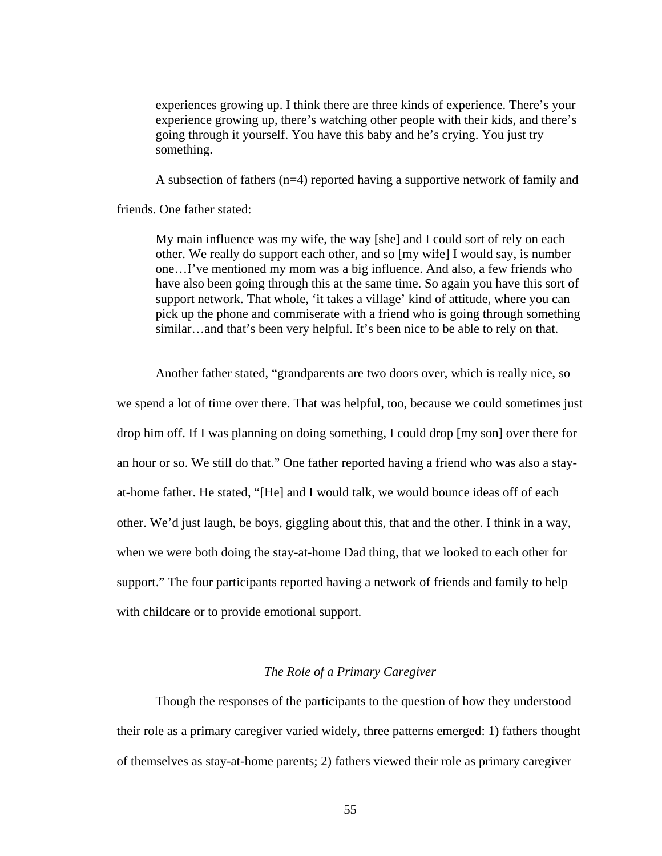experiences growing up. I think there are three kinds of experience. There's your experience growing up, there's watching other people with their kids, and there's going through it yourself. You have this baby and he's crying. You just try something.

A subsection of fathers (n=4) reported having a supportive network of family and

friends. One father stated:

My main influence was my wife, the way [she] and I could sort of rely on each other. We really do support each other, and so [my wife] I would say, is number one…I've mentioned my mom was a big influence. And also, a few friends who have also been going through this at the same time. So again you have this sort of support network. That whole, 'it takes a village' kind of attitude, where you can pick up the phone and commiserate with a friend who is going through something similar…and that's been very helpful. It's been nice to be able to rely on that.

 Another father stated, "grandparents are two doors over, which is really nice, so we spend a lot of time over there. That was helpful, too, because we could sometimes just drop him off. If I was planning on doing something, I could drop [my son] over there for an hour or so. We still do that." One father reported having a friend who was also a stayat-home father. He stated, "[He] and I would talk, we would bounce ideas off of each other. We'd just laugh, be boys, giggling about this, that and the other. I think in a way, when we were both doing the stay-at-home Dad thing, that we looked to each other for support." The four participants reported having a network of friends and family to help with childcare or to provide emotional support.

## *The Role of a Primary Caregiver*

 Though the responses of the participants to the question of how they understood their role as a primary caregiver varied widely, three patterns emerged: 1) fathers thought of themselves as stay-at-home parents; 2) fathers viewed their role as primary caregiver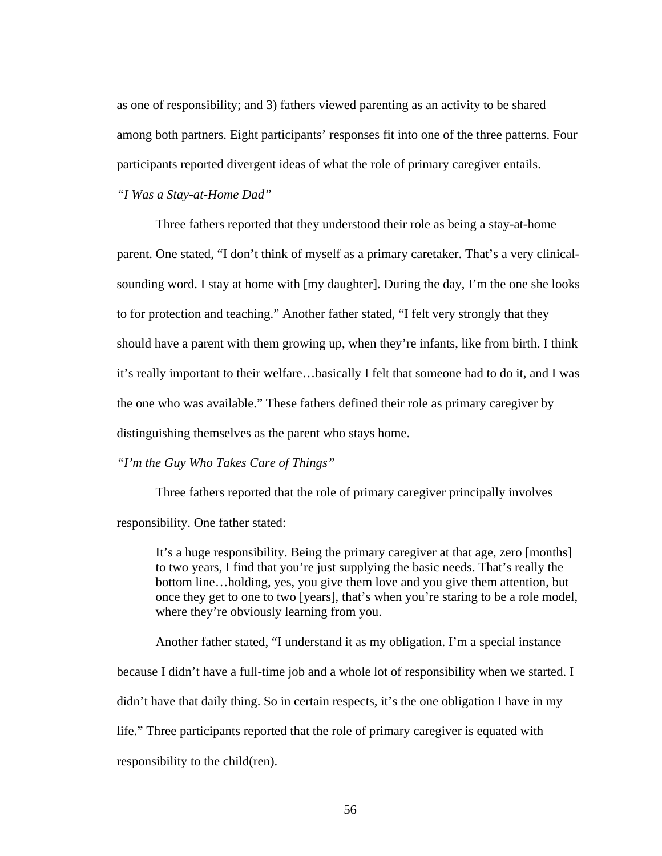as one of responsibility; and 3) fathers viewed parenting as an activity to be shared among both partners. Eight participants' responses fit into one of the three patterns. Four participants reported divergent ideas of what the role of primary caregiver entails.

*"I Was a Stay-at-Home Dad"* 

 Three fathers reported that they understood their role as being a stay-at-home parent. One stated, "I don't think of myself as a primary caretaker. That's a very clinicalsounding word. I stay at home with [my daughter]. During the day, I'm the one she looks to for protection and teaching." Another father stated, "I felt very strongly that they should have a parent with them growing up, when they're infants, like from birth. I think it's really important to their welfare…basically I felt that someone had to do it, and I was the one who was available." These fathers defined their role as primary caregiver by distinguishing themselves as the parent who stays home.

*"I'm the Guy Who Takes Care of Things"* 

 Three fathers reported that the role of primary caregiver principally involves responsibility. One father stated:

It's a huge responsibility. Being the primary caregiver at that age, zero [months] to two years, I find that you're just supplying the basic needs. That's really the bottom line…holding, yes, you give them love and you give them attention, but once they get to one to two [years], that's when you're staring to be a role model, where they're obviously learning from you.

Another father stated, "I understand it as my obligation. I'm a special instance

because I didn't have a full-time job and a whole lot of responsibility when we started. I

didn't have that daily thing. So in certain respects, it's the one obligation I have in my

life." Three participants reported that the role of primary caregiver is equated with

responsibility to the child(ren).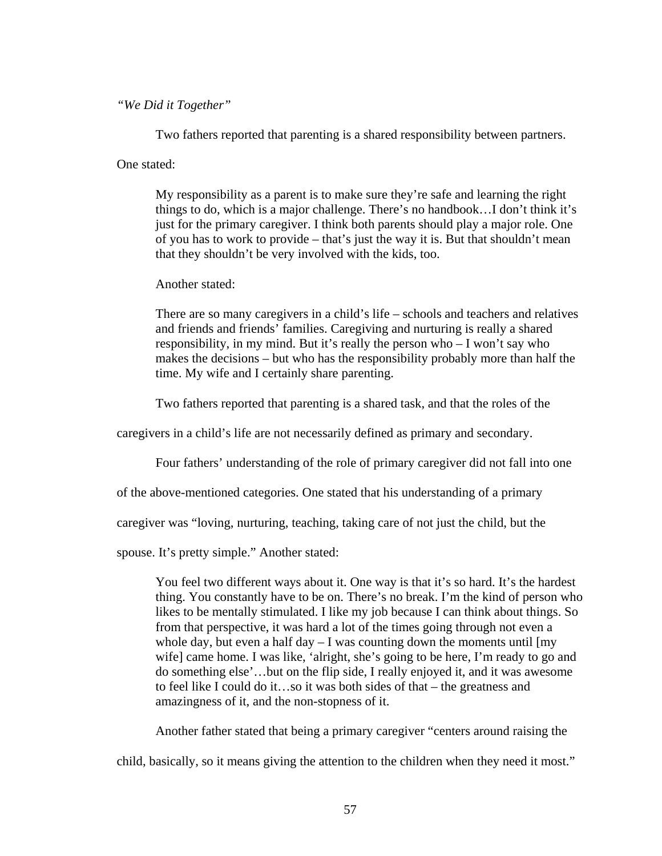*"We Did it Together"* 

Two fathers reported that parenting is a shared responsibility between partners.

One stated:

My responsibility as a parent is to make sure they're safe and learning the right things to do, which is a major challenge. There's no handbook…I don't think it's just for the primary caregiver. I think both parents should play a major role. One of you has to work to provide – that's just the way it is. But that shouldn't mean that they shouldn't be very involved with the kids, too.

Another stated:

There are so many caregivers in a child's life – schools and teachers and relatives and friends and friends' families. Caregiving and nurturing is really a shared responsibility, in my mind. But it's really the person who – I won't say who makes the decisions – but who has the responsibility probably more than half the time. My wife and I certainly share parenting.

Two fathers reported that parenting is a shared task, and that the roles of the

caregivers in a child's life are not necessarily defined as primary and secondary.

Four fathers' understanding of the role of primary caregiver did not fall into one

of the above-mentioned categories. One stated that his understanding of a primary

caregiver was "loving, nurturing, teaching, taking care of not just the child, but the

spouse. It's pretty simple." Another stated:

You feel two different ways about it. One way is that it's so hard. It's the hardest thing. You constantly have to be on. There's no break. I'm the kind of person who likes to be mentally stimulated. I like my job because I can think about things. So from that perspective, it was hard a lot of the times going through not even a whole day, but even a half day  $-1$  was counting down the moments until [my] wife] came home. I was like, 'alright, she's going to be here, I'm ready to go and do something else'…but on the flip side, I really enjoyed it, and it was awesome to feel like I could do it…so it was both sides of that – the greatness and amazingness of it, and the non-stopness of it.

Another father stated that being a primary caregiver "centers around raising the

child, basically, so it means giving the attention to the children when they need it most."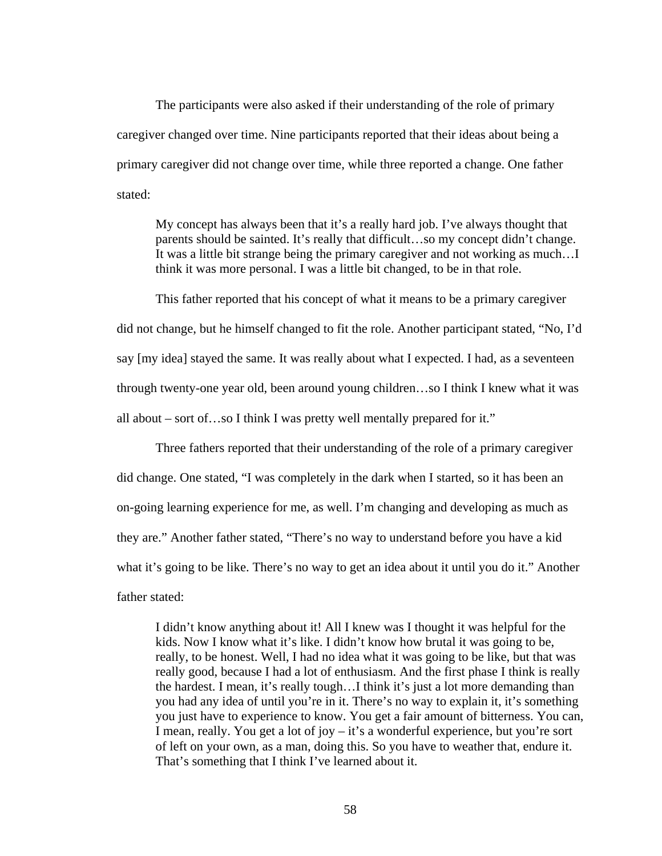The participants were also asked if their understanding of the role of primary caregiver changed over time. Nine participants reported that their ideas about being a primary caregiver did not change over time, while three reported a change. One father stated:

My concept has always been that it's a really hard job. I've always thought that parents should be sainted. It's really that difficult…so my concept didn't change. It was a little bit strange being the primary caregiver and not working as much…I think it was more personal. I was a little bit changed, to be in that role.

 This father reported that his concept of what it means to be a primary caregiver did not change, but he himself changed to fit the role. Another participant stated, "No, I'd say [my idea] stayed the same. It was really about what I expected. I had, as a seventeen through twenty-one year old, been around young children…so I think I knew what it was all about – sort of…so I think I was pretty well mentally prepared for it."

 Three fathers reported that their understanding of the role of a primary caregiver did change. One stated, "I was completely in the dark when I started, so it has been an on-going learning experience for me, as well. I'm changing and developing as much as they are." Another father stated, "There's no way to understand before you have a kid what it's going to be like. There's no way to get an idea about it until you do it." Another father stated:

I didn't know anything about it! All I knew was I thought it was helpful for the kids. Now I know what it's like. I didn't know how brutal it was going to be, really, to be honest. Well, I had no idea what it was going to be like, but that was really good, because I had a lot of enthusiasm. And the first phase I think is really the hardest. I mean, it's really tough…I think it's just a lot more demanding than you had any idea of until you're in it. There's no way to explain it, it's something you just have to experience to know. You get a fair amount of bitterness. You can, I mean, really. You get a lot of joy – it's a wonderful experience, but you're sort of left on your own, as a man, doing this. So you have to weather that, endure it. That's something that I think I've learned about it.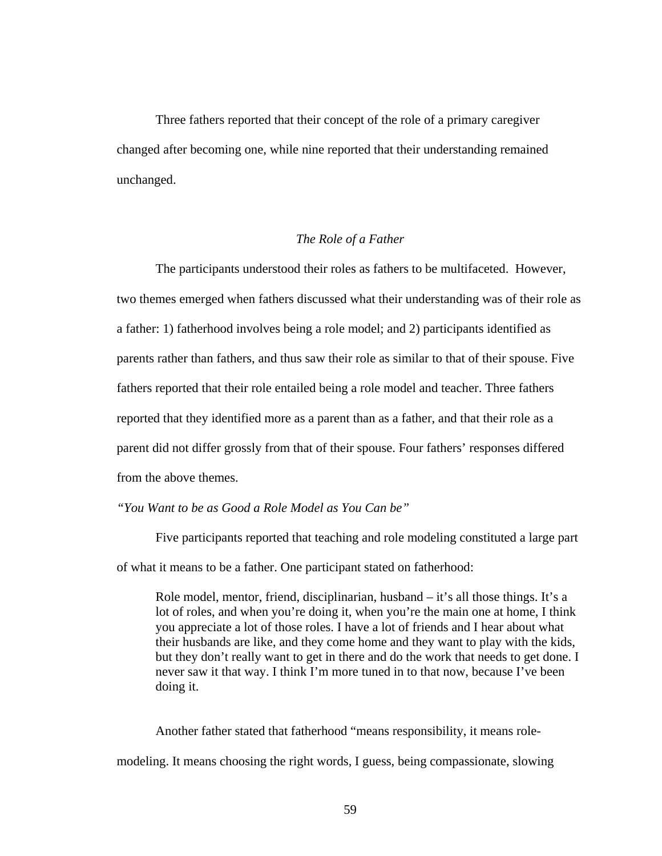Three fathers reported that their concept of the role of a primary caregiver changed after becoming one, while nine reported that their understanding remained unchanged.

## *The Role of a Father*

 The participants understood their roles as fathers to be multifaceted. However, two themes emerged when fathers discussed what their understanding was of their role as a father: 1) fatherhood involves being a role model; and 2) participants identified as parents rather than fathers, and thus saw their role as similar to that of their spouse. Five fathers reported that their role entailed being a role model and teacher. Three fathers reported that they identified more as a parent than as a father, and that their role as a parent did not differ grossly from that of their spouse. Four fathers' responses differed from the above themes.

*"You Want to be as Good a Role Model as You Can be"* 

 Five participants reported that teaching and role modeling constituted a large part of what it means to be a father. One participant stated on fatherhood:

Role model, mentor, friend, disciplinarian, husband – it's all those things. It's a lot of roles, and when you're doing it, when you're the main one at home, I think you appreciate a lot of those roles. I have a lot of friends and I hear about what their husbands are like, and they come home and they want to play with the kids, but they don't really want to get in there and do the work that needs to get done. I never saw it that way. I think I'm more tuned in to that now, because I've been doing it.

 Another father stated that fatherhood "means responsibility, it means rolemodeling. It means choosing the right words, I guess, being compassionate, slowing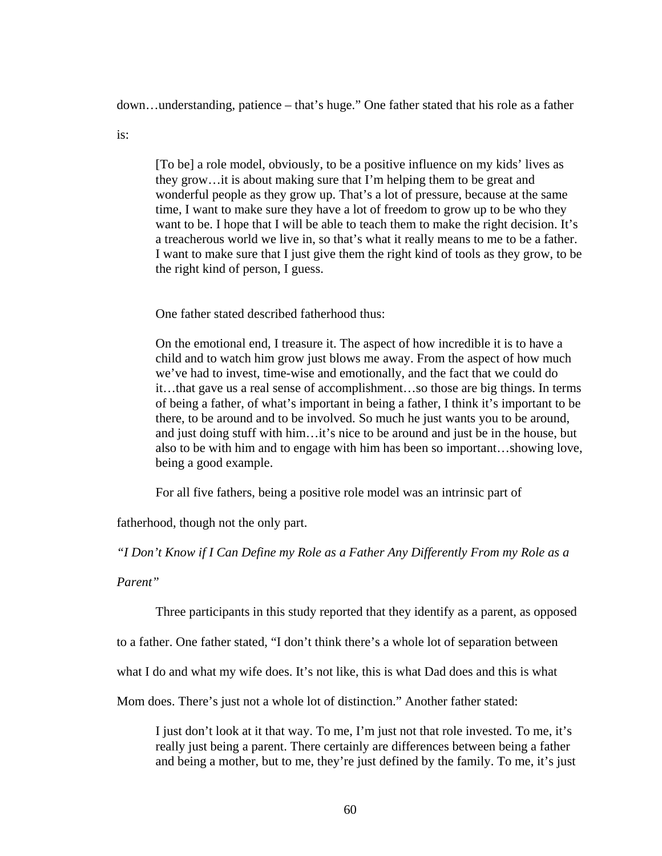down…understanding, patience – that's huge." One father stated that his role as a father

is:

[To be] a role model, obviously, to be a positive influence on my kids' lives as they grow…it is about making sure that I'm helping them to be great and wonderful people as they grow up. That's a lot of pressure, because at the same time, I want to make sure they have a lot of freedom to grow up to be who they want to be. I hope that I will be able to teach them to make the right decision. It's a treacherous world we live in, so that's what it really means to me to be a father. I want to make sure that I just give them the right kind of tools as they grow, to be the right kind of person, I guess.

One father stated described fatherhood thus:

On the emotional end, I treasure it. The aspect of how incredible it is to have a child and to watch him grow just blows me away. From the aspect of how much we've had to invest, time-wise and emotionally, and the fact that we could do it…that gave us a real sense of accomplishment…so those are big things. In terms of being a father, of what's important in being a father, I think it's important to be there, to be around and to be involved. So much he just wants you to be around, and just doing stuff with him…it's nice to be around and just be in the house, but also to be with him and to engage with him has been so important…showing love, being a good example.

For all five fathers, being a positive role model was an intrinsic part of

fatherhood, though not the only part.

*"I Don't Know if I Can Define my Role as a Father Any Differently From my Role as a* 

### *Parent"*

Three participants in this study reported that they identify as a parent, as opposed

to a father. One father stated, "I don't think there's a whole lot of separation between

what I do and what my wife does. It's not like, this is what Dad does and this is what

Mom does. There's just not a whole lot of distinction." Another father stated:

I just don't look at it that way. To me, I'm just not that role invested. To me, it's really just being a parent. There certainly are differences between being a father and being a mother, but to me, they're just defined by the family. To me, it's just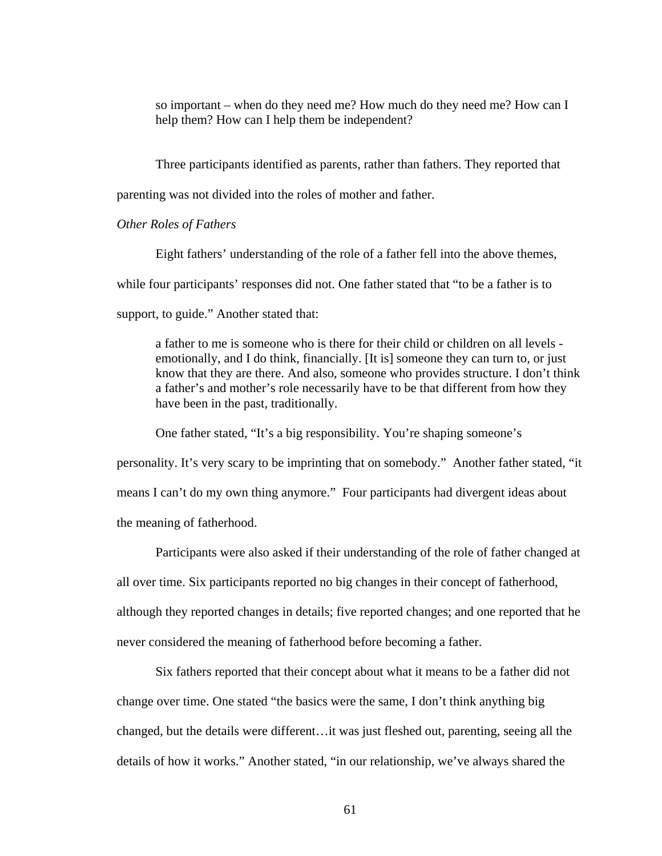so important – when do they need me? How much do they need me? How can I help them? How can I help them be independent?

 Three participants identified as parents, rather than fathers. They reported that parenting was not divided into the roles of mother and father.

#### *Other Roles of Fathers*

 Eight fathers' understanding of the role of a father fell into the above themes, while four participants' responses did not. One father stated that "to be a father is to support, to guide." Another stated that:

a father to me is someone who is there for their child or children on all levels emotionally, and I do think, financially. [It is] someone they can turn to, or just know that they are there. And also, someone who provides structure. I don't think a father's and mother's role necessarily have to be that different from how they have been in the past, traditionally.

One father stated, "It's a big responsibility. You're shaping someone's

personality. It's very scary to be imprinting that on somebody." Another father stated, "it means I can't do my own thing anymore." Four participants had divergent ideas about the meaning of fatherhood.

 Participants were also asked if their understanding of the role of father changed at all over time. Six participants reported no big changes in their concept of fatherhood, although they reported changes in details; five reported changes; and one reported that he never considered the meaning of fatherhood before becoming a father.

 Six fathers reported that their concept about what it means to be a father did not change over time. One stated "the basics were the same, I don't think anything big changed, but the details were different…it was just fleshed out, parenting, seeing all the details of how it works." Another stated, "in our relationship, we've always shared the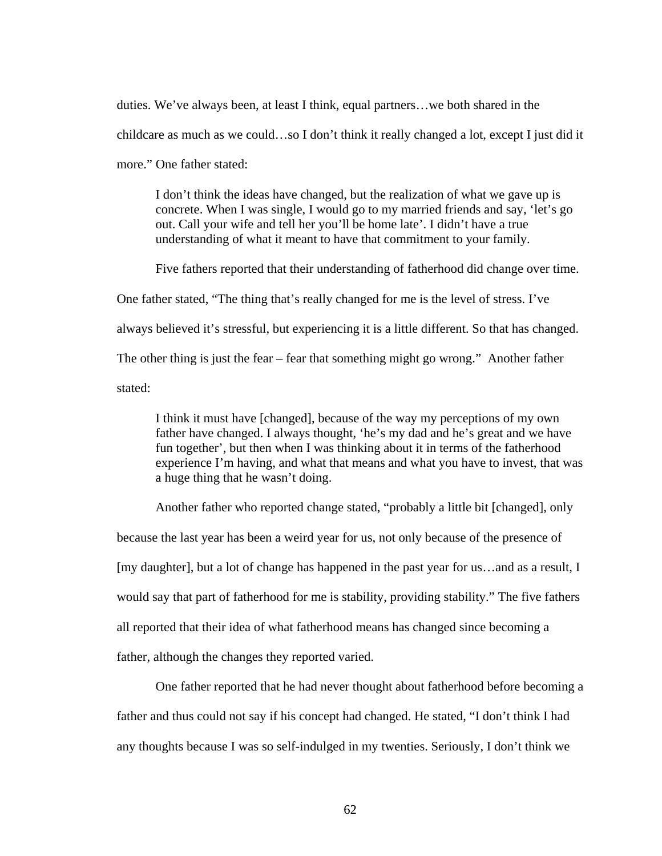duties. We've always been, at least I think, equal partners…we both shared in the childcare as much as we could…so I don't think it really changed a lot, except I just did it more." One father stated:

I don't think the ideas have changed, but the realization of what we gave up is concrete. When I was single, I would go to my married friends and say, 'let's go out. Call your wife and tell her you'll be home late'. I didn't have a true understanding of what it meant to have that commitment to your family.

Five fathers reported that their understanding of fatherhood did change over time.

One father stated, "The thing that's really changed for me is the level of stress. I've always believed it's stressful, but experiencing it is a little different. So that has changed. The other thing is just the fear – fear that something might go wrong." Another father stated:

I think it must have [changed], because of the way my perceptions of my own father have changed. I always thought, 'he's my dad and he's great and we have fun together', but then when I was thinking about it in terms of the fatherhood experience I'm having, and what that means and what you have to invest, that was a huge thing that he wasn't doing.

 Another father who reported change stated, "probably a little bit [changed], only because the last year has been a weird year for us, not only because of the presence of [my daughter], but a lot of change has happened in the past year for us...and as a result, I would say that part of fatherhood for me is stability, providing stability." The five fathers all reported that their idea of what fatherhood means has changed since becoming a father, although the changes they reported varied.

 One father reported that he had never thought about fatherhood before becoming a father and thus could not say if his concept had changed. He stated, "I don't think I had any thoughts because I was so self-indulged in my twenties. Seriously, I don't think we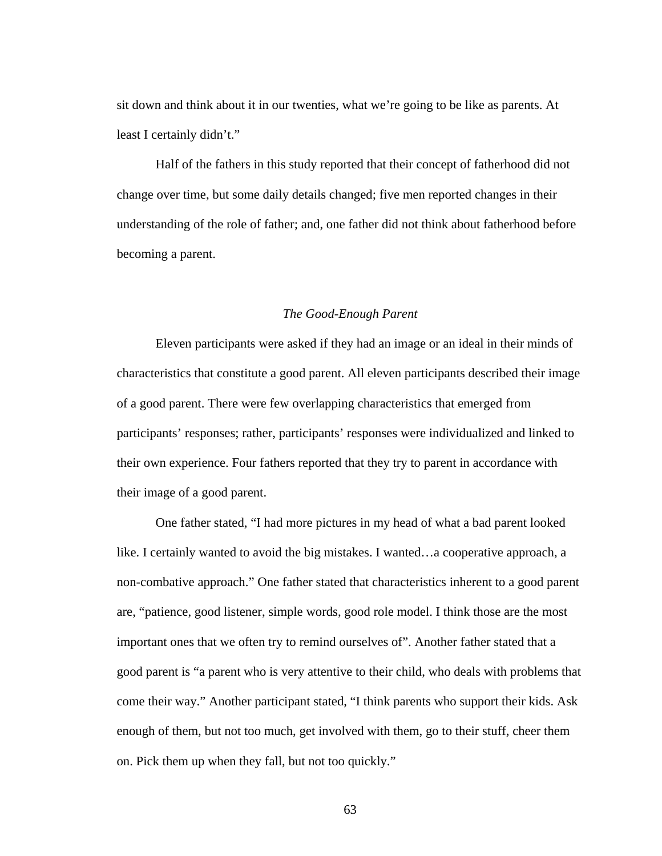sit down and think about it in our twenties, what we're going to be like as parents. At least I certainly didn't."

 Half of the fathers in this study reported that their concept of fatherhood did not change over time, but some daily details changed; five men reported changes in their understanding of the role of father; and, one father did not think about fatherhood before becoming a parent.

#### *The Good-Enough Parent*

 Eleven participants were asked if they had an image or an ideal in their minds of characteristics that constitute a good parent. All eleven participants described their image of a good parent. There were few overlapping characteristics that emerged from participants' responses; rather, participants' responses were individualized and linked to their own experience. Four fathers reported that they try to parent in accordance with their image of a good parent.

 One father stated, "I had more pictures in my head of what a bad parent looked like. I certainly wanted to avoid the big mistakes. I wanted…a cooperative approach, a non-combative approach." One father stated that characteristics inherent to a good parent are, "patience, good listener, simple words, good role model. I think those are the most important ones that we often try to remind ourselves of". Another father stated that a good parent is "a parent who is very attentive to their child, who deals with problems that come their way." Another participant stated, "I think parents who support their kids. Ask enough of them, but not too much, get involved with them, go to their stuff, cheer them on. Pick them up when they fall, but not too quickly."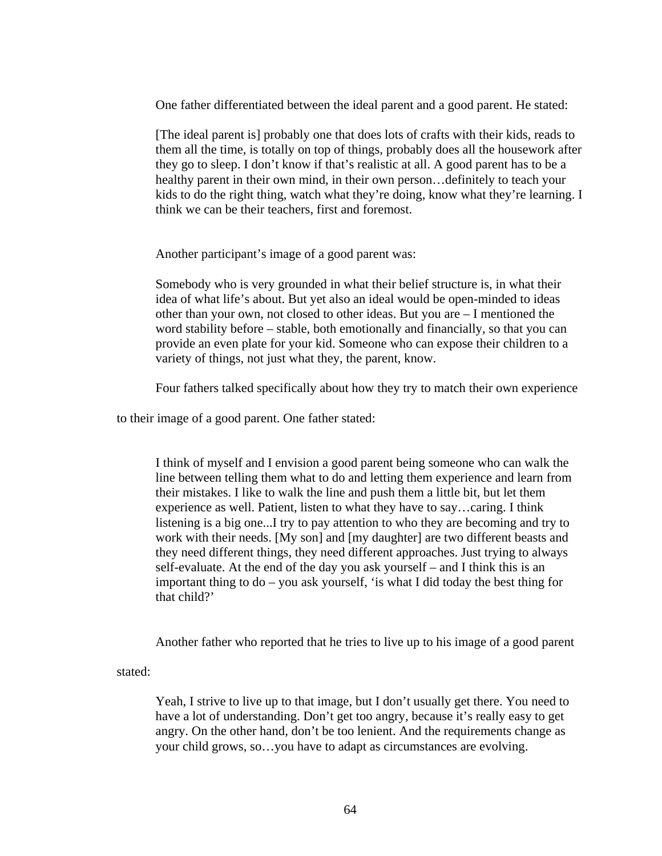One father differentiated between the ideal parent and a good parent. He stated:

[The ideal parent is] probably one that does lots of crafts with their kids, reads to them all the time, is totally on top of things, probably does all the housework after they go to sleep. I don't know if that's realistic at all. A good parent has to be a healthy parent in their own mind, in their own person…definitely to teach your kids to do the right thing, watch what they're doing, know what they're learning. I think we can be their teachers, first and foremost.

Another participant's image of a good parent was:

Somebody who is very grounded in what their belief structure is, in what their idea of what life's about. But yet also an ideal would be open-minded to ideas other than your own, not closed to other ideas. But you are – I mentioned the word stability before – stable, both emotionally and financially, so that you can provide an even plate for your kid. Someone who can expose their children to a variety of things, not just what they, the parent, know.

Four fathers talked specifically about how they try to match their own experience

to their image of a good parent. One father stated:

I think of myself and I envision a good parent being someone who can walk the line between telling them what to do and letting them experience and learn from their mistakes. I like to walk the line and push them a little bit, but let them experience as well. Patient, listen to what they have to say…caring. I think listening is a big one...I try to pay attention to who they are becoming and try to work with their needs. [My son] and [my daughter] are two different beasts and they need different things, they need different approaches. Just trying to always self-evaluate. At the end of the day you ask yourself – and I think this is an important thing to do – you ask yourself, 'is what I did today the best thing for that child?'

Another father who reported that he tries to live up to his image of a good parent

stated:

Yeah, I strive to live up to that image, but I don't usually get there. You need to have a lot of understanding. Don't get too angry, because it's really easy to get angry. On the other hand, don't be too lenient. And the requirements change as your child grows, so…you have to adapt as circumstances are evolving.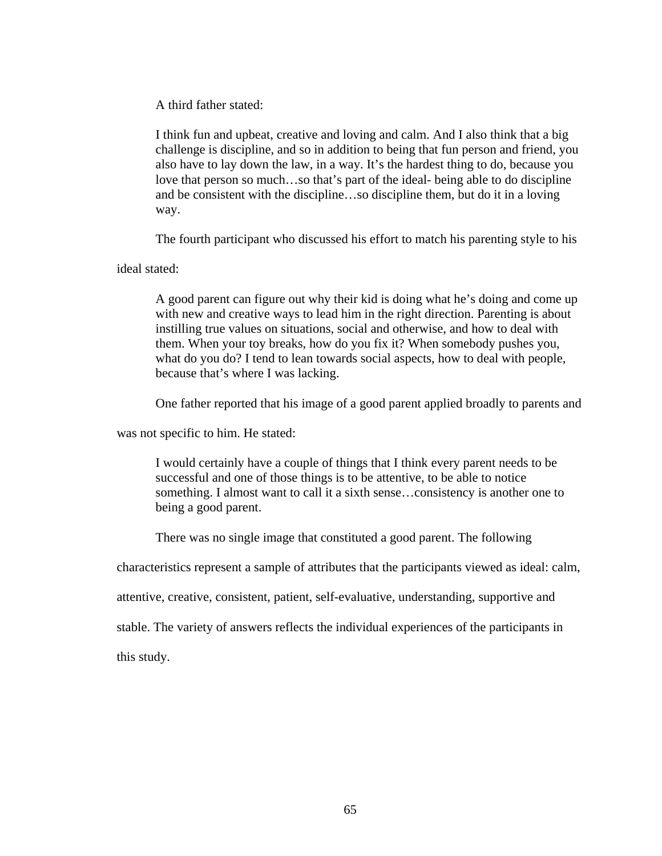A third father stated:

I think fun and upbeat, creative and loving and calm. And I also think that a big challenge is discipline, and so in addition to being that fun person and friend, you also have to lay down the law, in a way. It's the hardest thing to do, because you love that person so much…so that's part of the ideal- being able to do discipline and be consistent with the discipline…so discipline them, but do it in a loving way.

The fourth participant who discussed his effort to match his parenting style to his

ideal stated:

A good parent can figure out why their kid is doing what he's doing and come up with new and creative ways to lead him in the right direction. Parenting is about instilling true values on situations, social and otherwise, and how to deal with them. When your toy breaks, how do you fix it? When somebody pushes you, what do you do? I tend to lean towards social aspects, how to deal with people, because that's where I was lacking.

One father reported that his image of a good parent applied broadly to parents and

was not specific to him. He stated:

I would certainly have a couple of things that I think every parent needs to be successful and one of those things is to be attentive, to be able to notice something. I almost want to call it a sixth sense…consistency is another one to being a good parent.

There was no single image that constituted a good parent. The following

characteristics represent a sample of attributes that the participants viewed as ideal: calm,

attentive, creative, consistent, patient, self-evaluative, understanding, supportive and

stable. The variety of answers reflects the individual experiences of the participants in

this study.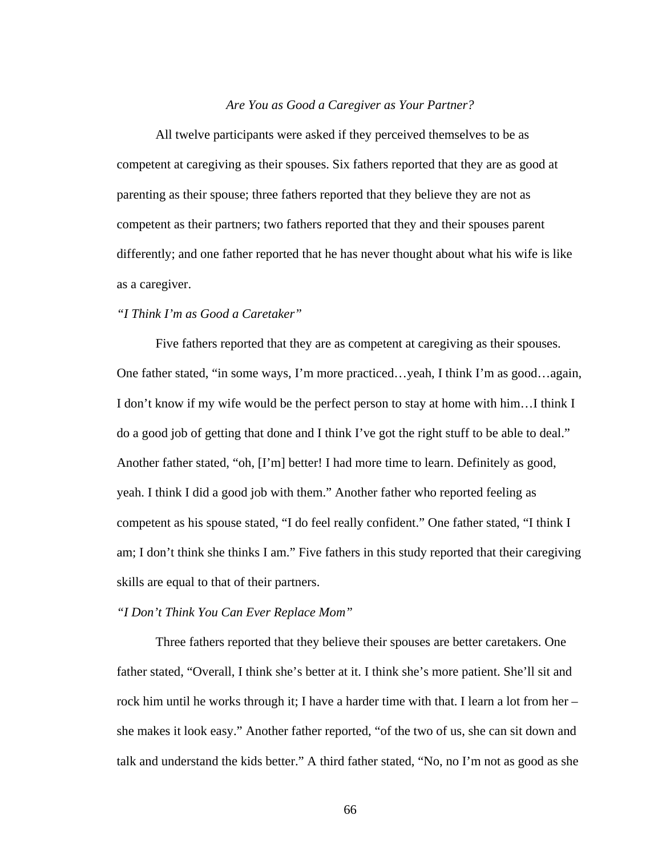#### *Are You as Good a Caregiver as Your Partner?*

 All twelve participants were asked if they perceived themselves to be as competent at caregiving as their spouses. Six fathers reported that they are as good at parenting as their spouse; three fathers reported that they believe they are not as competent as their partners; two fathers reported that they and their spouses parent differently; and one father reported that he has never thought about what his wife is like as a caregiver.

#### *"I Think I'm as Good a Caretaker"*

 Five fathers reported that they are as competent at caregiving as their spouses. One father stated, "in some ways, I'm more practiced…yeah, I think I'm as good…again, I don't know if my wife would be the perfect person to stay at home with him…I think I do a good job of getting that done and I think I've got the right stuff to be able to deal." Another father stated, "oh, [I'm] better! I had more time to learn. Definitely as good, yeah. I think I did a good job with them." Another father who reported feeling as competent as his spouse stated, "I do feel really confident." One father stated, "I think I am; I don't think she thinks I am." Five fathers in this study reported that their caregiving skills are equal to that of their partners.

#### *"I Don't Think You Can Ever Replace Mom"*

 Three fathers reported that they believe their spouses are better caretakers. One father stated, "Overall, I think she's better at it. I think she's more patient. She'll sit and rock him until he works through it; I have a harder time with that. I learn a lot from her – she makes it look easy." Another father reported, "of the two of us, she can sit down and talk and understand the kids better." A third father stated, "No, no I'm not as good as she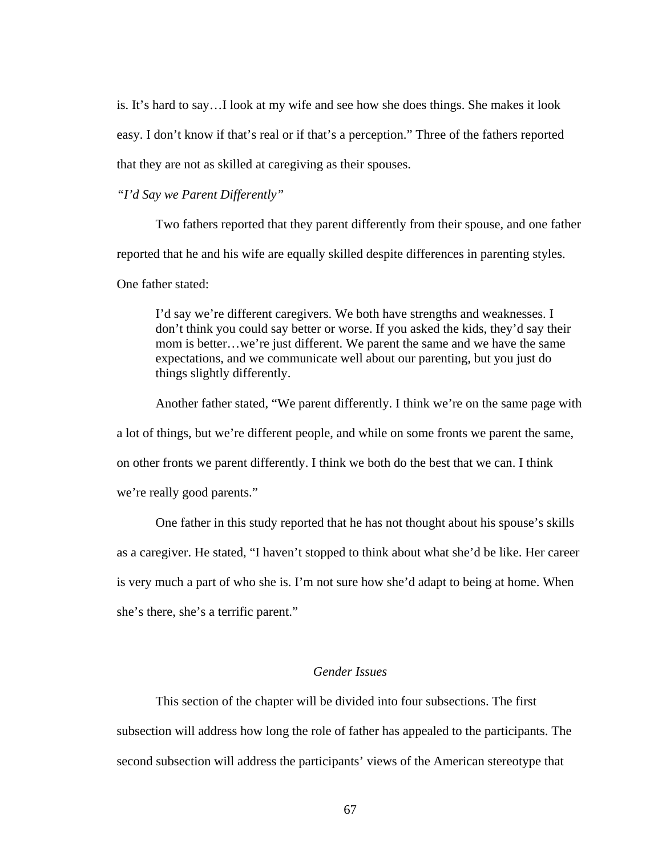is. It's hard to say…I look at my wife and see how she does things. She makes it look easy. I don't know if that's real or if that's a perception." Three of the fathers reported that they are not as skilled at caregiving as their spouses.

#### *"I'd Say we Parent Differently"*

 Two fathers reported that they parent differently from their spouse, and one father reported that he and his wife are equally skilled despite differences in parenting styles. One father stated:

I'd say we're different caregivers. We both have strengths and weaknesses. I don't think you could say better or worse. If you asked the kids, they'd say their mom is better…we're just different. We parent the same and we have the same expectations, and we communicate well about our parenting, but you just do things slightly differently.

 Another father stated, "We parent differently. I think we're on the same page with a lot of things, but we're different people, and while on some fronts we parent the same, on other fronts we parent differently. I think we both do the best that we can. I think we're really good parents."

 One father in this study reported that he has not thought about his spouse's skills as a caregiver. He stated, "I haven't stopped to think about what she'd be like. Her career is very much a part of who she is. I'm not sure how she'd adapt to being at home. When she's there, she's a terrific parent."

# *Gender Issues*

 This section of the chapter will be divided into four subsections. The first subsection will address how long the role of father has appealed to the participants. The second subsection will address the participants' views of the American stereotype that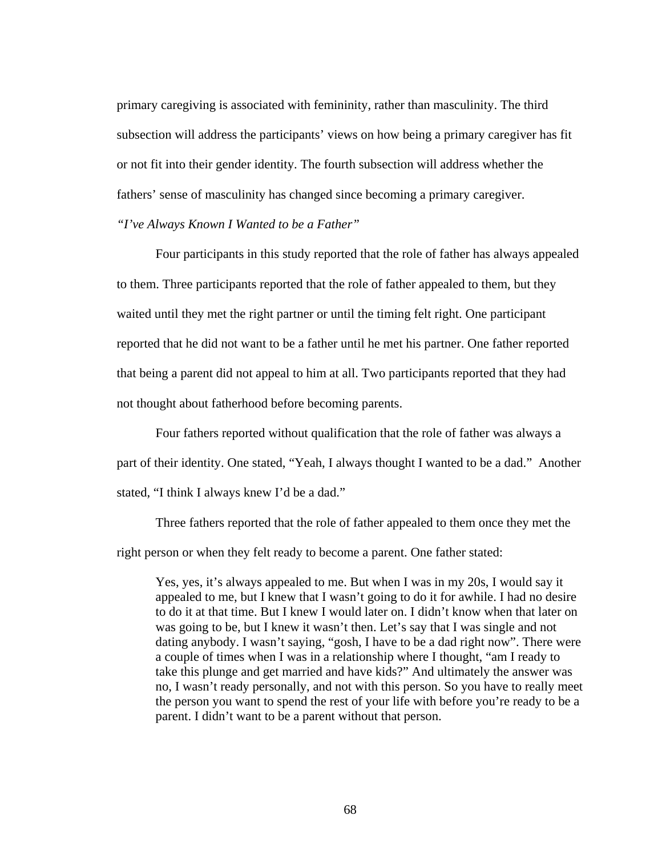primary caregiving is associated with femininity, rather than masculinity. The third subsection will address the participants' views on how being a primary caregiver has fit or not fit into their gender identity. The fourth subsection will address whether the fathers' sense of masculinity has changed since becoming a primary caregiver.

## *"I've Always Known I Wanted to be a Father"*

 Four participants in this study reported that the role of father has always appealed to them. Three participants reported that the role of father appealed to them, but they waited until they met the right partner or until the timing felt right. One participant reported that he did not want to be a father until he met his partner. One father reported that being a parent did not appeal to him at all. Two participants reported that they had not thought about fatherhood before becoming parents.

 Four fathers reported without qualification that the role of father was always a part of their identity. One stated, "Yeah, I always thought I wanted to be a dad." Another stated, "I think I always knew I'd be a dad."

 Three fathers reported that the role of father appealed to them once they met the right person or when they felt ready to become a parent. One father stated:

Yes, yes, it's always appealed to me. But when I was in my 20s, I would say it appealed to me, but I knew that I wasn't going to do it for awhile. I had no desire to do it at that time. But I knew I would later on. I didn't know when that later on was going to be, but I knew it wasn't then. Let's say that I was single and not dating anybody. I wasn't saying, "gosh, I have to be a dad right now". There were a couple of times when I was in a relationship where I thought, "am I ready to take this plunge and get married and have kids?" And ultimately the answer was no, I wasn't ready personally, and not with this person. So you have to really meet the person you want to spend the rest of your life with before you're ready to be a parent. I didn't want to be a parent without that person.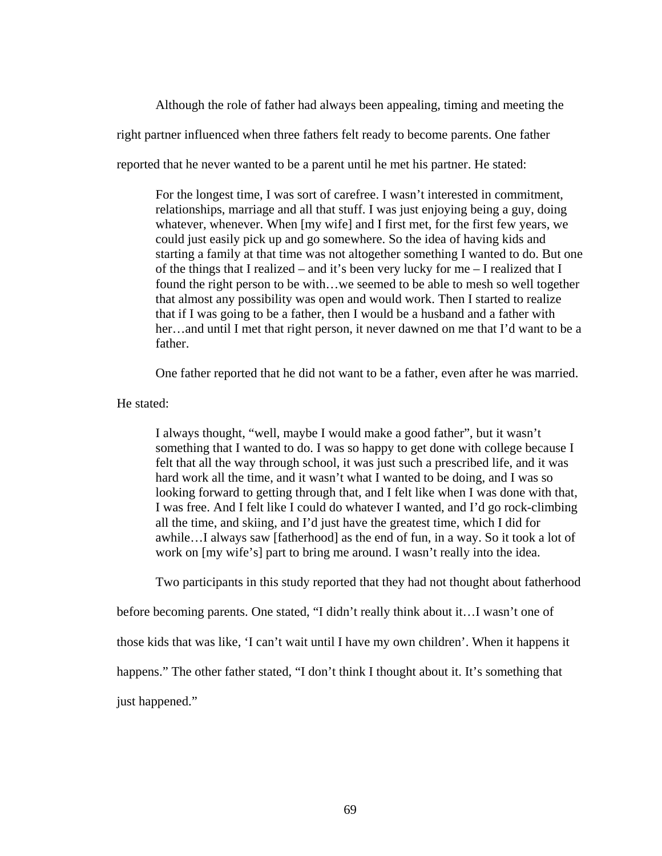Although the role of father had always been appealing, timing and meeting the

right partner influenced when three fathers felt ready to become parents. One father

reported that he never wanted to be a parent until he met his partner. He stated:

For the longest time, I was sort of carefree. I wasn't interested in commitment, relationships, marriage and all that stuff. I was just enjoying being a guy, doing whatever, whenever. When [my wife] and I first met, for the first few years, we could just easily pick up and go somewhere. So the idea of having kids and starting a family at that time was not altogether something I wanted to do. But one of the things that I realized – and it's been very lucky for me – I realized that I found the right person to be with…we seemed to be able to mesh so well together that almost any possibility was open and would work. Then I started to realize that if I was going to be a father, then I would be a husband and a father with her…and until I met that right person, it never dawned on me that I'd want to be a father.

One father reported that he did not want to be a father, even after he was married.

He stated:

I always thought, "well, maybe I would make a good father", but it wasn't something that I wanted to do. I was so happy to get done with college because I felt that all the way through school, it was just such a prescribed life, and it was hard work all the time, and it wasn't what I wanted to be doing, and I was so looking forward to getting through that, and I felt like when I was done with that, I was free. And I felt like I could do whatever I wanted, and I'd go rock-climbing all the time, and skiing, and I'd just have the greatest time, which I did for awhile…I always saw [fatherhood] as the end of fun, in a way. So it took a lot of work on [my wife's] part to bring me around. I wasn't really into the idea.

Two participants in this study reported that they had not thought about fatherhood

before becoming parents. One stated, "I didn't really think about it…I wasn't one of those kids that was like, 'I can't wait until I have my own children'. When it happens it

happens." The other father stated, "I don't think I thought about it. It's something that

just happened."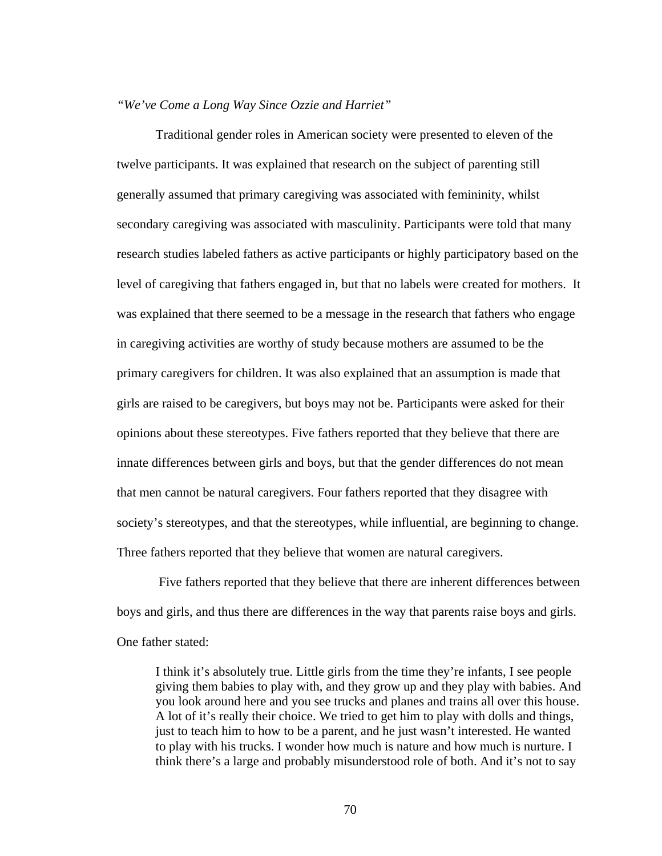### *"We've Come a Long Way Since Ozzie and Harriet"*

 Traditional gender roles in American society were presented to eleven of the twelve participants. It was explained that research on the subject of parenting still generally assumed that primary caregiving was associated with femininity, whilst secondary caregiving was associated with masculinity. Participants were told that many research studies labeled fathers as active participants or highly participatory based on the level of caregiving that fathers engaged in, but that no labels were created for mothers. It was explained that there seemed to be a message in the research that fathers who engage in caregiving activities are worthy of study because mothers are assumed to be the primary caregivers for children. It was also explained that an assumption is made that girls are raised to be caregivers, but boys may not be. Participants were asked for their opinions about these stereotypes. Five fathers reported that they believe that there are innate differences between girls and boys, but that the gender differences do not mean that men cannot be natural caregivers. Four fathers reported that they disagree with society's stereotypes, and that the stereotypes, while influential, are beginning to change. Three fathers reported that they believe that women are natural caregivers.

 Five fathers reported that they believe that there are inherent differences between boys and girls, and thus there are differences in the way that parents raise boys and girls. One father stated:

I think it's absolutely true. Little girls from the time they're infants, I see people giving them babies to play with, and they grow up and they play with babies. And you look around here and you see trucks and planes and trains all over this house. A lot of it's really their choice. We tried to get him to play with dolls and things, just to teach him to how to be a parent, and he just wasn't interested. He wanted to play with his trucks. I wonder how much is nature and how much is nurture. I think there's a large and probably misunderstood role of both. And it's not to say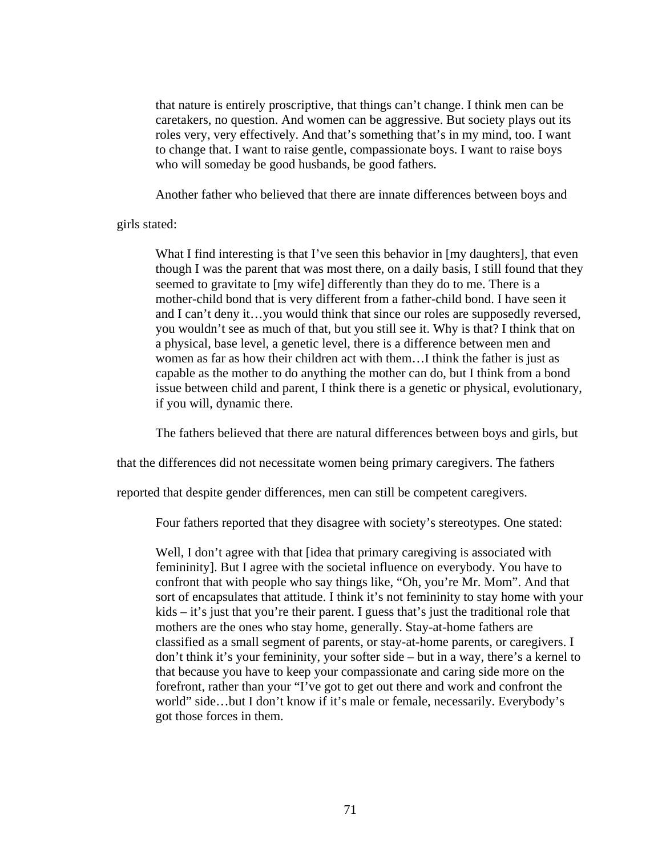that nature is entirely proscriptive, that things can't change. I think men can be caretakers, no question. And women can be aggressive. But society plays out its roles very, very effectively. And that's something that's in my mind, too. I want to change that. I want to raise gentle, compassionate boys. I want to raise boys who will someday be good husbands, be good fathers.

Another father who believed that there are innate differences between boys and

girls stated:

What I find interesting is that I've seen this behavior in [my daughters], that even though I was the parent that was most there, on a daily basis, I still found that they seemed to gravitate to [my wife] differently than they do to me. There is a mother-child bond that is very different from a father-child bond. I have seen it and I can't deny it…you would think that since our roles are supposedly reversed, you wouldn't see as much of that, but you still see it. Why is that? I think that on a physical, base level, a genetic level, there is a difference between men and women as far as how their children act with them…I think the father is just as capable as the mother to do anything the mother can do, but I think from a bond issue between child and parent, I think there is a genetic or physical, evolutionary, if you will, dynamic there.

The fathers believed that there are natural differences between boys and girls, but

that the differences did not necessitate women being primary caregivers. The fathers

reported that despite gender differences, men can still be competent caregivers.

Four fathers reported that they disagree with society's stereotypes. One stated:

Well, I don't agree with that [idea that primary caregiving is associated with femininity]. But I agree with the societal influence on everybody. You have to confront that with people who say things like, "Oh, you're Mr. Mom". And that sort of encapsulates that attitude. I think it's not femininity to stay home with your kids – it's just that you're their parent. I guess that's just the traditional role that mothers are the ones who stay home, generally. Stay-at-home fathers are classified as a small segment of parents, or stay-at-home parents, or caregivers. I don't think it's your femininity, your softer side – but in a way, there's a kernel to that because you have to keep your compassionate and caring side more on the forefront, rather than your "I've got to get out there and work and confront the world" side...but I don't know if it's male or female, necessarily. Everybody's got those forces in them.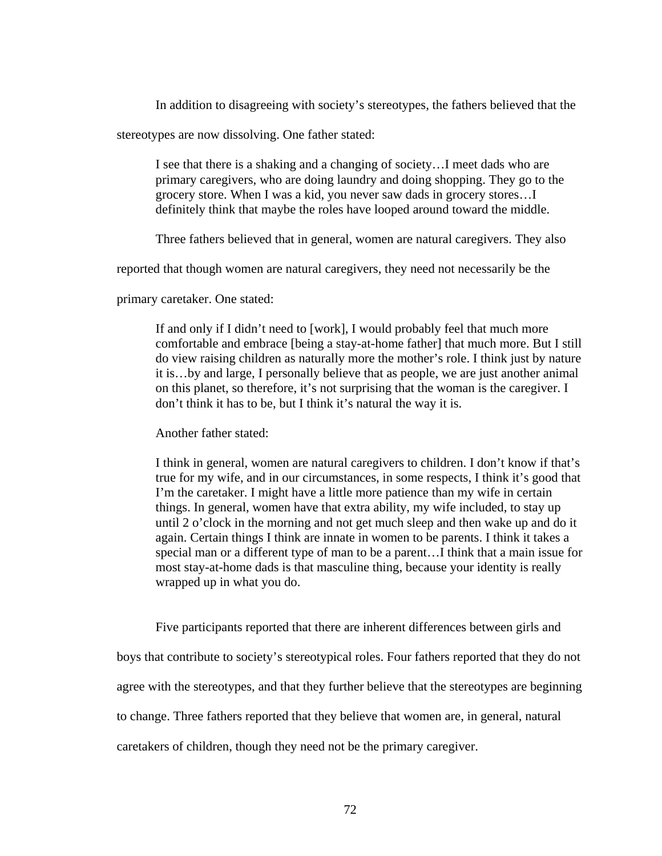In addition to disagreeing with society's stereotypes, the fathers believed that the

stereotypes are now dissolving. One father stated:

I see that there is a shaking and a changing of society…I meet dads who are primary caregivers, who are doing laundry and doing shopping. They go to the grocery store. When I was a kid, you never saw dads in grocery stores…I definitely think that maybe the roles have looped around toward the middle.

Three fathers believed that in general, women are natural caregivers. They also

reported that though women are natural caregivers, they need not necessarily be the

primary caretaker. One stated:

If and only if I didn't need to [work], I would probably feel that much more comfortable and embrace [being a stay-at-home father] that much more. But I still do view raising children as naturally more the mother's role. I think just by nature it is…by and large, I personally believe that as people, we are just another animal on this planet, so therefore, it's not surprising that the woman is the caregiver. I don't think it has to be, but I think it's natural the way it is.

Another father stated:

I think in general, women are natural caregivers to children. I don't know if that's true for my wife, and in our circumstances, in some respects, I think it's good that I'm the caretaker. I might have a little more patience than my wife in certain things. In general, women have that extra ability, my wife included, to stay up until 2 o'clock in the morning and not get much sleep and then wake up and do it again. Certain things I think are innate in women to be parents. I think it takes a special man or a different type of man to be a parent…I think that a main issue for most stay-at-home dads is that masculine thing, because your identity is really wrapped up in what you do.

Five participants reported that there are inherent differences between girls and boys that contribute to society's stereotypical roles. Four fathers reported that they do not agree with the stereotypes, and that they further believe that the stereotypes are beginning to change. Three fathers reported that they believe that women are, in general, natural caretakers of children, though they need not be the primary caregiver.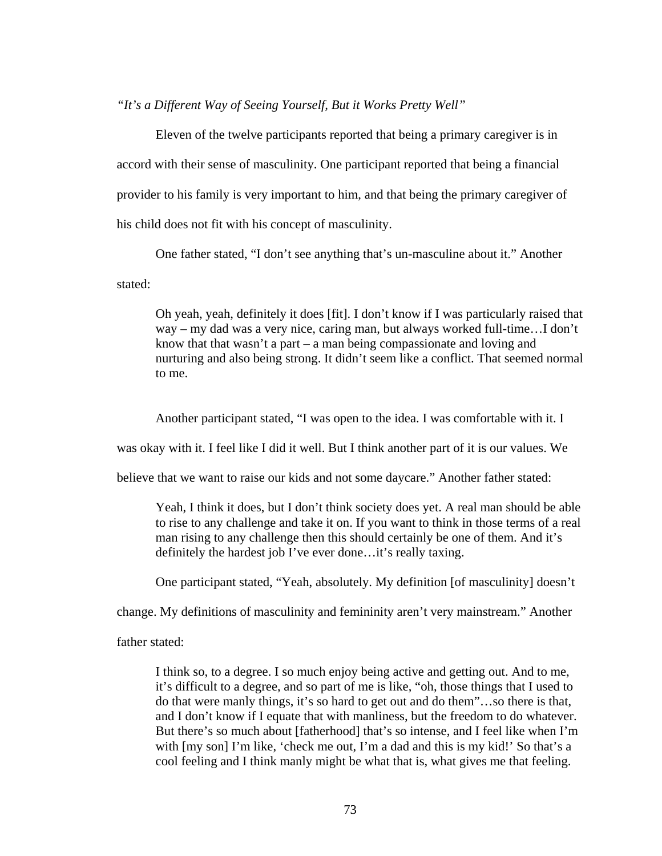*"It's a Different Way of Seeing Yourself, But it Works Pretty Well"* 

 Eleven of the twelve participants reported that being a primary caregiver is in accord with their sense of masculinity. One participant reported that being a financial provider to his family is very important to him, and that being the primary caregiver of his child does not fit with his concept of masculinity.

 One father stated, "I don't see anything that's un-masculine about it." Another stated:

Oh yeah, yeah, definitely it does [fit]. I don't know if I was particularly raised that way – my dad was a very nice, caring man, but always worked full-time…I don't know that that wasn't a part – a man being compassionate and loving and nurturing and also being strong. It didn't seem like a conflict. That seemed normal to me.

Another participant stated, "I was open to the idea. I was comfortable with it. I

was okay with it. I feel like I did it well. But I think another part of it is our values. We

believe that we want to raise our kids and not some daycare." Another father stated:

Yeah, I think it does, but I don't think society does yet. A real man should be able to rise to any challenge and take it on. If you want to think in those terms of a real man rising to any challenge then this should certainly be one of them. And it's definitely the hardest job I've ever done…it's really taxing.

One participant stated, "Yeah, absolutely. My definition [of masculinity] doesn't

change. My definitions of masculinity and femininity aren't very mainstream." Another

father stated:

I think so, to a degree. I so much enjoy being active and getting out. And to me, it's difficult to a degree, and so part of me is like, "oh, those things that I used to do that were manly things, it's so hard to get out and do them"…so there is that, and I don't know if I equate that with manliness, but the freedom to do whatever. But there's so much about [fatherhood] that's so intense, and I feel like when I'm with [my son] I'm like, 'check me out, I'm a dad and this is my kid!' So that's a cool feeling and I think manly might be what that is, what gives me that feeling.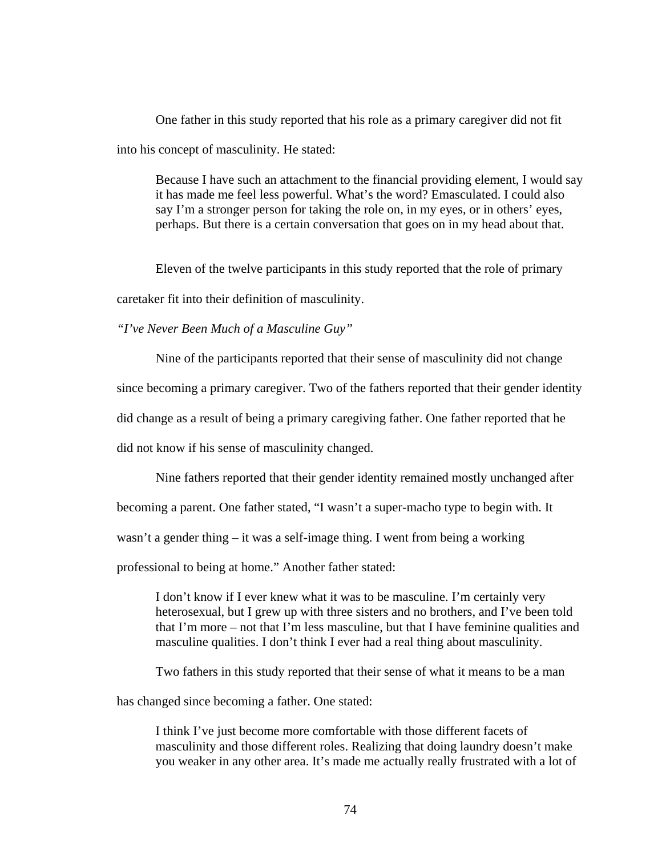One father in this study reported that his role as a primary caregiver did not fit into his concept of masculinity. He stated:

Because I have such an attachment to the financial providing element, I would say it has made me feel less powerful. What's the word? Emasculated. I could also say I'm a stronger person for taking the role on, in my eyes, or in others' eyes, perhaps. But there is a certain conversation that goes on in my head about that.

Eleven of the twelve participants in this study reported that the role of primary

caretaker fit into their definition of masculinity.

*"I've Never Been Much of a Masculine Guy"* 

Nine of the participants reported that their sense of masculinity did not change

since becoming a primary caregiver. Two of the fathers reported that their gender identity

did change as a result of being a primary caregiving father. One father reported that he

did not know if his sense of masculinity changed.

Nine fathers reported that their gender identity remained mostly unchanged after

becoming a parent. One father stated, "I wasn't a super-macho type to begin with. It

wasn't a gender thing – it was a self-image thing. I went from being a working

professional to being at home." Another father stated:

I don't know if I ever knew what it was to be masculine. I'm certainly very heterosexual, but I grew up with three sisters and no brothers, and I've been told that I'm more – not that I'm less masculine, but that I have feminine qualities and masculine qualities. I don't think I ever had a real thing about masculinity.

Two fathers in this study reported that their sense of what it means to be a man

has changed since becoming a father. One stated:

I think I've just become more comfortable with those different facets of masculinity and those different roles. Realizing that doing laundry doesn't make you weaker in any other area. It's made me actually really frustrated with a lot of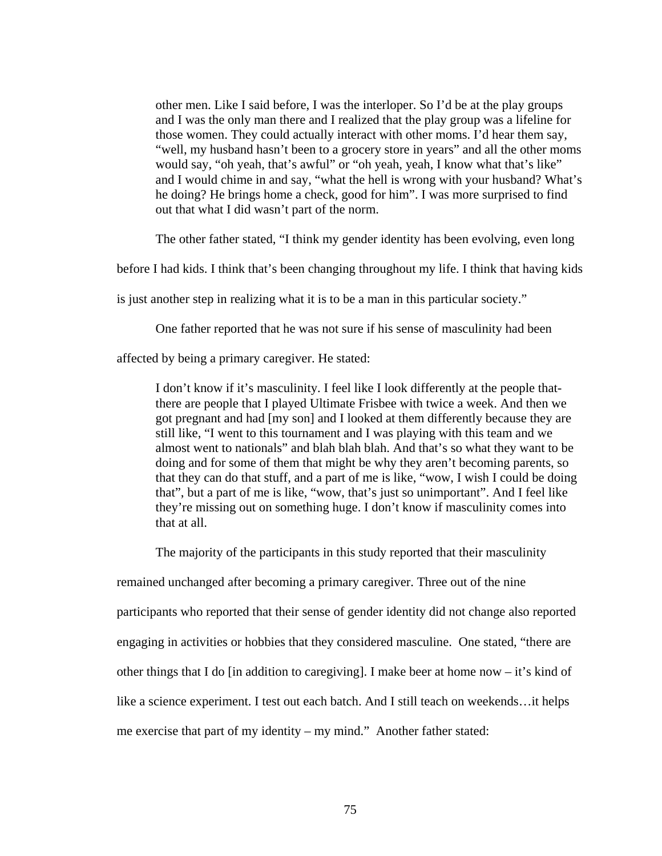other men. Like I said before, I was the interloper. So I'd be at the play groups and I was the only man there and I realized that the play group was a lifeline for those women. They could actually interact with other moms. I'd hear them say, "well, my husband hasn't been to a grocery store in years" and all the other moms would say, "oh yeah, that's awful" or "oh yeah, yeah, I know what that's like" and I would chime in and say, "what the hell is wrong with your husband? What's he doing? He brings home a check, good for him". I was more surprised to find out that what I did wasn't part of the norm.

The other father stated, "I think my gender identity has been evolving, even long

before I had kids. I think that's been changing throughout my life. I think that having kids

is just another step in realizing what it is to be a man in this particular society."

One father reported that he was not sure if his sense of masculinity had been

affected by being a primary caregiver. He stated:

I don't know if it's masculinity. I feel like I look differently at the people thatthere are people that I played Ultimate Frisbee with twice a week. And then we got pregnant and had [my son] and I looked at them differently because they are still like, "I went to this tournament and I was playing with this team and we almost went to nationals" and blah blah blah. And that's so what they want to be doing and for some of them that might be why they aren't becoming parents, so that they can do that stuff, and a part of me is like, "wow, I wish I could be doing that", but a part of me is like, "wow, that's just so unimportant". And I feel like they're missing out on something huge. I don't know if masculinity comes into that at all.

The majority of the participants in this study reported that their masculinity

remained unchanged after becoming a primary caregiver. Three out of the nine participants who reported that their sense of gender identity did not change also reported engaging in activities or hobbies that they considered masculine. One stated, "there are other things that I do [in addition to caregiving]. I make beer at home now – it's kind of like a science experiment. I test out each batch. And I still teach on weekends…it helps me exercise that part of my identity – my mind." Another father stated: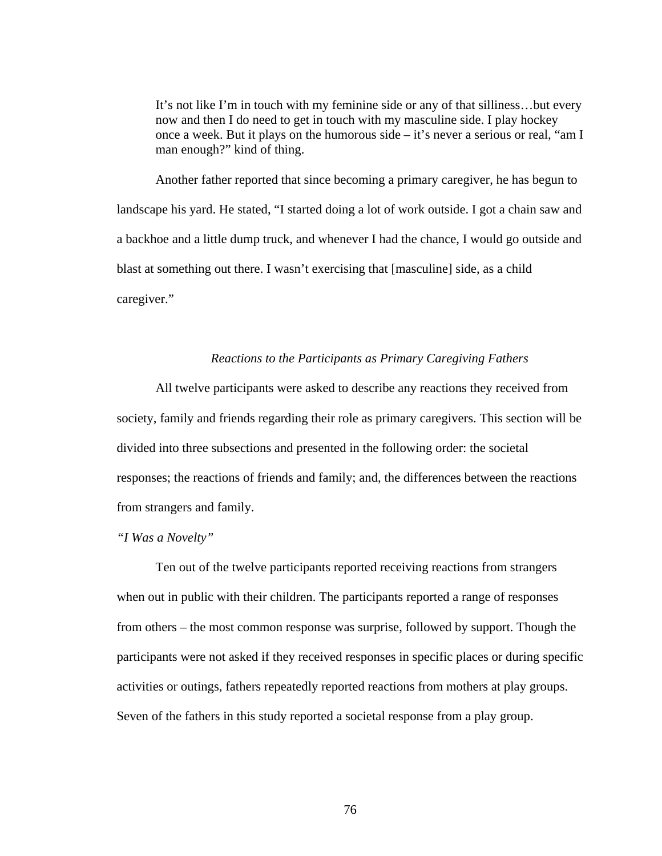It's not like I'm in touch with my feminine side or any of that silliness…but every now and then I do need to get in touch with my masculine side. I play hockey once a week. But it plays on the humorous side – it's never a serious or real, "am I man enough?" kind of thing.

Another father reported that since becoming a primary caregiver, he has begun to landscape his yard. He stated, "I started doing a lot of work outside. I got a chain saw and a backhoe and a little dump truck, and whenever I had the chance, I would go outside and blast at something out there. I wasn't exercising that [masculine] side, as a child caregiver."

# *Reactions to the Participants as Primary Caregiving Fathers*

All twelve participants were asked to describe any reactions they received from society, family and friends regarding their role as primary caregivers. This section will be divided into three subsections and presented in the following order: the societal responses; the reactions of friends and family; and, the differences between the reactions from strangers and family.

### *"I Was a Novelty"*

 Ten out of the twelve participants reported receiving reactions from strangers when out in public with their children. The participants reported a range of responses from others – the most common response was surprise, followed by support. Though the participants were not asked if they received responses in specific places or during specific activities or outings, fathers repeatedly reported reactions from mothers at play groups. Seven of the fathers in this study reported a societal response from a play group.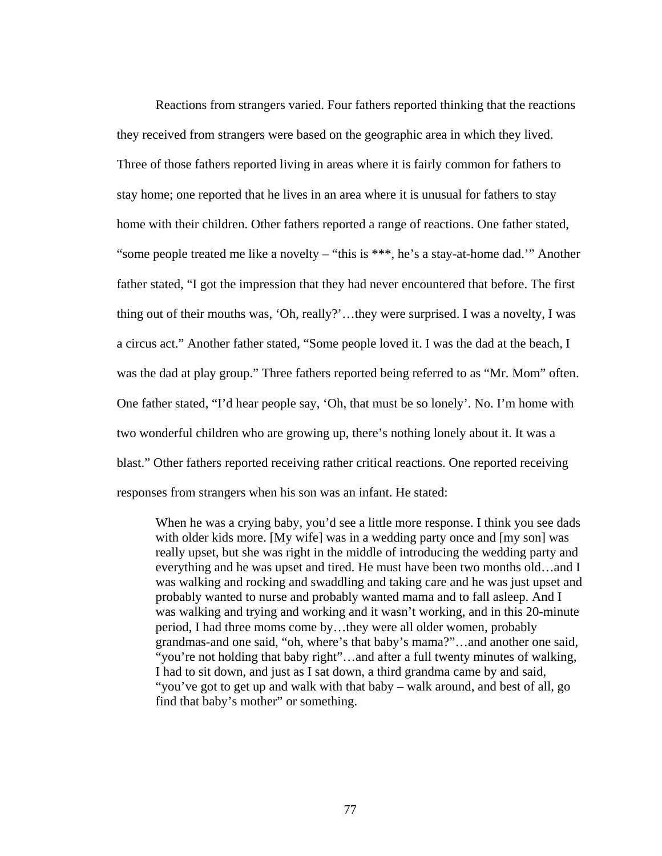Reactions from strangers varied. Four fathers reported thinking that the reactions they received from strangers were based on the geographic area in which they lived. Three of those fathers reported living in areas where it is fairly common for fathers to stay home; one reported that he lives in an area where it is unusual for fathers to stay home with their children. Other fathers reported a range of reactions. One father stated, "some people treated me like a novelty – "this is \*\*\*, he's a stay-at-home dad.'" Another father stated, "I got the impression that they had never encountered that before. The first thing out of their mouths was, 'Oh, really?'…they were surprised. I was a novelty, I was a circus act." Another father stated, "Some people loved it. I was the dad at the beach, I was the dad at play group." Three fathers reported being referred to as "Mr. Mom" often. One father stated, "I'd hear people say, 'Oh, that must be so lonely'. No. I'm home with two wonderful children who are growing up, there's nothing lonely about it. It was a blast." Other fathers reported receiving rather critical reactions. One reported receiving responses from strangers when his son was an infant. He stated:

When he was a crying baby, you'd see a little more response. I think you see dads with older kids more. [My wife] was in a wedding party once and [my son] was really upset, but she was right in the middle of introducing the wedding party and everything and he was upset and tired. He must have been two months old…and I was walking and rocking and swaddling and taking care and he was just upset and probably wanted to nurse and probably wanted mama and to fall asleep. And I was walking and trying and working and it wasn't working, and in this 20-minute period, I had three moms come by…they were all older women, probably grandmas-and one said, "oh, where's that baby's mama?"…and another one said, "you're not holding that baby right"…and after a full twenty minutes of walking, I had to sit down, and just as I sat down, a third grandma came by and said, "you've got to get up and walk with that baby – walk around, and best of all, go find that baby's mother" or something.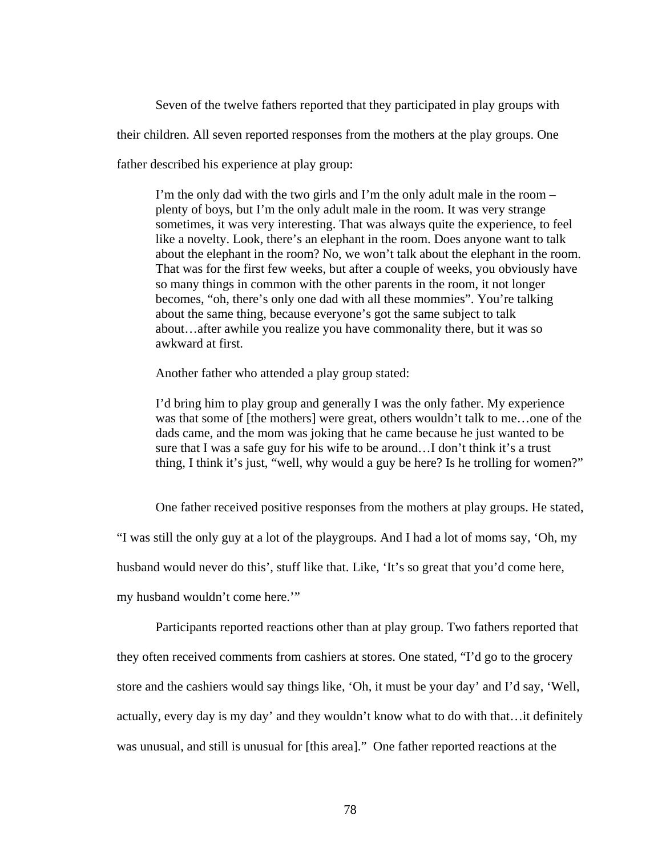Seven of the twelve fathers reported that they participated in play groups with

their children. All seven reported responses from the mothers at the play groups. One

father described his experience at play group:

I'm the only dad with the two girls and I'm the only adult male in the room – plenty of boys, but I'm the only adult male in the room. It was very strange sometimes, it was very interesting. That was always quite the experience, to feel like a novelty. Look, there's an elephant in the room. Does anyone want to talk about the elephant in the room? No, we won't talk about the elephant in the room. That was for the first few weeks, but after a couple of weeks, you obviously have so many things in common with the other parents in the room, it not longer becomes, "oh, there's only one dad with all these mommies". You're talking about the same thing, because everyone's got the same subject to talk about…after awhile you realize you have commonality there, but it was so awkward at first.

Another father who attended a play group stated:

I'd bring him to play group and generally I was the only father. My experience was that some of [the mothers] were great, others wouldn't talk to me...one of the dads came, and the mom was joking that he came because he just wanted to be sure that I was a safe guy for his wife to be around…I don't think it's a trust thing, I think it's just, "well, why would a guy be here? Is he trolling for women?"

One father received positive responses from the mothers at play groups. He stated,

"I was still the only guy at a lot of the playgroups. And I had a lot of moms say, 'Oh, my

husband would never do this', stuff like that. Like, 'It's so great that you'd come here,

my husband wouldn't come here."

 Participants reported reactions other than at play group. Two fathers reported that they often received comments from cashiers at stores. One stated, "I'd go to the grocery store and the cashiers would say things like, 'Oh, it must be your day' and I'd say, 'Well, actually, every day is my day' and they wouldn't know what to do with that…it definitely was unusual, and still is unusual for [this area]." One father reported reactions at the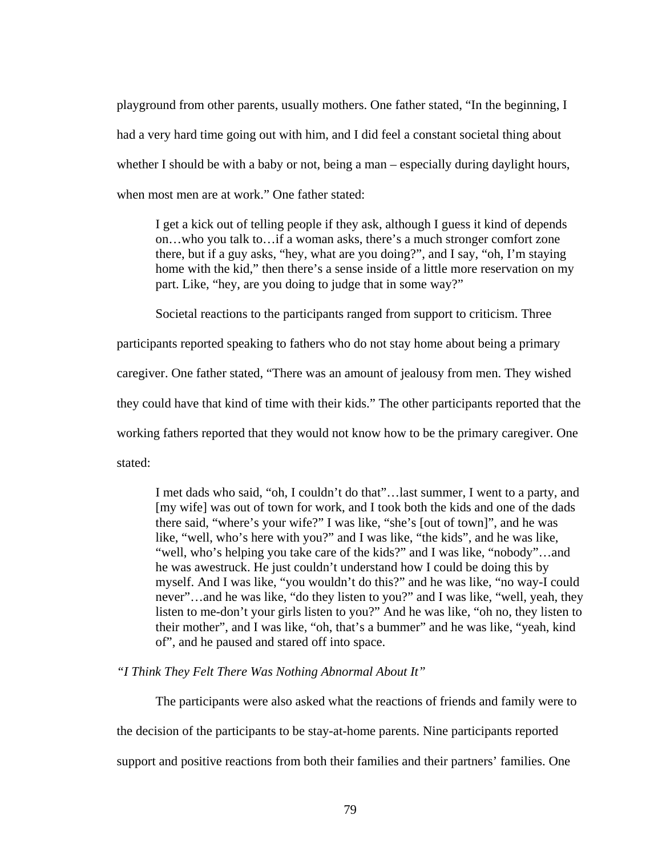playground from other parents, usually mothers. One father stated, "In the beginning, I had a very hard time going out with him, and I did feel a constant societal thing about whether I should be with a baby or not, being a man – especially during daylight hours, when most men are at work." One father stated:

I get a kick out of telling people if they ask, although I guess it kind of depends on…who you talk to…if a woman asks, there's a much stronger comfort zone there, but if a guy asks, "hey, what are you doing?", and I say, "oh, I'm staying home with the kid," then there's a sense inside of a little more reservation on my part. Like, "hey, are you doing to judge that in some way?"

Societal reactions to the participants ranged from support to criticism. Three

participants reported speaking to fathers who do not stay home about being a primary caregiver. One father stated, "There was an amount of jealousy from men. They wished they could have that kind of time with their kids." The other participants reported that the working fathers reported that they would not know how to be the primary caregiver. One stated:

I met dads who said, "oh, I couldn't do that"…last summer, I went to a party, and [my wife] was out of town for work, and I took both the kids and one of the dads there said, "where's your wife?" I was like, "she's [out of town]", and he was like, "well, who's here with you?" and I was like, "the kids", and he was like, "well, who's helping you take care of the kids?" and I was like, "nobody"…and he was awestruck. He just couldn't understand how I could be doing this by myself. And I was like, "you wouldn't do this?" and he was like, "no way-I could never"…and he was like, "do they listen to you?" and I was like, "well, yeah, they listen to me-don't your girls listen to you?" And he was like, "oh no, they listen to their mother", and I was like, "oh, that's a bummer" and he was like, "yeah, kind of", and he paused and stared off into space.

*"I Think They Felt There Was Nothing Abnormal About It"* 

The participants were also asked what the reactions of friends and family were to the decision of the participants to be stay-at-home parents. Nine participants reported support and positive reactions from both their families and their partners' families. One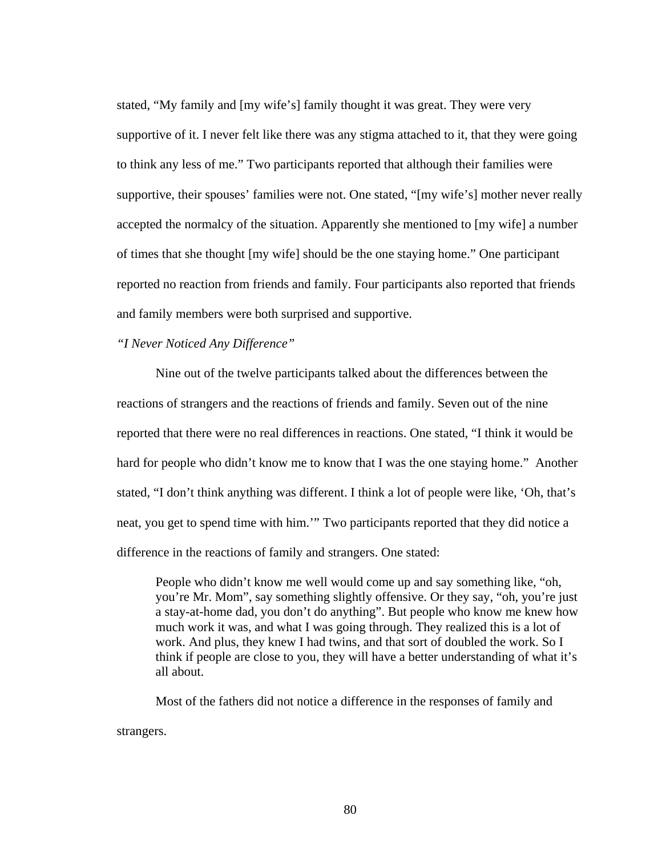stated, "My family and [my wife's] family thought it was great. They were very supportive of it. I never felt like there was any stigma attached to it, that they were going to think any less of me." Two participants reported that although their families were supportive, their spouses' families were not. One stated, "[my wife's] mother never really accepted the normalcy of the situation. Apparently she mentioned to [my wife] a number of times that she thought [my wife] should be the one staying home." One participant reported no reaction from friends and family. Four participants also reported that friends and family members were both surprised and supportive.

## *"I Never Noticed Any Difference"*

 Nine out of the twelve participants talked about the differences between the reactions of strangers and the reactions of friends and family. Seven out of the nine reported that there were no real differences in reactions. One stated, "I think it would be hard for people who didn't know me to know that I was the one staying home." Another stated, "I don't think anything was different. I think a lot of people were like, 'Oh, that's neat, you get to spend time with him.'" Two participants reported that they did notice a difference in the reactions of family and strangers. One stated:

People who didn't know me well would come up and say something like, "oh, you're Mr. Mom", say something slightly offensive. Or they say, "oh, you're just a stay-at-home dad, you don't do anything". But people who know me knew how much work it was, and what I was going through. They realized this is a lot of work. And plus, they knew I had twins, and that sort of doubled the work. So I think if people are close to you, they will have a better understanding of what it's all about.

 Most of the fathers did not notice a difference in the responses of family and strangers.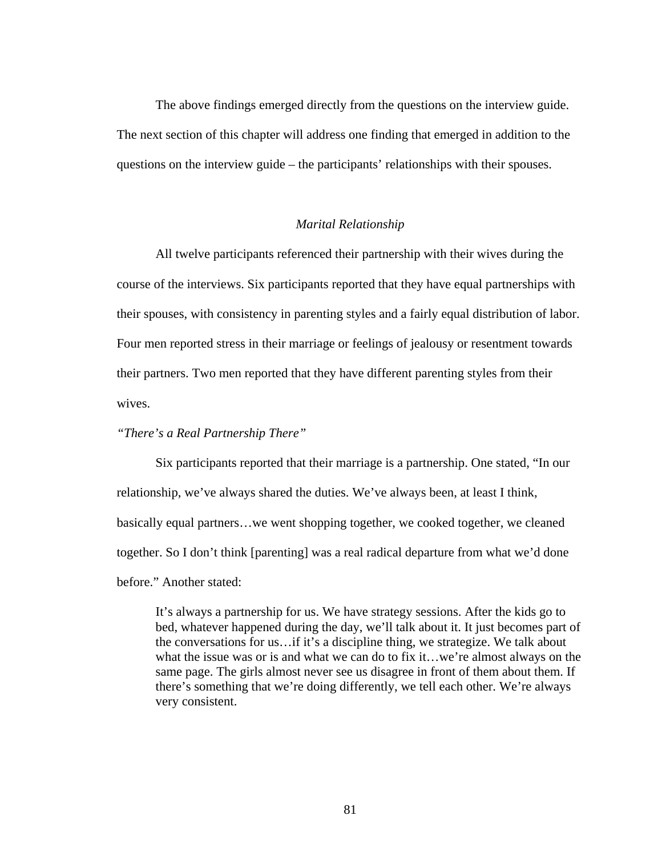The above findings emerged directly from the questions on the interview guide. The next section of this chapter will address one finding that emerged in addition to the questions on the interview guide – the participants' relationships with their spouses.

### *Marital Relationship*

 All twelve participants referenced their partnership with their wives during the course of the interviews. Six participants reported that they have equal partnerships with their spouses, with consistency in parenting styles and a fairly equal distribution of labor. Four men reported stress in their marriage or feelings of jealousy or resentment towards their partners. Two men reported that they have different parenting styles from their wives.

## *"There's a Real Partnership There"*

 Six participants reported that their marriage is a partnership. One stated, "In our relationship, we've always shared the duties. We've always been, at least I think, basically equal partners…we went shopping together, we cooked together, we cleaned together. So I don't think [parenting] was a real radical departure from what we'd done before." Another stated:

It's always a partnership for us. We have strategy sessions. After the kids go to bed, whatever happened during the day, we'll talk about it. It just becomes part of the conversations for us…if it's a discipline thing, we strategize. We talk about what the issue was or is and what we can do to fix it…we're almost always on the same page. The girls almost never see us disagree in front of them about them. If there's something that we're doing differently, we tell each other. We're always very consistent.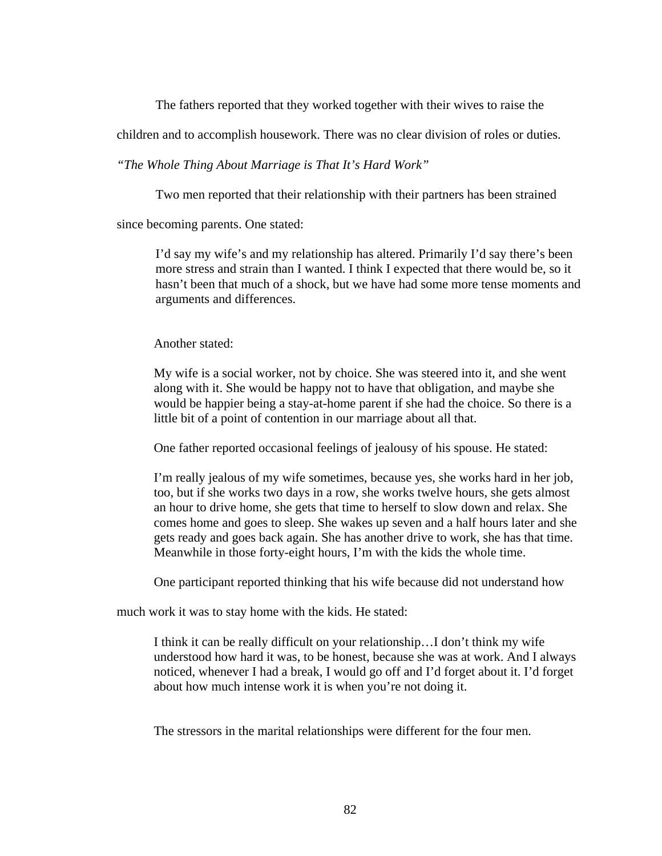The fathers reported that they worked together with their wives to raise the

children and to accomplish housework. There was no clear division of roles or duties.

*"The Whole Thing About Marriage is That It's Hard Work"* 

Two men reported that their relationship with their partners has been strained

since becoming parents. One stated:

I'd say my wife's and my relationship has altered. Primarily I'd say there's been more stress and strain than I wanted. I think I expected that there would be, so it hasn't been that much of a shock, but we have had some more tense moments and arguments and differences.

### Another stated:

My wife is a social worker, not by choice. She was steered into it, and she went along with it. She would be happy not to have that obligation, and maybe she would be happier being a stay-at-home parent if she had the choice. So there is a little bit of a point of contention in our marriage about all that.

One father reported occasional feelings of jealousy of his spouse. He stated:

I'm really jealous of my wife sometimes, because yes, she works hard in her job, too, but if she works two days in a row, she works twelve hours, she gets almost an hour to drive home, she gets that time to herself to slow down and relax. She comes home and goes to sleep. She wakes up seven and a half hours later and she gets ready and goes back again. She has another drive to work, she has that time. Meanwhile in those forty-eight hours, I'm with the kids the whole time.

One participant reported thinking that his wife because did not understand how

much work it was to stay home with the kids. He stated:

I think it can be really difficult on your relationship…I don't think my wife understood how hard it was, to be honest, because she was at work. And I always noticed, whenever I had a break, I would go off and I'd forget about it. I'd forget about how much intense work it is when you're not doing it.

The stressors in the marital relationships were different for the four men.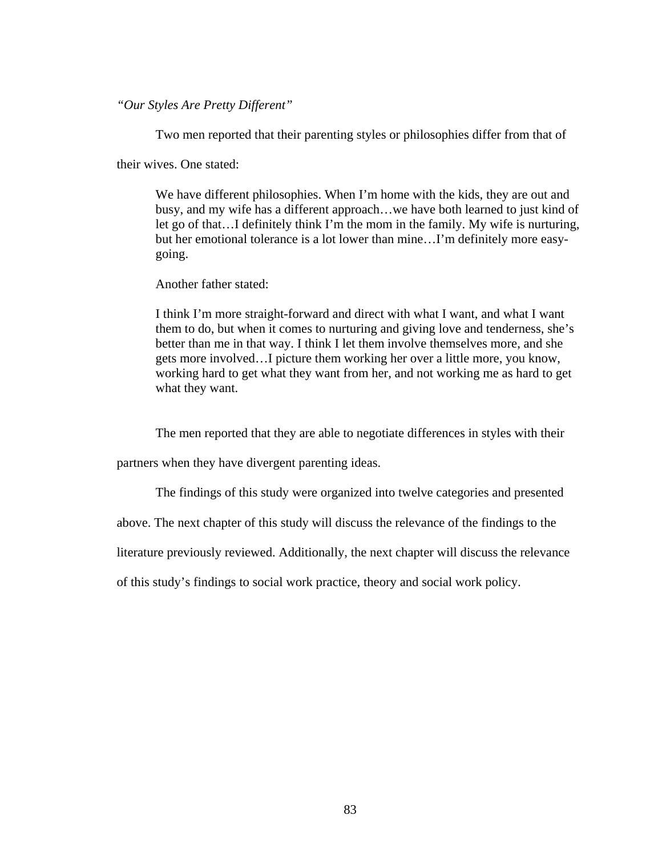*"Our Styles Are Pretty Different"* 

Two men reported that their parenting styles or philosophies differ from that of

their wives. One stated:

We have different philosophies. When I'm home with the kids, they are out and busy, and my wife has a different approach…we have both learned to just kind of let go of that…I definitely think I'm the mom in the family. My wife is nurturing, but her emotional tolerance is a lot lower than mine…I'm definitely more easygoing.

Another father stated:

I think I'm more straight-forward and direct with what I want, and what I want them to do, but when it comes to nurturing and giving love and tenderness, she's better than me in that way. I think I let them involve themselves more, and she gets more involved…I picture them working her over a little more, you know, working hard to get what they want from her, and not working me as hard to get what they want.

The men reported that they are able to negotiate differences in styles with their

partners when they have divergent parenting ideas.

The findings of this study were organized into twelve categories and presented

above. The next chapter of this study will discuss the relevance of the findings to the

literature previously reviewed. Additionally, the next chapter will discuss the relevance

of this study's findings to social work practice, theory and social work policy.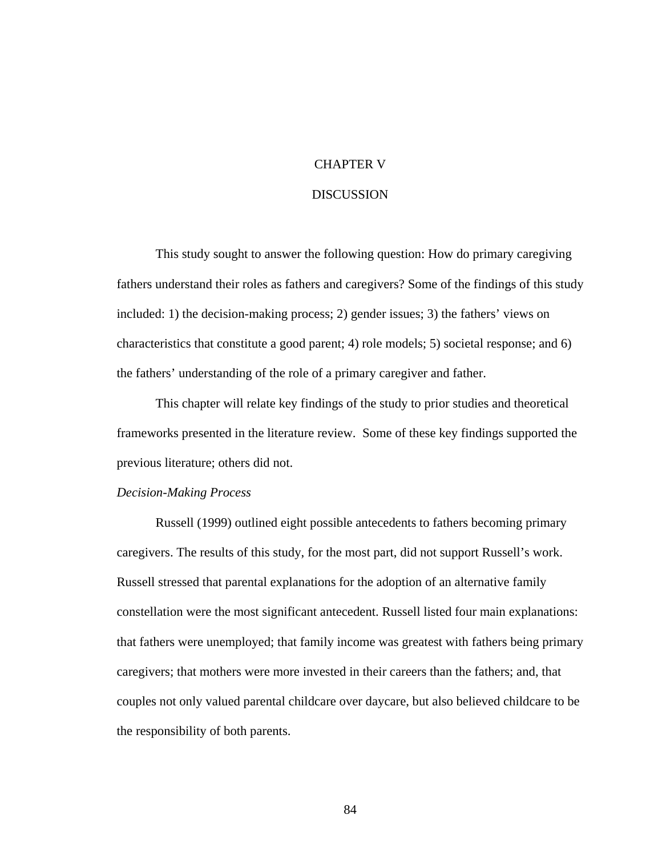## CHAPTER V

### **DISCUSSION**

 This study sought to answer the following question: How do primary caregiving fathers understand their roles as fathers and caregivers? Some of the findings of this study included: 1) the decision-making process; 2) gender issues; 3) the fathers' views on characteristics that constitute a good parent; 4) role models; 5) societal response; and 6) the fathers' understanding of the role of a primary caregiver and father.

 This chapter will relate key findings of the study to prior studies and theoretical frameworks presented in the literature review. Some of these key findings supported the previous literature; others did not.

## *Decision-Making Process*

Russell (1999) outlined eight possible antecedents to fathers becoming primary caregivers. The results of this study, for the most part, did not support Russell's work. Russell stressed that parental explanations for the adoption of an alternative family constellation were the most significant antecedent. Russell listed four main explanations: that fathers were unemployed; that family income was greatest with fathers being primary caregivers; that mothers were more invested in their careers than the fathers; and, that couples not only valued parental childcare over daycare, but also believed childcare to be the responsibility of both parents.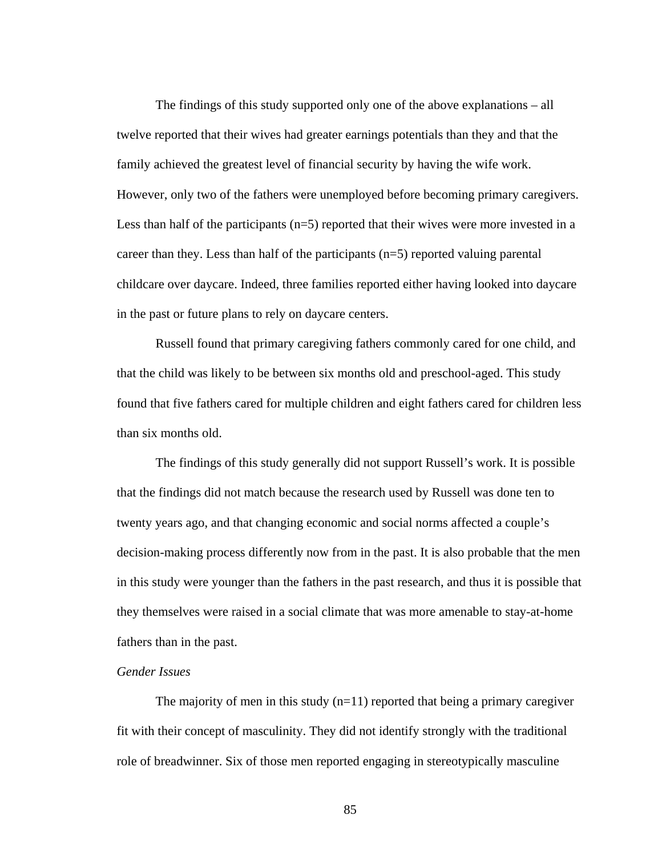The findings of this study supported only one of the above explanations – all twelve reported that their wives had greater earnings potentials than they and that the family achieved the greatest level of financial security by having the wife work. However, only two of the fathers were unemployed before becoming primary caregivers. Less than half of the participants  $(n=5)$  reported that their wives were more invested in a career than they. Less than half of the participants (n=5) reported valuing parental childcare over daycare. Indeed, three families reported either having looked into daycare in the past or future plans to rely on daycare centers.

Russell found that primary caregiving fathers commonly cared for one child, and that the child was likely to be between six months old and preschool-aged. This study found that five fathers cared for multiple children and eight fathers cared for children less than six months old.

The findings of this study generally did not support Russell's work. It is possible that the findings did not match because the research used by Russell was done ten to twenty years ago, and that changing economic and social norms affected a couple's decision-making process differently now from in the past. It is also probable that the men in this study were younger than the fathers in the past research, and thus it is possible that they themselves were raised in a social climate that was more amenable to stay-at-home fathers than in the past.

## *Gender Issues*

The majority of men in this study  $(n=11)$  reported that being a primary caregiver fit with their concept of masculinity. They did not identify strongly with the traditional role of breadwinner. Six of those men reported engaging in stereotypically masculine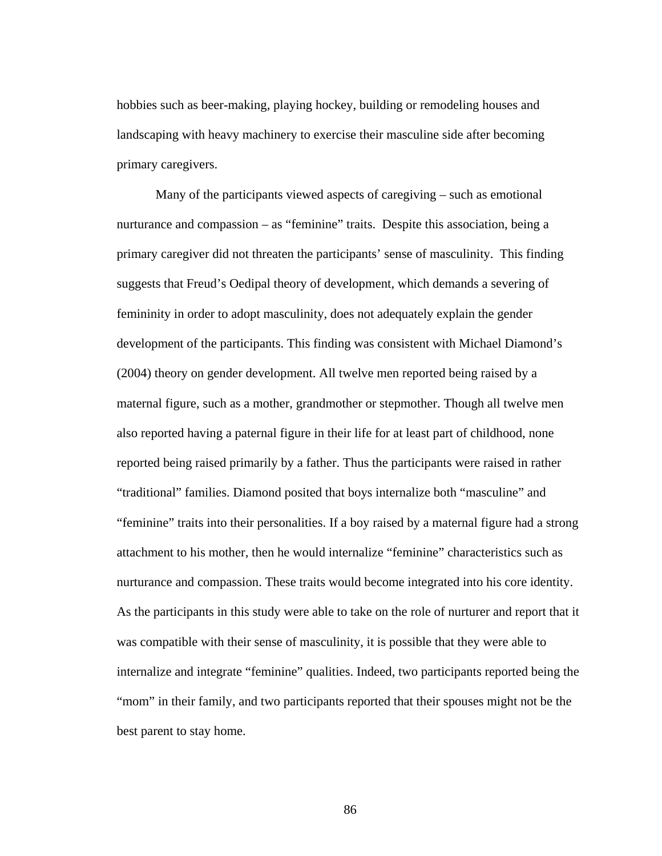hobbies such as beer-making, playing hockey, building or remodeling houses and landscaping with heavy machinery to exercise their masculine side after becoming primary caregivers.

Many of the participants viewed aspects of caregiving – such as emotional nurturance and compassion – as "feminine" traits. Despite this association, being a primary caregiver did not threaten the participants' sense of masculinity. This finding suggests that Freud's Oedipal theory of development, which demands a severing of femininity in order to adopt masculinity, does not adequately explain the gender development of the participants. This finding was consistent with Michael Diamond's (2004) theory on gender development. All twelve men reported being raised by a maternal figure, such as a mother, grandmother or stepmother. Though all twelve men also reported having a paternal figure in their life for at least part of childhood, none reported being raised primarily by a father. Thus the participants were raised in rather "traditional" families. Diamond posited that boys internalize both "masculine" and "feminine" traits into their personalities. If a boy raised by a maternal figure had a strong attachment to his mother, then he would internalize "feminine" characteristics such as nurturance and compassion. These traits would become integrated into his core identity. As the participants in this study were able to take on the role of nurturer and report that it was compatible with their sense of masculinity, it is possible that they were able to internalize and integrate "feminine" qualities. Indeed, two participants reported being the "mom" in their family, and two participants reported that their spouses might not be the best parent to stay home.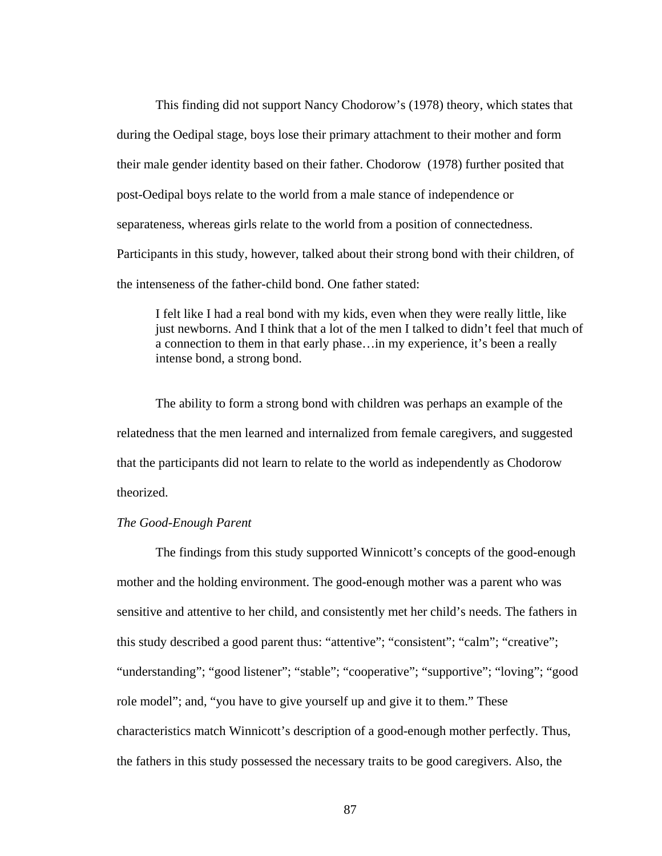This finding did not support Nancy Chodorow's (1978) theory, which states that during the Oedipal stage, boys lose their primary attachment to their mother and form their male gender identity based on their father. Chodorow (1978) further posited that post-Oedipal boys relate to the world from a male stance of independence or separateness, whereas girls relate to the world from a position of connectedness. Participants in this study, however, talked about their strong bond with their children, of the intenseness of the father-child bond. One father stated:

I felt like I had a real bond with my kids, even when they were really little, like just newborns. And I think that a lot of the men I talked to didn't feel that much of a connection to them in that early phase…in my experience, it's been a really intense bond, a strong bond.

The ability to form a strong bond with children was perhaps an example of the relatedness that the men learned and internalized from female caregivers, and suggested that the participants did not learn to relate to the world as independently as Chodorow theorized.

## *The Good-Enough Parent*

The findings from this study supported Winnicott's concepts of the good-enough mother and the holding environment. The good-enough mother was a parent who was sensitive and attentive to her child, and consistently met her child's needs. The fathers in this study described a good parent thus: "attentive"; "consistent"; "calm"; "creative"; "understanding"; "good listener"; "stable"; "cooperative"; "supportive"; "loving"; "good role model"; and, "you have to give yourself up and give it to them." These characteristics match Winnicott's description of a good-enough mother perfectly. Thus, the fathers in this study possessed the necessary traits to be good caregivers. Also, the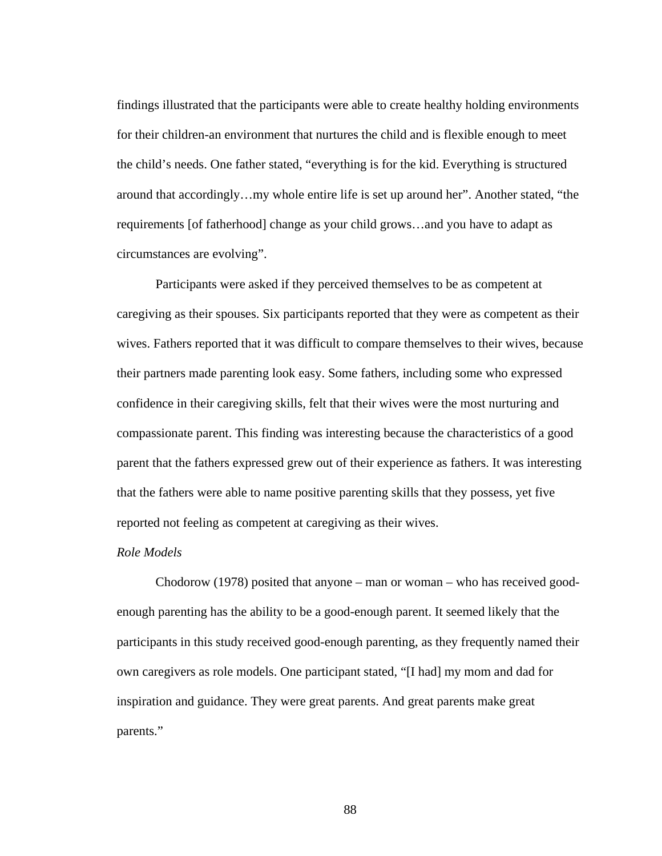findings illustrated that the participants were able to create healthy holding environments for their children-an environment that nurtures the child and is flexible enough to meet the child's needs. One father stated, "everything is for the kid. Everything is structured around that accordingly…my whole entire life is set up around her". Another stated, "the requirements [of fatherhood] change as your child grows…and you have to adapt as circumstances are evolving".

Participants were asked if they perceived themselves to be as competent at caregiving as their spouses. Six participants reported that they were as competent as their wives. Fathers reported that it was difficult to compare themselves to their wives, because their partners made parenting look easy. Some fathers, including some who expressed confidence in their caregiving skills, felt that their wives were the most nurturing and compassionate parent. This finding was interesting because the characteristics of a good parent that the fathers expressed grew out of their experience as fathers. It was interesting that the fathers were able to name positive parenting skills that they possess, yet five reported not feeling as competent at caregiving as their wives.

## *Role Models*

Chodorow (1978) posited that anyone – man or woman – who has received goodenough parenting has the ability to be a good-enough parent. It seemed likely that the participants in this study received good-enough parenting, as they frequently named their own caregivers as role models. One participant stated, "[I had] my mom and dad for inspiration and guidance. They were great parents. And great parents make great parents."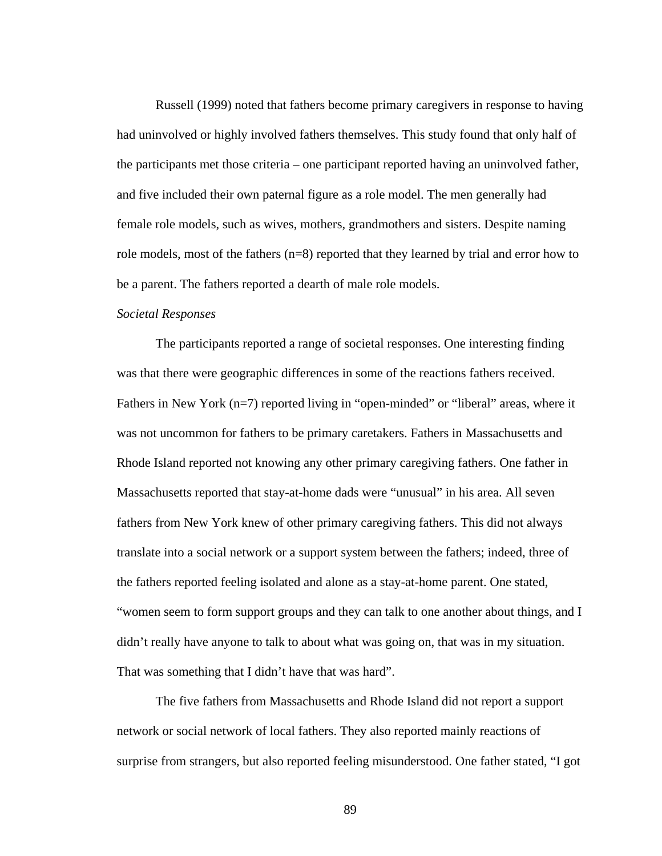Russell (1999) noted that fathers become primary caregivers in response to having had uninvolved or highly involved fathers themselves. This study found that only half of the participants met those criteria – one participant reported having an uninvolved father, and five included their own paternal figure as a role model. The men generally had female role models, such as wives, mothers, grandmothers and sisters. Despite naming role models, most of the fathers (n=8) reported that they learned by trial and error how to be a parent. The fathers reported a dearth of male role models.

#### *Societal Responses*

 The participants reported a range of societal responses. One interesting finding was that there were geographic differences in some of the reactions fathers received. Fathers in New York (n=7) reported living in "open-minded" or "liberal" areas, where it was not uncommon for fathers to be primary caretakers. Fathers in Massachusetts and Rhode Island reported not knowing any other primary caregiving fathers. One father in Massachusetts reported that stay-at-home dads were "unusual" in his area. All seven fathers from New York knew of other primary caregiving fathers. This did not always translate into a social network or a support system between the fathers; indeed, three of the fathers reported feeling isolated and alone as a stay-at-home parent. One stated, "women seem to form support groups and they can talk to one another about things, and I didn't really have anyone to talk to about what was going on, that was in my situation. That was something that I didn't have that was hard".

 The five fathers from Massachusetts and Rhode Island did not report a support network or social network of local fathers. They also reported mainly reactions of surprise from strangers, but also reported feeling misunderstood. One father stated, "I got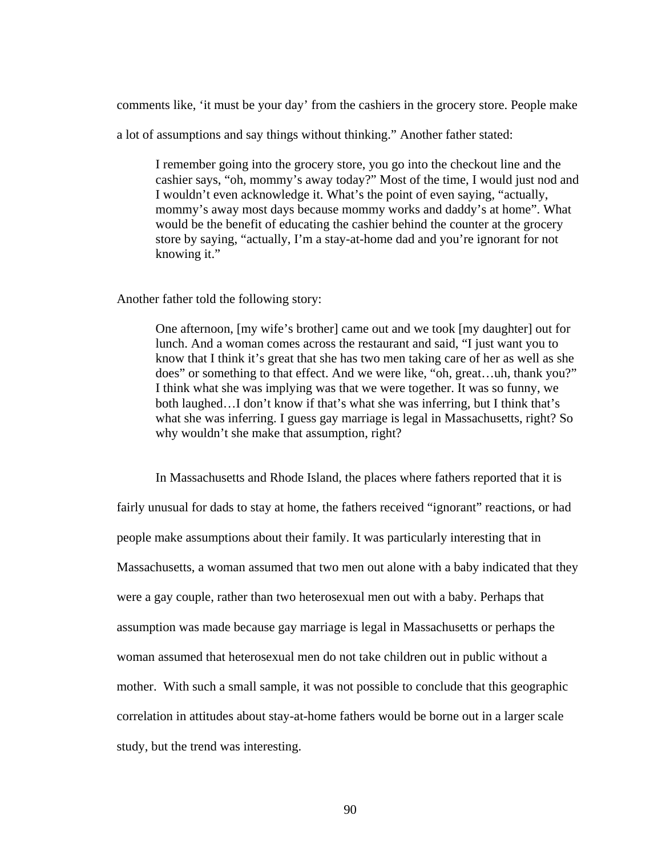comments like, 'it must be your day' from the cashiers in the grocery store. People make

a lot of assumptions and say things without thinking." Another father stated:

I remember going into the grocery store, you go into the checkout line and the cashier says, "oh, mommy's away today?" Most of the time, I would just nod and I wouldn't even acknowledge it. What's the point of even saying, "actually, mommy's away most days because mommy works and daddy's at home". What would be the benefit of educating the cashier behind the counter at the grocery store by saying, "actually, I'm a stay-at-home dad and you're ignorant for not knowing it."

Another father told the following story:

One afternoon, [my wife's brother] came out and we took [my daughter] out for lunch. And a woman comes across the restaurant and said, "I just want you to know that I think it's great that she has two men taking care of her as well as she does" or something to that effect. And we were like, "oh, great…uh, thank you?" I think what she was implying was that we were together. It was so funny, we both laughed…I don't know if that's what she was inferring, but I think that's what she was inferring. I guess gay marriage is legal in Massachusetts, right? So why wouldn't she make that assumption, right?

In Massachusetts and Rhode Island, the places where fathers reported that it is fairly unusual for dads to stay at home, the fathers received "ignorant" reactions, or had people make assumptions about their family. It was particularly interesting that in Massachusetts, a woman assumed that two men out alone with a baby indicated that they were a gay couple, rather than two heterosexual men out with a baby. Perhaps that assumption was made because gay marriage is legal in Massachusetts or perhaps the woman assumed that heterosexual men do not take children out in public without a mother. With such a small sample, it was not possible to conclude that this geographic correlation in attitudes about stay-at-home fathers would be borne out in a larger scale study, but the trend was interesting.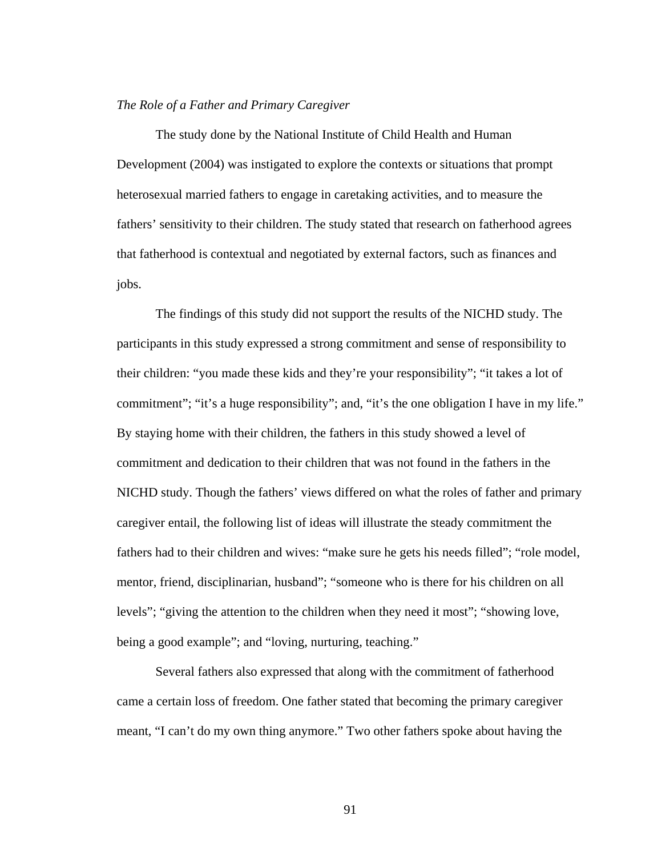### *The Role of a Father and Primary Caregiver*

The study done by the National Institute of Child Health and Human Development (2004) was instigated to explore the contexts or situations that prompt heterosexual married fathers to engage in caretaking activities, and to measure the fathers' sensitivity to their children. The study stated that research on fatherhood agrees that fatherhood is contextual and negotiated by external factors, such as finances and jobs.

The findings of this study did not support the results of the NICHD study. The participants in this study expressed a strong commitment and sense of responsibility to their children: "you made these kids and they're your responsibility"; "it takes a lot of commitment"; "it's a huge responsibility"; and, "it's the one obligation I have in my life." By staying home with their children, the fathers in this study showed a level of commitment and dedication to their children that was not found in the fathers in the NICHD study. Though the fathers' views differed on what the roles of father and primary caregiver entail, the following list of ideas will illustrate the steady commitment the fathers had to their children and wives: "make sure he gets his needs filled"; "role model, mentor, friend, disciplinarian, husband"; "someone who is there for his children on all levels"; "giving the attention to the children when they need it most"; "showing love, being a good example"; and "loving, nurturing, teaching."

Several fathers also expressed that along with the commitment of fatherhood came a certain loss of freedom. One father stated that becoming the primary caregiver meant, "I can't do my own thing anymore." Two other fathers spoke about having the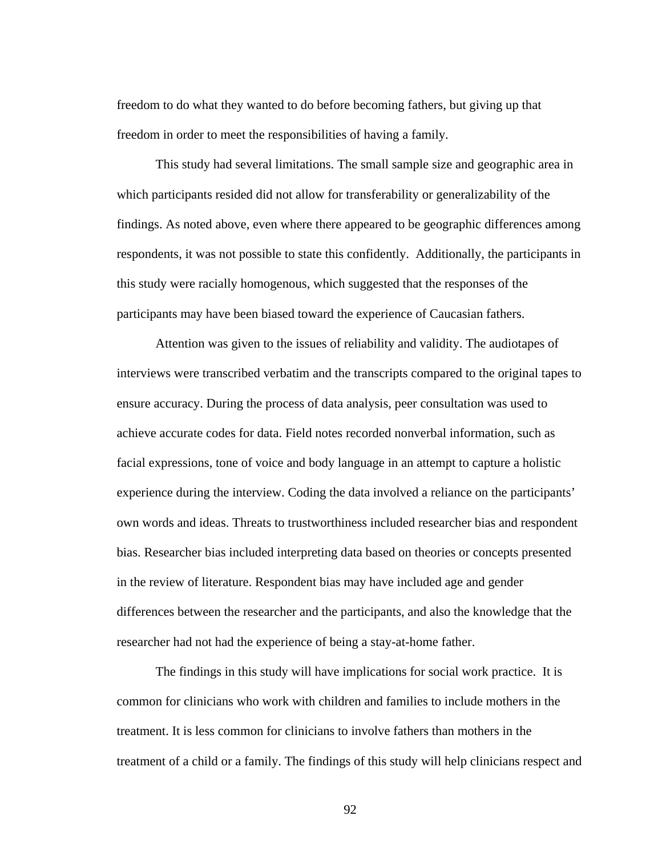freedom to do what they wanted to do before becoming fathers, but giving up that freedom in order to meet the responsibilities of having a family.

This study had several limitations. The small sample size and geographic area in which participants resided did not allow for transferability or generalizability of the findings. As noted above, even where there appeared to be geographic differences among respondents, it was not possible to state this confidently. Additionally, the participants in this study were racially homogenous, which suggested that the responses of the participants may have been biased toward the experience of Caucasian fathers.

Attention was given to the issues of reliability and validity. The audiotapes of interviews were transcribed verbatim and the transcripts compared to the original tapes to ensure accuracy. During the process of data analysis, peer consultation was used to achieve accurate codes for data. Field notes recorded nonverbal information, such as facial expressions, tone of voice and body language in an attempt to capture a holistic experience during the interview. Coding the data involved a reliance on the participants' own words and ideas. Threats to trustworthiness included researcher bias and respondent bias. Researcher bias included interpreting data based on theories or concepts presented in the review of literature. Respondent bias may have included age and gender differences between the researcher and the participants, and also the knowledge that the researcher had not had the experience of being a stay-at-home father.

 The findings in this study will have implications for social work practice. It is common for clinicians who work with children and families to include mothers in the treatment. It is less common for clinicians to involve fathers than mothers in the treatment of a child or a family. The findings of this study will help clinicians respect and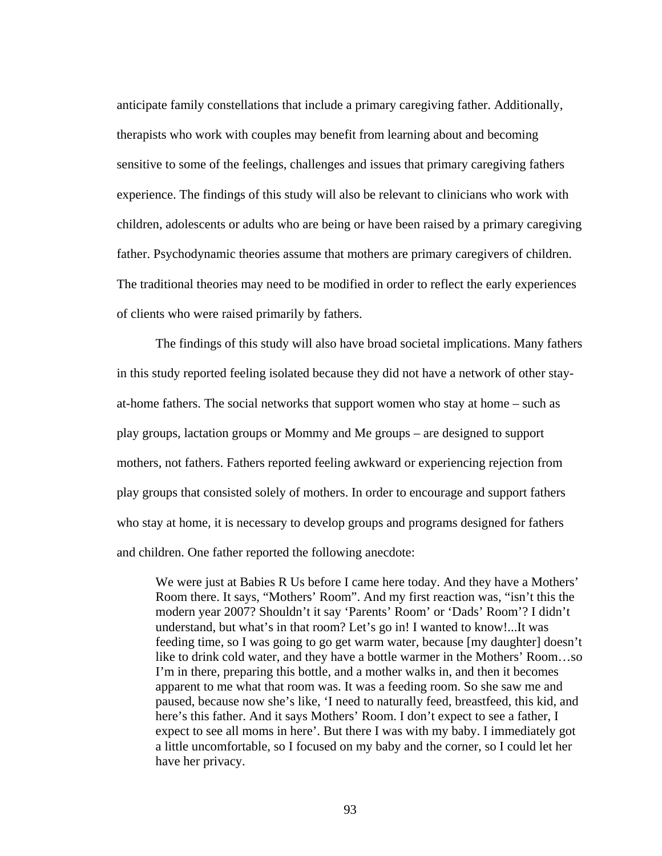anticipate family constellations that include a primary caregiving father. Additionally, therapists who work with couples may benefit from learning about and becoming sensitive to some of the feelings, challenges and issues that primary caregiving fathers experience. The findings of this study will also be relevant to clinicians who work with children, adolescents or adults who are being or have been raised by a primary caregiving father. Psychodynamic theories assume that mothers are primary caregivers of children. The traditional theories may need to be modified in order to reflect the early experiences of clients who were raised primarily by fathers.

 The findings of this study will also have broad societal implications. Many fathers in this study reported feeling isolated because they did not have a network of other stayat-home fathers. The social networks that support women who stay at home – such as play groups, lactation groups or Mommy and Me groups – are designed to support mothers, not fathers. Fathers reported feeling awkward or experiencing rejection from play groups that consisted solely of mothers. In order to encourage and support fathers who stay at home, it is necessary to develop groups and programs designed for fathers and children. One father reported the following anecdote:

We were just at Babies R Us before I came here today. And they have a Mothers' Room there. It says, "Mothers' Room". And my first reaction was, "isn't this the modern year 2007? Shouldn't it say 'Parents' Room' or 'Dads' Room'? I didn't understand, but what's in that room? Let's go in! I wanted to know!...It was feeding time, so I was going to go get warm water, because [my daughter] doesn't like to drink cold water, and they have a bottle warmer in the Mothers' Room…so I'm in there, preparing this bottle, and a mother walks in, and then it becomes apparent to me what that room was. It was a feeding room. So she saw me and paused, because now she's like, 'I need to naturally feed, breastfeed, this kid, and here's this father. And it says Mothers' Room. I don't expect to see a father, I expect to see all moms in here'. But there I was with my baby. I immediately got a little uncomfortable, so I focused on my baby and the corner, so I could let her have her privacy.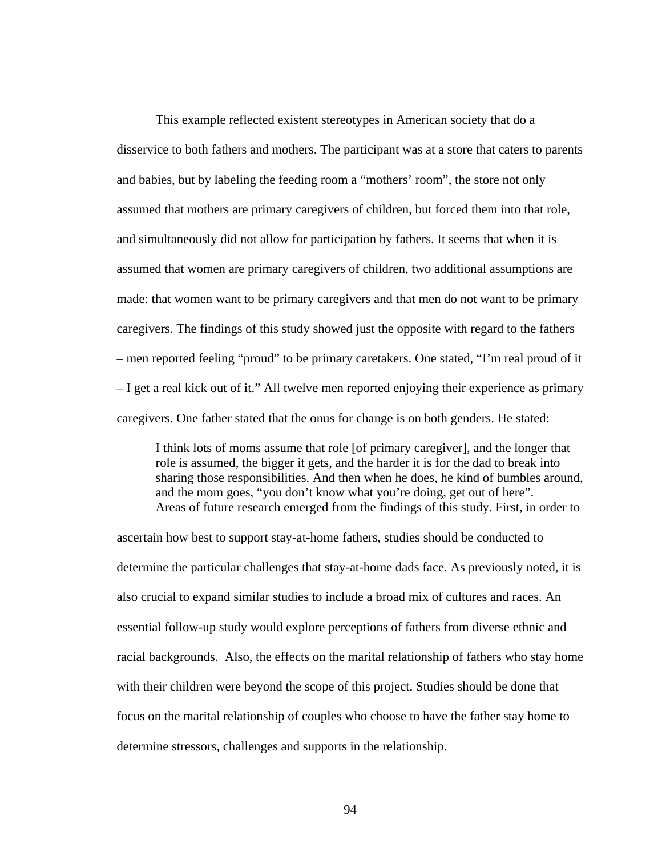This example reflected existent stereotypes in American society that do a disservice to both fathers and mothers. The participant was at a store that caters to parents and babies, but by labeling the feeding room a "mothers' room", the store not only assumed that mothers are primary caregivers of children, but forced them into that role, and simultaneously did not allow for participation by fathers. It seems that when it is assumed that women are primary caregivers of children, two additional assumptions are made: that women want to be primary caregivers and that men do not want to be primary caregivers. The findings of this study showed just the opposite with regard to the fathers – men reported feeling "proud" to be primary caretakers. One stated, "I'm real proud of it – I get a real kick out of it." All twelve men reported enjoying their experience as primary caregivers. One father stated that the onus for change is on both genders. He stated:

I think lots of moms assume that role [of primary caregiver], and the longer that role is assumed, the bigger it gets, and the harder it is for the dad to break into sharing those responsibilities. And then when he does, he kind of bumbles around, and the mom goes, "you don't know what you're doing, get out of here". Areas of future research emerged from the findings of this study. First, in order to

ascertain how best to support stay-at-home fathers, studies should be conducted to determine the particular challenges that stay-at-home dads face. As previously noted, it is also crucial to expand similar studies to include a broad mix of cultures and races. An essential follow-up study would explore perceptions of fathers from diverse ethnic and racial backgrounds. Also, the effects on the marital relationship of fathers who stay home with their children were beyond the scope of this project. Studies should be done that focus on the marital relationship of couples who choose to have the father stay home to determine stressors, challenges and supports in the relationship.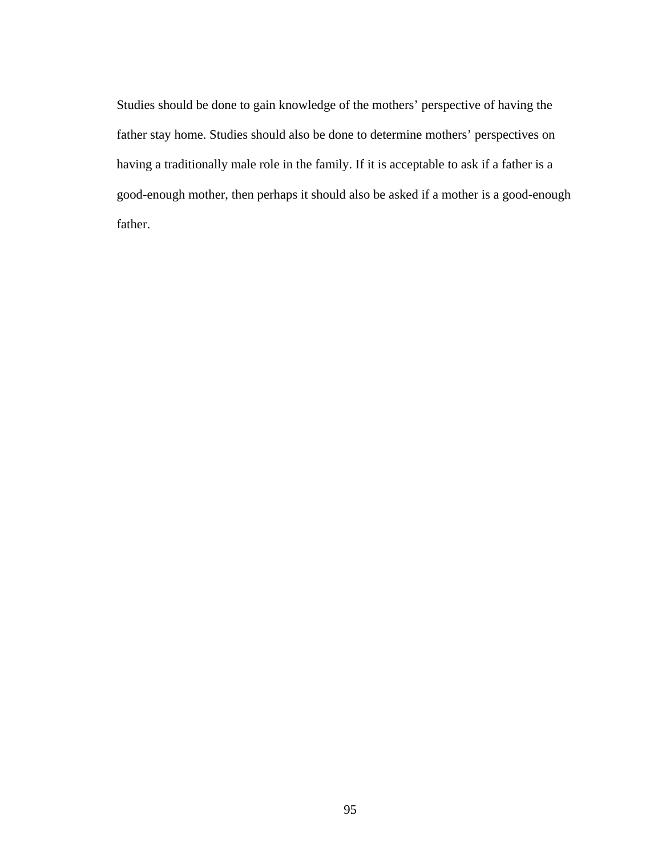Studies should be done to gain knowledge of the mothers' perspective of having the father stay home. Studies should also be done to determine mothers' perspectives on having a traditionally male role in the family. If it is acceptable to ask if a father is a good-enough mother, then perhaps it should also be asked if a mother is a good-enough father.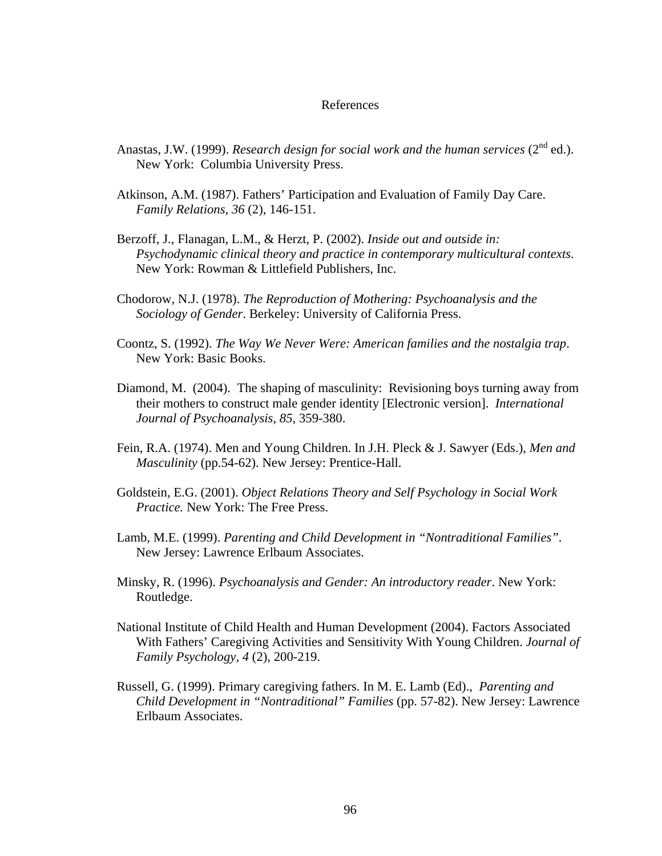### References

- Anastas, J.W. (1999). *Research design for social work and the human services* ( $2^{nd}$  ed.). New York: Columbia University Press.
- Atkinson, A.M. (1987). Fathers' Participation and Evaluation of Family Day Care. *Family Relations, 36* (2), 146-151.
- Berzoff, J., Flanagan, L.M., & Herzt, P. (2002). *Inside out and outside in: Psychodynamic clinical theory and practice in contemporary multicultural contexts*. New York: Rowman & Littlefield Publishers, Inc.
- Chodorow, N.J. (1978). *The Reproduction of Mothering: Psychoanalysis and the Sociology of Gender*. Berkeley: University of California Press.
- Coontz, S. (1992). *The Way We Never Were: American families and the nostalgia trap*. New York: Basic Books.
- Diamond, M. (2004). The shaping of masculinity: Revisioning boys turning away from their mothers to construct male gender identity [Electronic version]. *International Journal of Psychoanalysis, 85,* 359-380.
- Fein, R.A. (1974). Men and Young Children. In J.H. Pleck & J. Sawyer (Eds.), *Men and Masculinity* (pp.54-62). New Jersey: Prentice-Hall.
- Goldstein, E.G. (2001). *Object Relations Theory and Self Psychology in Social Work Practice.* New York: The Free Press.
- Lamb, M.E. (1999). *Parenting and Child Development in "Nontraditional Families"*. New Jersey: Lawrence Erlbaum Associates.
- Minsky, R. (1996). *Psychoanalysis and Gender: An introductory reader*. New York: Routledge.
- National Institute of Child Health and Human Development (2004). Factors Associated With Fathers' Caregiving Activities and Sensitivity With Young Children. *Journal of Family Psychology, 4* (2), 200-219.
- Russell, G. (1999). Primary caregiving fathers. In M. E. Lamb (Ed)., *Parenting and Child Development in "Nontraditional" Families* (pp. 57-82). New Jersey: Lawrence Erlbaum Associates.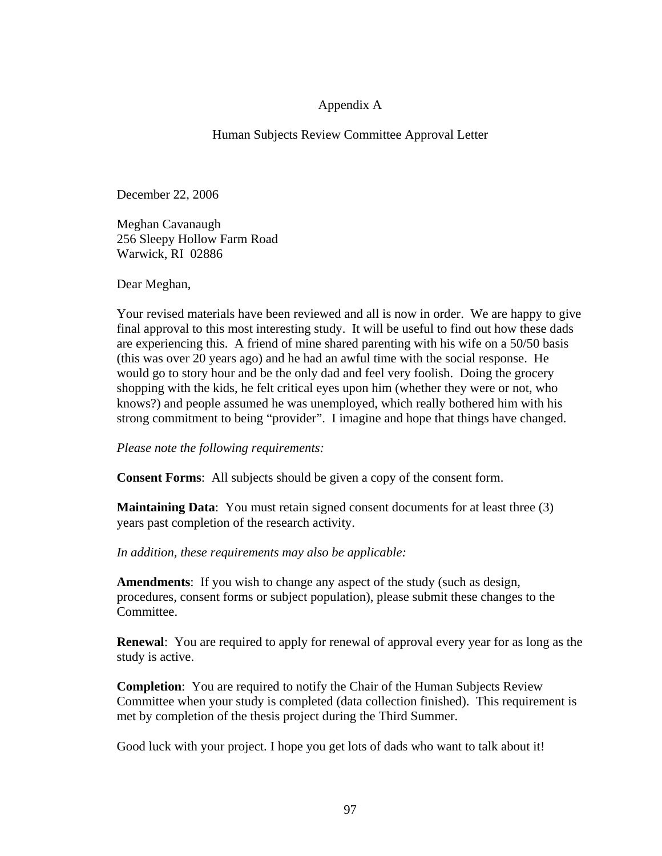# Appendix A

# Human Subjects Review Committee Approval Letter

December 22, 2006

Meghan Cavanaugh 256 Sleepy Hollow Farm Road Warwick, RI 02886

Dear Meghan,

Your revised materials have been reviewed and all is now in order. We are happy to give final approval to this most interesting study. It will be useful to find out how these dads are experiencing this. A friend of mine shared parenting with his wife on a 50/50 basis (this was over 20 years ago) and he had an awful time with the social response. He would go to story hour and be the only dad and feel very foolish. Doing the grocery shopping with the kids, he felt critical eyes upon him (whether they were or not, who knows?) and people assumed he was unemployed, which really bothered him with his strong commitment to being "provider". I imagine and hope that things have changed.

*Please note the following requirements:* 

**Consent Forms**: All subjects should be given a copy of the consent form.

**Maintaining Data**: You must retain signed consent documents for at least three (3) years past completion of the research activity.

*In addition, these requirements may also be applicable:* 

**Amendments**: If you wish to change any aspect of the study (such as design, procedures, consent forms or subject population), please submit these changes to the Committee.

**Renewal**: You are required to apply for renewal of approval every year for as long as the study is active.

**Completion**: You are required to notify the Chair of the Human Subjects Review Committee when your study is completed (data collection finished). This requirement is met by completion of the thesis project during the Third Summer.

Good luck with your project. I hope you get lots of dads who want to talk about it!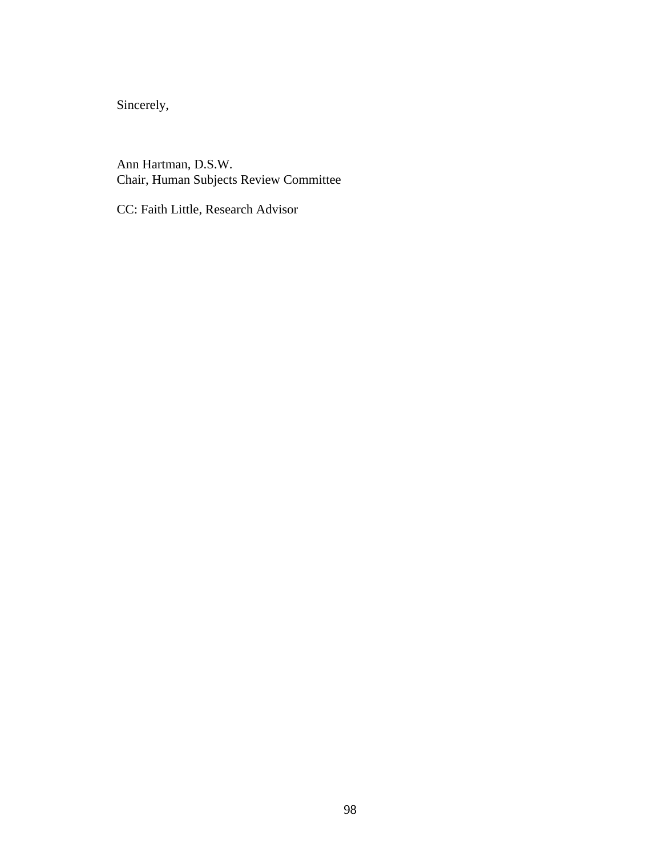Sincerely,

Ann Hartman, D.S.W. Chair, Human Subjects Review Committee

CC: Faith Little, Research Advisor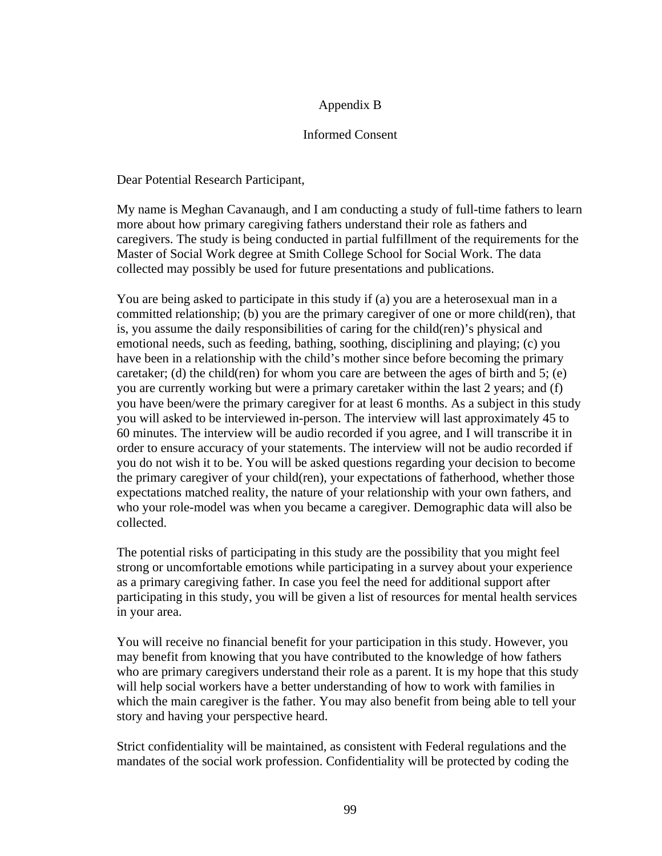# Appendix B

## Informed Consent

Dear Potential Research Participant,

My name is Meghan Cavanaugh, and I am conducting a study of full-time fathers to learn more about how primary caregiving fathers understand their role as fathers and caregivers. The study is being conducted in partial fulfillment of the requirements for the Master of Social Work degree at Smith College School for Social Work. The data collected may possibly be used for future presentations and publications.

You are being asked to participate in this study if (a) you are a heterosexual man in a committed relationship; (b) you are the primary caregiver of one or more child(ren), that is, you assume the daily responsibilities of caring for the child(ren)'s physical and emotional needs, such as feeding, bathing, soothing, disciplining and playing; (c) you have been in a relationship with the child's mother since before becoming the primary caretaker; (d) the child(ren) for whom you care are between the ages of birth and  $5$ ; (e) you are currently working but were a primary caretaker within the last 2 years; and (f) you have been/were the primary caregiver for at least 6 months. As a subject in this study you will asked to be interviewed in-person. The interview will last approximately 45 to 60 minutes. The interview will be audio recorded if you agree, and I will transcribe it in order to ensure accuracy of your statements. The interview will not be audio recorded if you do not wish it to be. You will be asked questions regarding your decision to become the primary caregiver of your child(ren), your expectations of fatherhood, whether those expectations matched reality, the nature of your relationship with your own fathers, and who your role-model was when you became a caregiver. Demographic data will also be collected.

The potential risks of participating in this study are the possibility that you might feel strong or uncomfortable emotions while participating in a survey about your experience as a primary caregiving father. In case you feel the need for additional support after participating in this study, you will be given a list of resources for mental health services in your area.

You will receive no financial benefit for your participation in this study. However, you may benefit from knowing that you have contributed to the knowledge of how fathers who are primary caregivers understand their role as a parent. It is my hope that this study will help social workers have a better understanding of how to work with families in which the main caregiver is the father. You may also benefit from being able to tell your story and having your perspective heard.

Strict confidentiality will be maintained, as consistent with Federal regulations and the mandates of the social work profession. Confidentiality will be protected by coding the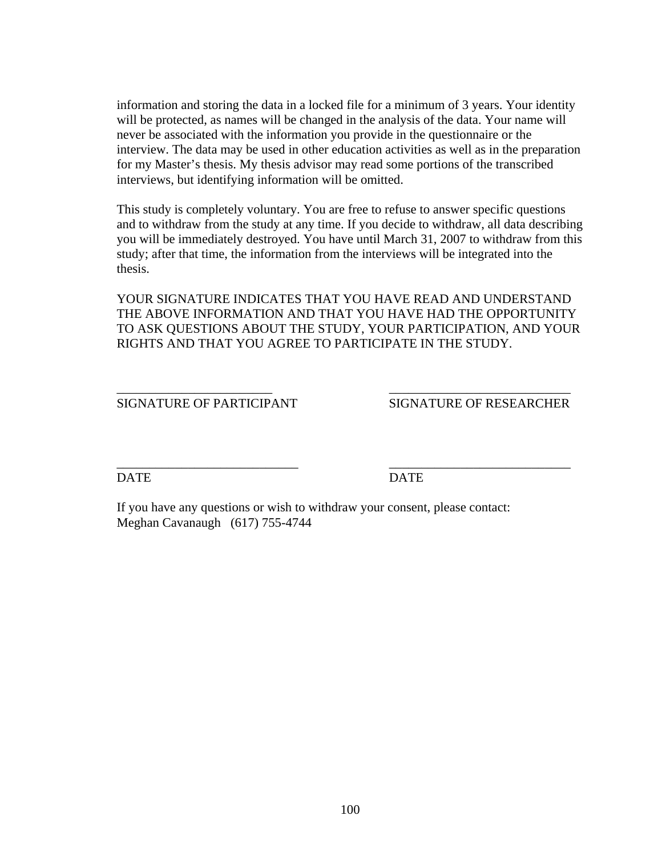information and storing the data in a locked file for a minimum of 3 years. Your identity will be protected, as names will be changed in the analysis of the data. Your name will never be associated with the information you provide in the questionnaire or the interview. The data may be used in other education activities as well as in the preparation for my Master's thesis. My thesis advisor may read some portions of the transcribed interviews, but identifying information will be omitted.

This study is completely voluntary. You are free to refuse to answer specific questions and to withdraw from the study at any time. If you decide to withdraw, all data describing you will be immediately destroyed. You have until March 31, 2007 to withdraw from this study; after that time, the information from the interviews will be integrated into the thesis.

YOUR SIGNATURE INDICATES THAT YOU HAVE READ AND UNDERSTAND THE ABOVE INFORMATION AND THAT YOU HAVE HAD THE OPPORTUNITY TO ASK QUESTIONS ABOUT THE STUDY, YOUR PARTICIPATION, AND YOUR RIGHTS AND THAT YOU AGREE TO PARTICIPATE IN THE STUDY.

 $\overline{\phantom{a}}$  , and the contract of the contract of the contract of the contract of the contract of the contract of the contract of the contract of the contract of the contract of the contract of the contract of the contrac

\_\_\_\_\_\_\_\_\_\_\_\_\_\_\_\_\_\_\_\_\_\_\_\_\_\_\_\_ \_\_\_\_\_\_\_\_\_\_\_\_\_\_\_\_\_\_\_\_\_\_\_\_\_\_\_\_

SIGNATURE OF PARTICIPANT SIGNATURE OF RESEARCHER

DATE DATE

If you have any questions or wish to withdraw your consent, please contact: Meghan Cavanaugh (617) 755-4744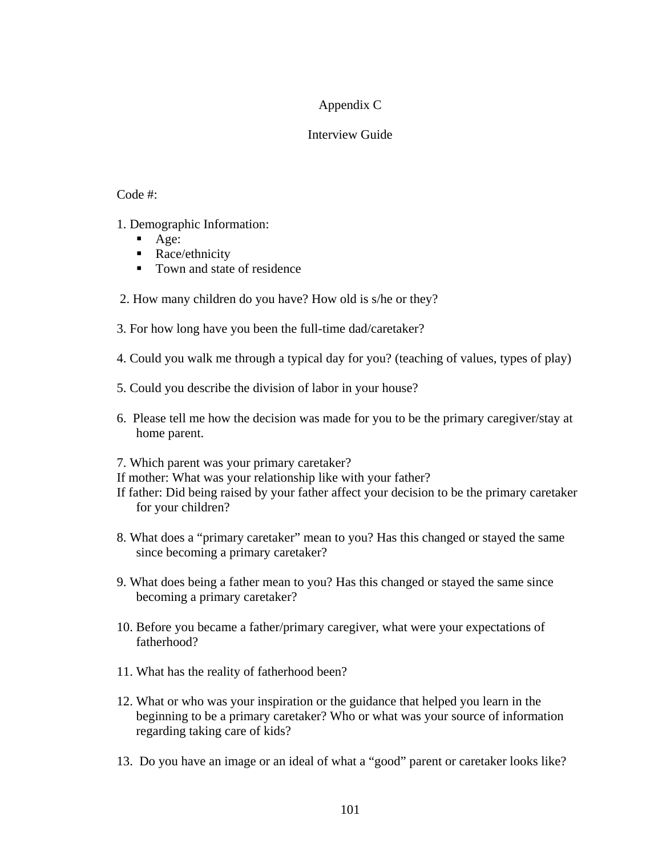# Appendix C

# Interview Guide

# Code #:

1. Demographic Information:

- Age:
- Race/ethnicity
- Town and state of residence
- 2. How many children do you have? How old is s/he or they?
- 3. For how long have you been the full-time dad/caretaker?
- 4. Could you walk me through a typical day for you? (teaching of values, types of play)
- 5. Could you describe the division of labor in your house?
- 6. Please tell me how the decision was made for you to be the primary caregiver/stay at home parent.
- 7. Which parent was your primary caretaker?
- If mother: What was your relationship like with your father?
- If father: Did being raised by your father affect your decision to be the primary caretaker for your children?
- 8. What does a "primary caretaker" mean to you? Has this changed or stayed the same since becoming a primary caretaker?
- 9. What does being a father mean to you? Has this changed or stayed the same since becoming a primary caretaker?
- 10. Before you became a father/primary caregiver, what were your expectations of fatherhood?
- 11. What has the reality of fatherhood been?
- 12. What or who was your inspiration or the guidance that helped you learn in the beginning to be a primary caretaker? Who or what was your source of information regarding taking care of kids?
- 13. Do you have an image or an ideal of what a "good" parent or caretaker looks like?